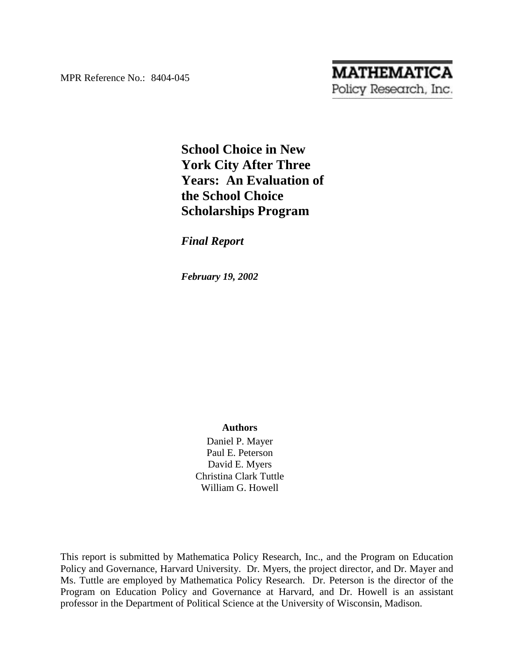MPR Reference No.: 8404-045

# **MATHEMATICA** Policy Research, Inc.

# **School Choice in New York City After Three Years: An Evaluation of the School Choice Scholarships Program**

*Final Report*

*February 19, 2002*

# **Authors**

Daniel P. Mayer Paul E. Peterson David E. Myers Christina Clark Tuttle William G. Howell

This report is submitted by Mathematica Policy Research, Inc., and the Program on Education Policy and Governance, Harvard University. Dr. Myers, the project director, and Dr. Mayer and Ms. Tuttle are employed by Mathematica Policy Research. Dr. Peterson is the director of the Program on Education Policy and Governance at Harvard, and Dr. Howell is an assistant professor in the Department of Political Science at the University of Wisconsin, Madison.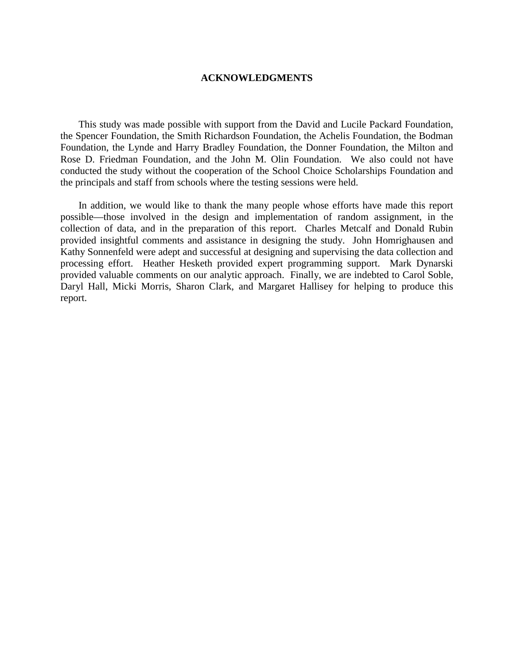#### **ACKNOWLEDGMENTS**

This study was made possible with support from the David and Lucile Packard Foundation, the Spencer Foundation, the Smith Richardson Foundation, the Achelis Foundation, the Bodman Foundation, the Lynde and Harry Bradley Foundation, the Donner Foundation, the Milton and Rose D. Friedman Foundation, and the John M. Olin Foundation. We also could not have conducted the study without the cooperation of the School Choice Scholarships Foundation and the principals and staff from schools where the testing sessions were held.

In addition, we would like to thank the many people whose efforts have made this report possible—those involved in the design and implementation of random assignment, in the collection of data, and in the preparation of this report. Charles Metcalf and Donald Rubin provided insightful comments and assistance in designing the study. John Homrighausen and Kathy Sonnenfeld were adept and successful at designing and supervising the data collection and processing effort. Heather Hesketh provided expert programming support. Mark Dynarski provided valuable comments on our analytic approach. Finally, we are indebted to Carol Soble, Daryl Hall, Micki Morris, Sharon Clark, and Margaret Hallisey for helping to produce this report.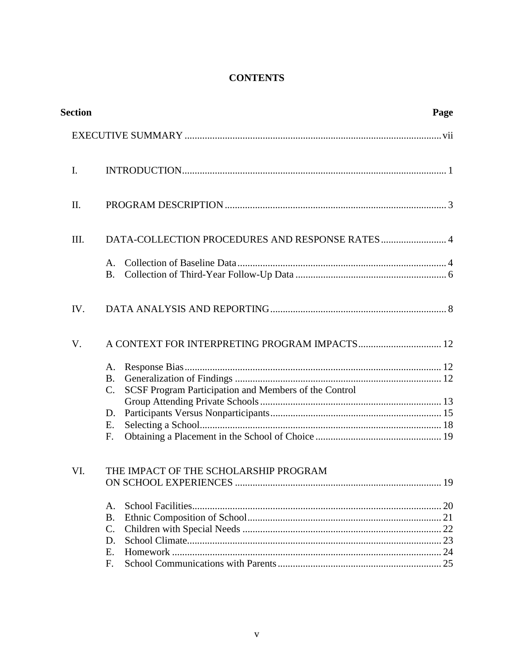# **CONTENTS**

| <b>Section</b> |                                                                                                               | Page |
|----------------|---------------------------------------------------------------------------------------------------------------|------|
|                |                                                                                                               |      |
| I.             |                                                                                                               |      |
| II.            |                                                                                                               |      |
| III.           | DATA-COLLECTION PROCEDURES AND RESPONSE RATES 4                                                               |      |
|                | A.<br>B.                                                                                                      |      |
| IV.            |                                                                                                               |      |
| V.             | A CONTEXT FOR INTERPRETING PROGRAM IMPACTS 12                                                                 |      |
|                | A.<br><b>B.</b><br>SCSF Program Participation and Members of the Control<br>$\mathcal{C}$ .<br>D.<br>Ε.<br>F. |      |
| VI.            | THE IMPACT OF THE SCHOLARSHIP PROGRAM<br>A.<br><b>B.</b><br>$\mathcal{C}$ .<br>D.<br>E.<br>F.                 | .19  |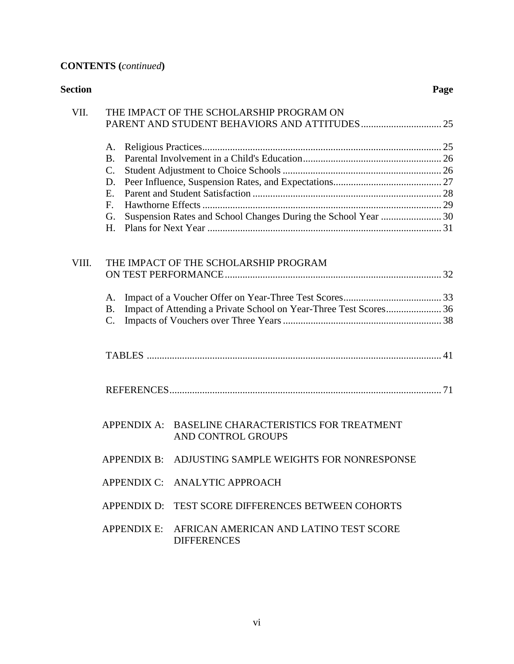# **CONTENTS (***continued***)**

| <b>Section</b> |                                                                                                                                            | Page |
|----------------|--------------------------------------------------------------------------------------------------------------------------------------------|------|
| VII.           | THE IMPACT OF THE SCHOLARSHIP PROGRAM ON                                                                                                   |      |
|                | A.<br><b>B.</b><br>$C_{\cdot}$<br>D.<br>Е.<br>F <sub>r</sub><br>Suspension Rates and School Changes During the School Year  30<br>G.<br>Н. |      |
| VIII.          | THE IMPACT OF THE SCHOLARSHIP PROGRAM                                                                                                      |      |
|                | A.<br>B.<br>$\mathcal{C}$ .                                                                                                                |      |
|                |                                                                                                                                            |      |
|                |                                                                                                                                            |      |
|                | APPENDIX A: BASELINE CHARACTERISTICS FOR TREATMENT<br>AND CONTROL GROUPS                                                                   |      |
|                | APPENDIX B: ADJUSTING SAMPLE WEIGHTS FOR NONRESPONSE                                                                                       |      |
|                | APPENDIX C: ANALYTIC APPROACH                                                                                                              |      |
|                | TEST SCORE DIFFERENCES BETWEEN COHORTS<br>APPENDIX D:                                                                                      |      |
|                | APPENDIX E: AFRICAN AMERICAN AND LATINO TEST SCORE<br><b>DIFFERENCES</b>                                                                   |      |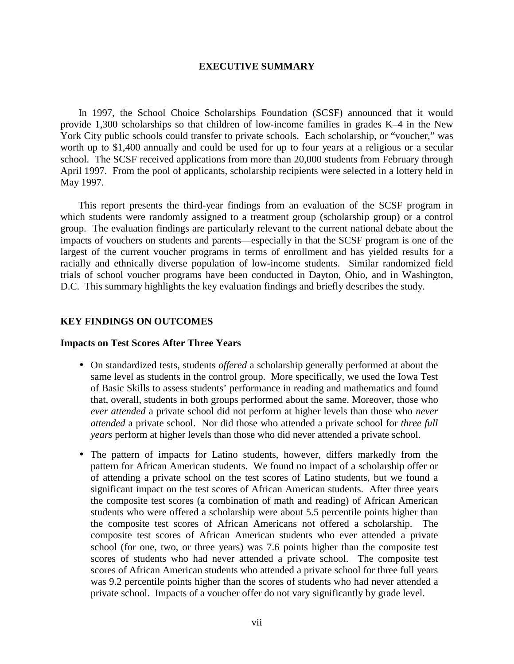#### **EXECUTIVE SUMMARY**

In 1997, the School Choice Scholarships Foundation (SCSF) announced that it would provide 1,300 scholarships so that children of low-income families in grades K–4 in the New York City public schools could transfer to private schools. Each scholarship, or "voucher," was worth up to \$1,400 annually and could be used for up to four years at a religious or a secular school. The SCSF received applications from more than 20,000 students from February through April 1997. From the pool of applicants, scholarship recipients were selected in a lottery held in May 1997.

This report presents the third-year findings from an evaluation of the SCSF program in which students were randomly assigned to a treatment group (scholarship group) or a control group. The evaluation findings are particularly relevant to the current national debate about the impacts of vouchers on students and parents—especially in that the SCSF program is one of the largest of the current voucher programs in terms of enrollment and has yielded results for a racially and ethnically diverse population of low-income students. Similar randomized field trials of school voucher programs have been conducted in Dayton, Ohio, and in Washington, D.C. This summary highlights the key evaluation findings and briefly describes the study.

# **KEY FINDINGS ON OUTCOMES**

#### **Impacts on Test Scores After Three Years**

- On standardized tests, students *offered* a scholarship generally performed at about the same level as students in the control group. More specifically, we used the Iowa Test of Basic Skills to assess students' performance in reading and mathematics and found that, overall, students in both groups performed about the same. Moreover, those who *ever attended* a private school did not perform at higher levels than those who *never attended* a private school. Nor did those who attended a private school for *three full years* perform at higher levels than those who did never attended a private school.
- The pattern of impacts for Latino students, however, differs markedly from the pattern for African American students. We found no impact of a scholarship offer or of attending a private school on the test scores of Latino students, but we found a significant impact on the test scores of African American students. After three years the composite test scores (a combination of math and reading) of African American students who were offered a scholarship were about 5.5 percentile points higher than the composite test scores of African Americans not offered a scholarship. The composite test scores of African American students who ever attended a private school (for one, two, or three years) was 7.6 points higher than the composite test scores of students who had never attended a private school. The composite test scores of African American students who attended a private school for three full years was 9.2 percentile points higher than the scores of students who had never attended a private school. Impacts of a voucher offer do not vary significantly by grade level.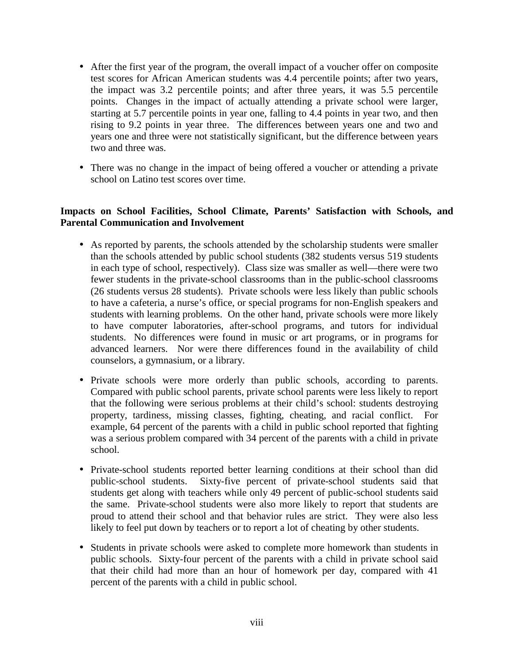- After the first year of the program, the overall impact of a voucher offer on composite test scores for African American students was 4.4 percentile points; after two years, the impact was 3.2 percentile points; and after three years, it was 5.5 percentile points. Changes in the impact of actually attending a private school were larger, starting at 5.7 percentile points in year one, falling to 4.4 points in year two, and then rising to 9.2 points in year three. The differences between years one and two and years one and three were not statistically significant, but the difference between years two and three was.
- There was no change in the impact of being offered a voucher or attending a private school on Latino test scores over time.

# **Impacts on School Facilities, School Climate, Parents' Satisfaction with Schools, and Parental Communication and Involvement**

- As reported by parents, the schools attended by the scholarship students were smaller than the schools attended by public school students (382 students versus 519 students in each type of school, respectively). Class size was smaller as well—there were two fewer students in the private-school classrooms than in the public-school classrooms (26 students versus 28 students). Private schools were less likely than public schools to have a cafeteria, a nurse's office, or special programs for non-English speakers and students with learning problems. On the other hand, private schools were more likely to have computer laboratories, after-school programs, and tutors for individual students. No differences were found in music or art programs, or in programs for advanced learners. Nor were there differences found in the availability of child counselors, a gymnasium, or a library.
- Private schools were more orderly than public schools, according to parents. Compared with public school parents, private school parents were less likely to report that the following were serious problems at their child's school: students destroying property, tardiness, missing classes, fighting, cheating, and racial conflict. For example, 64 percent of the parents with a child in public school reported that fighting was a serious problem compared with 34 percent of the parents with a child in private school.
- Private-school students reported better learning conditions at their school than did public-school students. Sixty-five percent of private-school students said that students get along with teachers while only 49 percent of public-school students said the same. Private-school students were also more likely to report that students are proud to attend their school and that behavior rules are strict. They were also less likely to feel put down by teachers or to report a lot of cheating by other students.
- Students in private schools were asked to complete more homework than students in public schools. Sixty-four percent of the parents with a child in private school said that their child had more than an hour of homework per day, compared with 41 percent of the parents with a child in public school.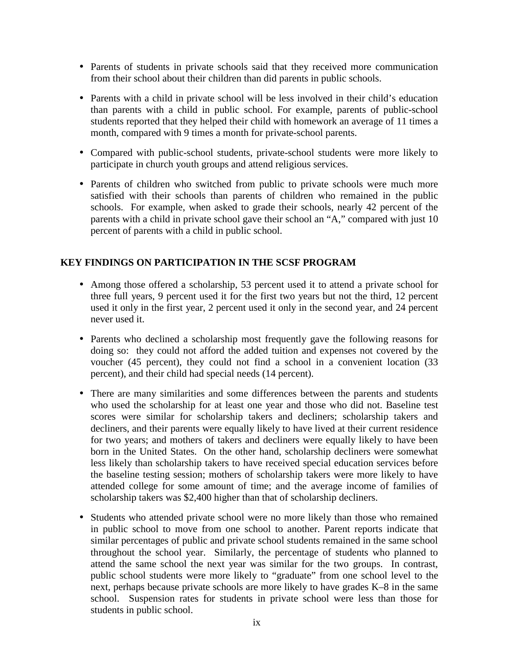- Parents of students in private schools said that they received more communication from their school about their children than did parents in public schools.
- Parents with a child in private school will be less involved in their child's education than parents with a child in public school. For example, parents of public-school students reported that they helped their child with homework an average of 11 times a month, compared with 9 times a month for private-school parents.
- Compared with public-school students, private-school students were more likely to participate in church youth groups and attend religious services.
- Parents of children who switched from public to private schools were much more satisfied with their schools than parents of children who remained in the public schools. For example, when asked to grade their schools, nearly 42 percent of the parents with a child in private school gave their school an "A," compared with just 10 percent of parents with a child in public school.

# **KEY FINDINGS ON PARTICIPATION IN THE SCSF PROGRAM**

- Among those offered a scholarship, 53 percent used it to attend a private school for three full years, 9 percent used it for the first two years but not the third, 12 percent used it only in the first year, 2 percent used it only in the second year, and 24 percent never used it.
- Parents who declined a scholarship most frequently gave the following reasons for doing so: they could not afford the added tuition and expenses not covered by the voucher (45 percent), they could not find a school in a convenient location (33 percent), and their child had special needs (14 percent).
- There are many similarities and some differences between the parents and students who used the scholarship for at least one year and those who did not. Baseline test scores were similar for scholarship takers and decliners; scholarship takers and decliners, and their parents were equally likely to have lived at their current residence for two years; and mothers of takers and decliners were equally likely to have been born in the United States. On the other hand, scholarship decliners were somewhat less likely than scholarship takers to have received special education services before the baseline testing session; mothers of scholarship takers were more likely to have attended college for some amount of time; and the average income of families of scholarship takers was \$2,400 higher than that of scholarship decliners.
- Students who attended private school were no more likely than those who remained in public school to move from one school to another. Parent reports indicate that similar percentages of public and private school students remained in the same school throughout the school year. Similarly, the percentage of students who planned to attend the same school the next year was similar for the two groups. In contrast, public school students were more likely to "graduate" from one school level to the next, perhaps because private schools are more likely to have grades K–8 in the same school. Suspension rates for students in private school were less than those for students in public school.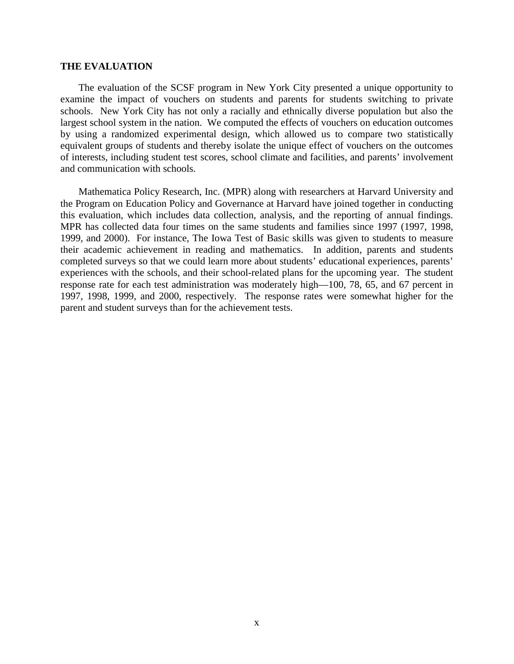#### **THE EVALUATION**

The evaluation of the SCSF program in New York City presented a unique opportunity to examine the impact of vouchers on students and parents for students switching to private schools. New York City has not only a racially and ethnically diverse population but also the largest school system in the nation. We computed the effects of vouchers on education outcomes by using a randomized experimental design, which allowed us to compare two statistically equivalent groups of students and thereby isolate the unique effect of vouchers on the outcomes of interests, including student test scores, school climate and facilities, and parents' involvement and communication with schools.

Mathematica Policy Research, Inc. (MPR) along with researchers at Harvard University and the Program on Education Policy and Governance at Harvard have joined together in conducting this evaluation, which includes data collection, analysis, and the reporting of annual findings. MPR has collected data four times on the same students and families since 1997 (1997, 1998, 1999, and 2000). For instance, The Iowa Test of Basic skills was given to students to measure their academic achievement in reading and mathematics. In addition, parents and students completed surveys so that we could learn more about students' educational experiences, parents' experiences with the schools, and their school-related plans for the upcoming year. The student response rate for each test administration was moderately high—100, 78, 65, and 67 percent in 1997, 1998, 1999, and 2000, respectively. The response rates were somewhat higher for the parent and student surveys than for the achievement tests.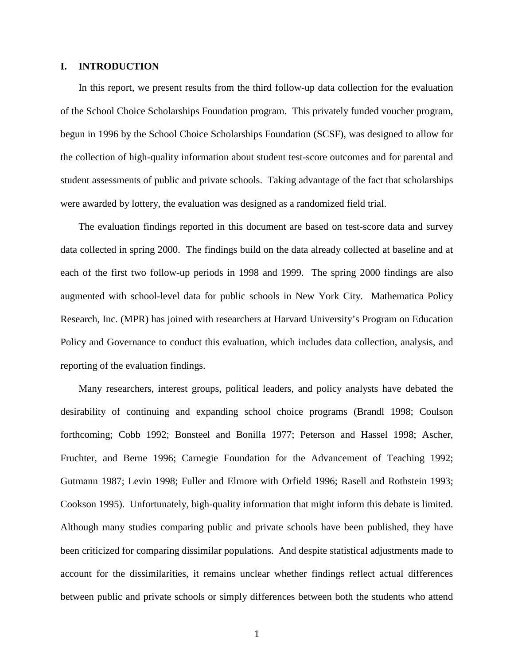# **I. INTRODUCTION**

In this report, we present results from the third follow-up data collection for the evaluation of the School Choice Scholarships Foundation program. This privately funded voucher program, begun in 1996 by the School Choice Scholarships Foundation (SCSF), was designed to allow for the collection of high-quality information about student test-score outcomes and for parental and student assessments of public and private schools. Taking advantage of the fact that scholarships were awarded by lottery, the evaluation was designed as a randomized field trial.

The evaluation findings reported in this document are based on test-score data and survey data collected in spring 2000. The findings build on the data already collected at baseline and at each of the first two follow-up periods in 1998 and 1999. The spring 2000 findings are also augmented with school-level data for public schools in New York City. Mathematica Policy Research, Inc. (MPR) has joined with researchers at Harvard University's Program on Education Policy and Governance to conduct this evaluation, which includes data collection, analysis, and reporting of the evaluation findings.

Many researchers, interest groups, political leaders, and policy analysts have debated the desirability of continuing and expanding school choice programs (Brandl 1998; Coulson forthcoming; Cobb 1992; Bonsteel and Bonilla 1977; Peterson and Hassel 1998; Ascher, Fruchter, and Berne 1996; Carnegie Foundation for the Advancement of Teaching 1992; Gutmann 1987; Levin 1998; Fuller and Elmore with Orfield 1996; Rasell and Rothstein 1993; Cookson 1995). Unfortunately, high-quality information that might inform this debate is limited. Although many studies comparing public and private schools have been published, they have been criticized for comparing dissimilar populations. And despite statistical adjustments made to account for the dissimilarities, it remains unclear whether findings reflect actual differences between public and private schools or simply differences between both the students who attend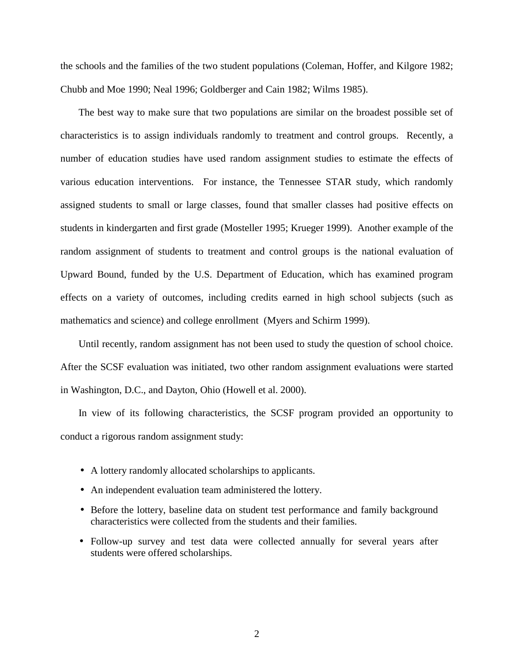the schools and the families of the two student populations (Coleman, Hoffer, and Kilgore 1982; Chubb and Moe 1990; Neal 1996; Goldberger and Cain 1982; Wilms 1985).

The best way to make sure that two populations are similar on the broadest possible set of characteristics is to assign individuals randomly to treatment and control groups. Recently, a number of education studies have used random assignment studies to estimate the effects of various education interventions. For instance, the Tennessee STAR study, which randomly assigned students to small or large classes, found that smaller classes had positive effects on students in kindergarten and first grade (Mosteller 1995; Krueger 1999). Another example of the random assignment of students to treatment and control groups is the national evaluation of Upward Bound, funded by the U.S. Department of Education, which has examined program effects on a variety of outcomes, including credits earned in high school subjects (such as mathematics and science) and college enrollment (Myers and Schirm 1999).

Until recently, random assignment has not been used to study the question of school choice. After the SCSF evaluation was initiated, two other random assignment evaluations were started in Washington, D.C., and Dayton, Ohio (Howell et al. 2000).

In view of its following characteristics, the SCSF program provided an opportunity to conduct a rigorous random assignment study:

- A lottery randomly allocated scholarships to applicants.
- An independent evaluation team administered the lottery.
- Before the lottery, baseline data on student test performance and family background characteristics were collected from the students and their families.
- Follow-up survey and test data were collected annually for several years after students were offered scholarships.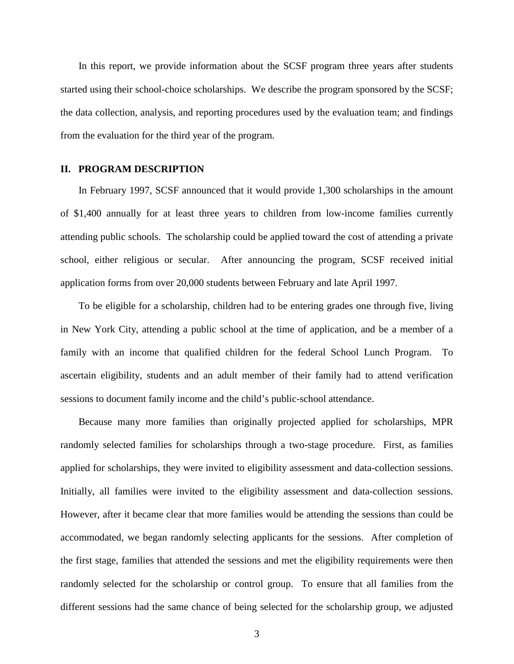In this report, we provide information about the SCSF program three years after students started using their school-choice scholarships. We describe the program sponsored by the SCSF; the data collection, analysis, and reporting procedures used by the evaluation team; and findings from the evaluation for the third year of the program.

#### **II. PROGRAM DESCRIPTION**

In February 1997, SCSF announced that it would provide 1,300 scholarships in the amount of \$1,400 annually for at least three years to children from low-income families currently attending public schools. The scholarship could be applied toward the cost of attending a private school, either religious or secular. After announcing the program, SCSF received initial application forms from over 20,000 students between February and late April 1997.

To be eligible for a scholarship, children had to be entering grades one through five, living in New York City, attending a public school at the time of application, and be a member of a family with an income that qualified children for the federal School Lunch Program. To ascertain eligibility, students and an adult member of their family had to attend verification sessions to document family income and the child's public-school attendance.

Because many more families than originally projected applied for scholarships, MPR randomly selected families for scholarships through a two-stage procedure. First, as families applied for scholarships, they were invited to eligibility assessment and data-collection sessions. Initially, all families were invited to the eligibility assessment and data-collection sessions. However, after it became clear that more families would be attending the sessions than could be accommodated, we began randomly selecting applicants for the sessions. After completion of the first stage, families that attended the sessions and met the eligibility requirements were then randomly selected for the scholarship or control group. To ensure that all families from the different sessions had the same chance of being selected for the scholarship group, we adjusted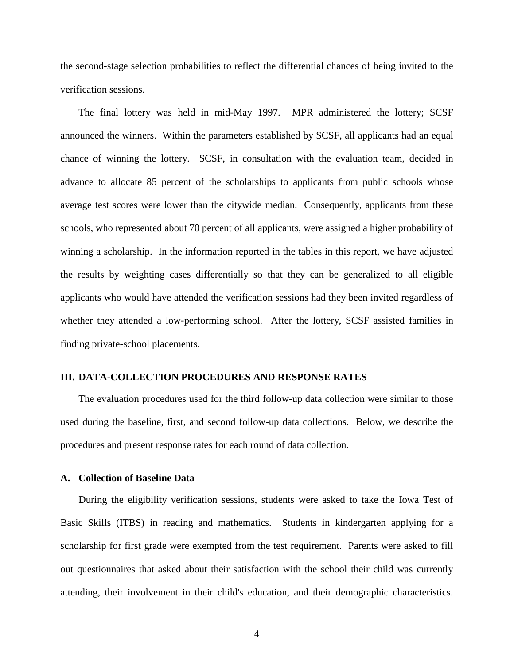the second-stage selection probabilities to reflect the differential chances of being invited to the verification sessions.

The final lottery was held in mid-May 1997. MPR administered the lottery; SCSF announced the winners. Within the parameters established by SCSF, all applicants had an equal chance of winning the lottery. SCSF, in consultation with the evaluation team, decided in advance to allocate 85 percent of the scholarships to applicants from public schools whose average test scores were lower than the citywide median. Consequently, applicants from these schools, who represented about 70 percent of all applicants, were assigned a higher probability of winning a scholarship. In the information reported in the tables in this report, we have adjusted the results by weighting cases differentially so that they can be generalized to all eligible applicants who would have attended the verification sessions had they been invited regardless of whether they attended a low-performing school. After the lottery, SCSF assisted families in finding private-school placements.

#### **III. DATA-COLLECTION PROCEDURES AND RESPONSE RATES**

The evaluation procedures used for the third follow-up data collection were similar to those used during the baseline, first, and second follow-up data collections. Below, we describe the procedures and present response rates for each round of data collection.

#### **A. Collection of Baseline Data**

During the eligibility verification sessions, students were asked to take the Iowa Test of Basic Skills (ITBS) in reading and mathematics. Students in kindergarten applying for a scholarship for first grade were exempted from the test requirement. Parents were asked to fill out questionnaires that asked about their satisfaction with the school their child was currently attending, their involvement in their child's education, and their demographic characteristics.

4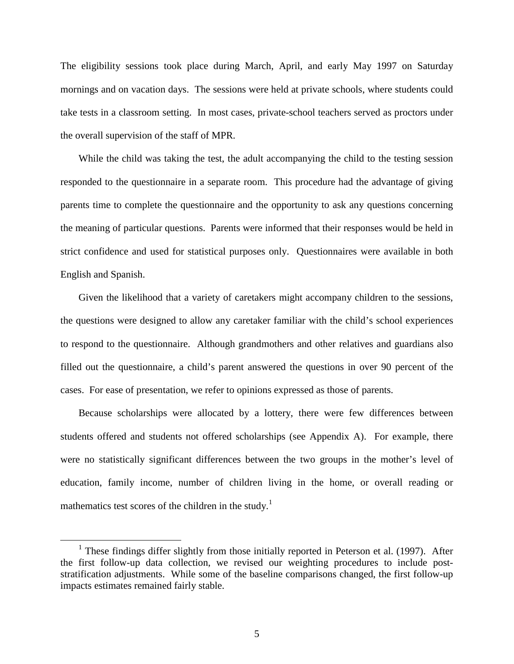The eligibility sessions took place during March, April, and early May 1997 on Saturday mornings and on vacation days. The sessions were held at private schools, where students could take tests in a classroom setting. In most cases, private-school teachers served as proctors under the overall supervision of the staff of MPR.

While the child was taking the test, the adult accompanying the child to the testing session responded to the questionnaire in a separate room. This procedure had the advantage of giving parents time to complete the questionnaire and the opportunity to ask any questions concerning the meaning of particular questions. Parents were informed that their responses would be held in strict confidence and used for statistical purposes only. Questionnaires were available in both English and Spanish.

Given the likelihood that a variety of caretakers might accompany children to the sessions, the questions were designed to allow any caretaker familiar with the child's school experiences to respond to the questionnaire. Although grandmothers and other relatives and guardians also filled out the questionnaire, a child's parent answered the questions in over 90 percent of the cases. For ease of presentation, we refer to opinions expressed as those of parents.

Because scholarships were allocated by a lottery, there were few differences between students offered and students not offered scholarships (see Appendix A). For example, there were no statistically significant differences between the two groups in the mother's level of education, family income, number of children living in the home, or overall reading or mathematics test scores of the children in the study.<sup>1</sup>

 <sup>1</sup>  $1$  These findings differ slightly from those initially reported in Peterson et al. (1997). After the first follow-up data collection, we revised our weighting procedures to include poststratification adjustments. While some of the baseline comparisons changed, the first follow-up impacts estimates remained fairly stable.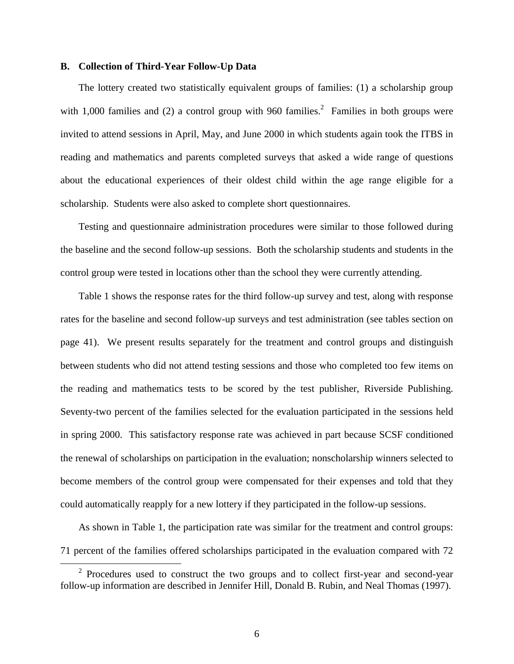# **B. Collection of Third-Year Follow-Up Data**

The lottery created two statistically equivalent groups of families: (1) a scholarship group with 1,000 families and (2) a control group with 960 families.<sup>2</sup> Families in both groups were invited to attend sessions in April, May, and June 2000 in which students again took the ITBS in reading and mathematics and parents completed surveys that asked a wide range of questions about the educational experiences of their oldest child within the age range eligible for a scholarship. Students were also asked to complete short questionnaires.

Testing and questionnaire administration procedures were similar to those followed during the baseline and the second follow-up sessions. Both the scholarship students and students in the control group were tested in locations other than the school they were currently attending.

Table 1 shows the response rates for the third follow-up survey and test, along with response rates for the baseline and second follow-up surveys and test administration (see tables section on page 41). We present results separately for the treatment and control groups and distinguish between students who did not attend testing sessions and those who completed too few items on the reading and mathematics tests to be scored by the test publisher, Riverside Publishing. Seventy-two percent of the families selected for the evaluation participated in the sessions held in spring 2000. This satisfactory response rate was achieved in part because SCSF conditioned the renewal of scholarships on participation in the evaluation; nonscholarship winners selected to become members of the control group were compensated for their expenses and told that they could automatically reapply for a new lottery if they participated in the follow-up sessions.

As shown in Table 1, the participation rate was similar for the treatment and control groups: 71 percent of the families offered scholarships participated in the evaluation compared with 72

 <sup>2</sup>  $2$  Procedures used to construct the two groups and to collect first-year and second-year follow-up information are described in Jennifer Hill, Donald B. Rubin, and Neal Thomas (1997).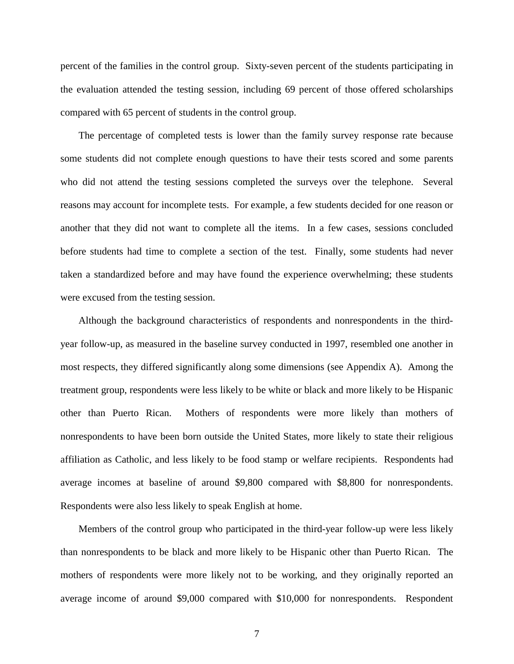percent of the families in the control group. Sixty-seven percent of the students participating in the evaluation attended the testing session, including 69 percent of those offered scholarships compared with 65 percent of students in the control group.

The percentage of completed tests is lower than the family survey response rate because some students did not complete enough questions to have their tests scored and some parents who did not attend the testing sessions completed the surveys over the telephone. Several reasons may account for incomplete tests. For example, a few students decided for one reason or another that they did not want to complete all the items. In a few cases, sessions concluded before students had time to complete a section of the test. Finally, some students had never taken a standardized before and may have found the experience overwhelming; these students were excused from the testing session.

Although the background characteristics of respondents and nonrespondents in the thirdyear follow-up, as measured in the baseline survey conducted in 1997, resembled one another in most respects, they differed significantly along some dimensions (see Appendix A). Among the treatment group, respondents were less likely to be white or black and more likely to be Hispanic other than Puerto Rican. Mothers of respondents were more likely than mothers of nonrespondents to have been born outside the United States, more likely to state their religious affiliation as Catholic, and less likely to be food stamp or welfare recipients. Respondents had average incomes at baseline of around \$9,800 compared with \$8,800 for nonrespondents. Respondents were also less likely to speak English at home.

Members of the control group who participated in the third-year follow-up were less likely than nonrespondents to be black and more likely to be Hispanic other than Puerto Rican. The mothers of respondents were more likely not to be working, and they originally reported an average income of around \$9,000 compared with \$10,000 for nonrespondents. Respondent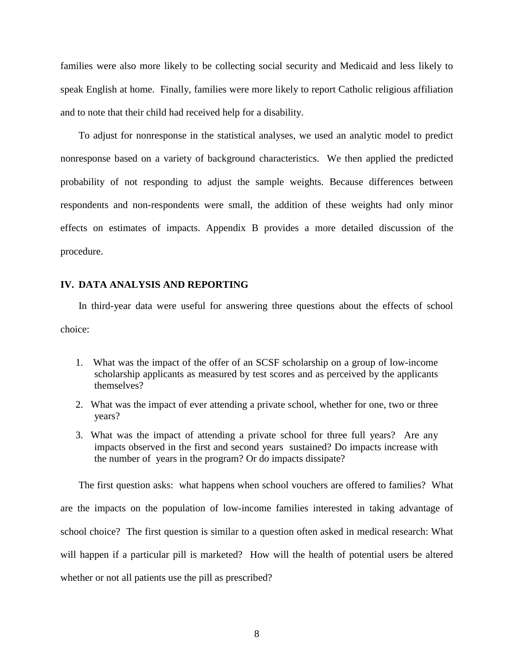families were also more likely to be collecting social security and Medicaid and less likely to speak English at home. Finally, families were more likely to report Catholic religious affiliation and to note that their child had received help for a disability.

To adjust for nonresponse in the statistical analyses, we used an analytic model to predict nonresponse based on a variety of background characteristics. We then applied the predicted probability of not responding to adjust the sample weights. Because differences between respondents and non-respondents were small, the addition of these weights had only minor effects on estimates of impacts. Appendix B provides a more detailed discussion of the procedure.

#### **IV. DATA ANALYSIS AND REPORTING**

In third-year data were useful for answering three questions about the effects of school choice:

- 1. What was the impact of the offer of an SCSF scholarship on a group of low-income scholarship applicants as measured by test scores and as perceived by the applicants themselves?
- 2. What was the impact of ever attending a private school, whether for one, two or three years?
- 3. What was the impact of attending a private school for three full years? Are any impacts observed in the first and second years sustained? Do impacts increase with the number of years in the program? Or do impacts dissipate?

The first question asks: what happens when school vouchers are offered to families? What are the impacts on the population of low-income families interested in taking advantage of school choice? The first question is similar to a question often asked in medical research: What will happen if a particular pill is marketed? How will the health of potential users be altered whether or not all patients use the pill as prescribed?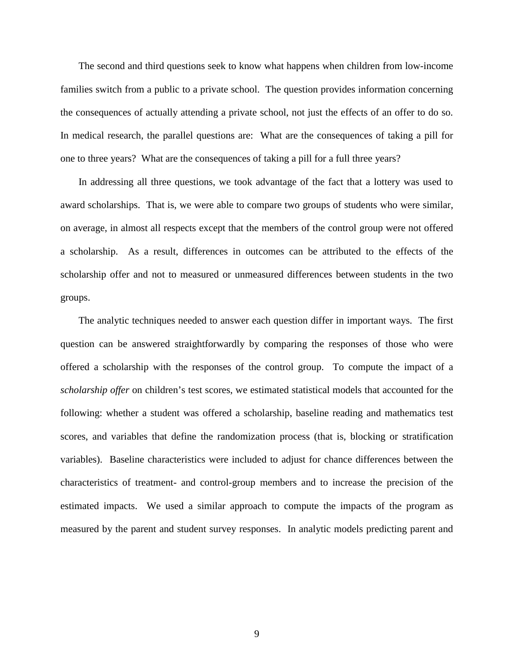The second and third questions seek to know what happens when children from low-income families switch from a public to a private school. The question provides information concerning the consequences of actually attending a private school, not just the effects of an offer to do so. In medical research, the parallel questions are: What are the consequences of taking a pill for one to three years? What are the consequences of taking a pill for a full three years?

In addressing all three questions, we took advantage of the fact that a lottery was used to award scholarships. That is, we were able to compare two groups of students who were similar, on average, in almost all respects except that the members of the control group were not offered a scholarship. As a result, differences in outcomes can be attributed to the effects of the scholarship offer and not to measured or unmeasured differences between students in the two groups.

The analytic techniques needed to answer each question differ in important ways. The first question can be answered straightforwardly by comparing the responses of those who were offered a scholarship with the responses of the control group. To compute the impact of a *scholarship offer* on children's test scores, we estimated statistical models that accounted for the following: whether a student was offered a scholarship, baseline reading and mathematics test scores, and variables that define the randomization process (that is, blocking or stratification variables). Baseline characteristics were included to adjust for chance differences between the characteristics of treatment- and control-group members and to increase the precision of the estimated impacts. We used a similar approach to compute the impacts of the program as measured by the parent and student survey responses. In analytic models predicting parent and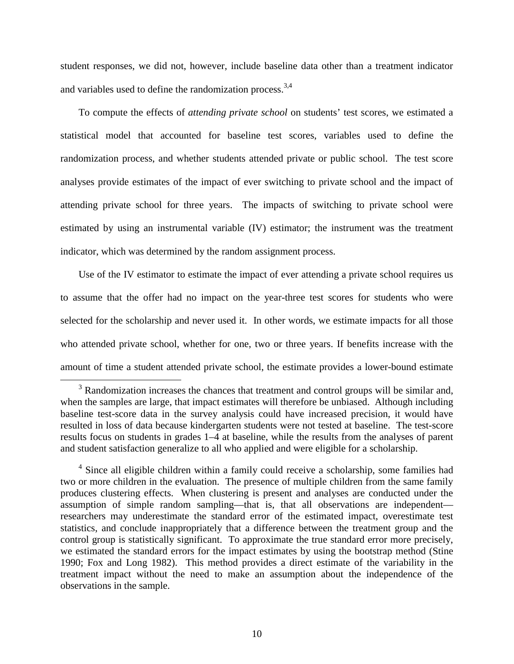student responses, we did not, however, include baseline data other than a treatment indicator and variables used to define the randomization process.<sup>3,4</sup>

To compute the effects of *attending private school* on students' test scores, we estimated a statistical model that accounted for baseline test scores, variables used to define the randomization process, and whether students attended private or public school. The test score analyses provide estimates of the impact of ever switching to private school and the impact of attending private school for three years. The impacts of switching to private school were estimated by using an instrumental variable (IV) estimator; the instrument was the treatment indicator, which was determined by the random assignment process.

Use of the IV estimator to estimate the impact of ever attending a private school requires us to assume that the offer had no impact on the year-three test scores for students who were selected for the scholarship and never used it. In other words, we estimate impacts for all those who attended private school, whether for one, two or three years. If benefits increase with the amount of time a student attended private school, the estimate provides a lower-bound estimate

 $\overline{\phantom{0}}$  $3$  Randomization increases the chances that treatment and control groups will be similar and, when the samples are large, that impact estimates will therefore be unbiased. Although including baseline test-score data in the survey analysis could have increased precision, it would have resulted in loss of data because kindergarten students were not tested at baseline. The test-score results focus on students in grades 1–4 at baseline, while the results from the analyses of parent and student satisfaction generalize to all who applied and were eligible for a scholarship.

<sup>&</sup>lt;sup>4</sup> Since all eligible children within a family could receive a scholarship, some families had two or more children in the evaluation. The presence of multiple children from the same family produces clustering effects. When clustering is present and analyses are conducted under the assumption of simple random sampling—that is, that all observations are independent researchers may underestimate the standard error of the estimated impact, overestimate test statistics, and conclude inappropriately that a difference between the treatment group and the control group is statistically significant. To approximate the true standard error more precisely, we estimated the standard errors for the impact estimates by using the bootstrap method (Stine 1990; Fox and Long 1982). This method provides a direct estimate of the variability in the treatment impact without the need to make an assumption about the independence of the observations in the sample.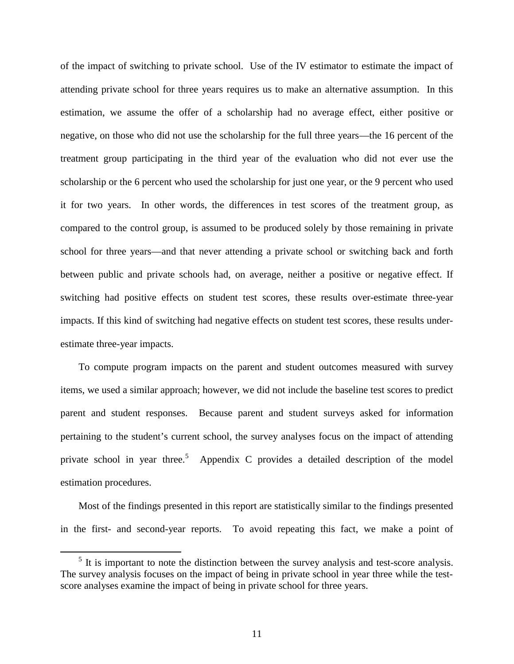of the impact of switching to private school. Use of the IV estimator to estimate the impact of attending private school for three years requires us to make an alternative assumption. In this estimation, we assume the offer of a scholarship had no average effect, either positive or negative, on those who did not use the scholarship for the full three years—the 16 percent of the treatment group participating in the third year of the evaluation who did not ever use the scholarship or the 6 percent who used the scholarship for just one year, or the 9 percent who used it for two years. In other words, the differences in test scores of the treatment group, as compared to the control group, is assumed to be produced solely by those remaining in private school for three years—and that never attending a private school or switching back and forth between public and private schools had, on average, neither a positive or negative effect. If switching had positive effects on student test scores, these results over-estimate three-year impacts. If this kind of switching had negative effects on student test scores, these results underestimate three-year impacts.

To compute program impacts on the parent and student outcomes measured with survey items, we used a similar approach; however, we did not include the baseline test scores to predict parent and student responses. Because parent and student surveys asked for information pertaining to the student's current school, the survey analyses focus on the impact of attending private school in year three.<sup>5</sup> Appendix C provides a detailed description of the model estimation procedures.

Most of the findings presented in this report are statistically similar to the findings presented in the first- and second-year reports. To avoid repeating this fact, we make a point of

<sup>&</sup>lt;sup>5</sup> It is important to note the distinction between the survey analysis and test-score analysis. The survey analysis focuses on the impact of being in private school in year three while the testscore analyses examine the impact of being in private school for three years.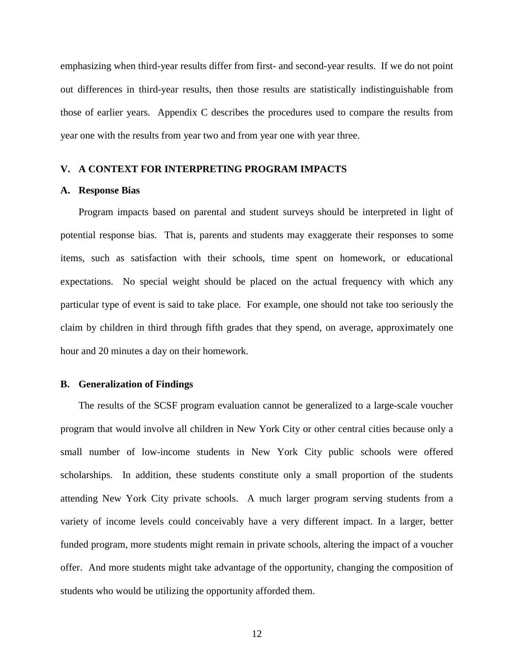emphasizing when third-year results differ from first- and second-year results. If we do not point out differences in third-year results, then those results are statistically indistinguishable from those of earlier years. Appendix C describes the procedures used to compare the results from year one with the results from year two and from year one with year three.

#### **V. A CONTEXT FOR INTERPRETING PROGRAM IMPACTS**

#### **A. Response Bias**

Program impacts based on parental and student surveys should be interpreted in light of potential response bias. That is, parents and students may exaggerate their responses to some items, such as satisfaction with their schools, time spent on homework, or educational expectations. No special weight should be placed on the actual frequency with which any particular type of event is said to take place. For example, one should not take too seriously the claim by children in third through fifth grades that they spend, on average, approximately one hour and 20 minutes a day on their homework.

# **B. Generalization of Findings**

The results of the SCSF program evaluation cannot be generalized to a large-scale voucher program that would involve all children in New York City or other central cities because only a small number of low-income students in New York City public schools were offered scholarships. In addition, these students constitute only a small proportion of the students attending New York City private schools. A much larger program serving students from a variety of income levels could conceivably have a very different impact. In a larger, better funded program, more students might remain in private schools, altering the impact of a voucher offer. And more students might take advantage of the opportunity, changing the composition of students who would be utilizing the opportunity afforded them.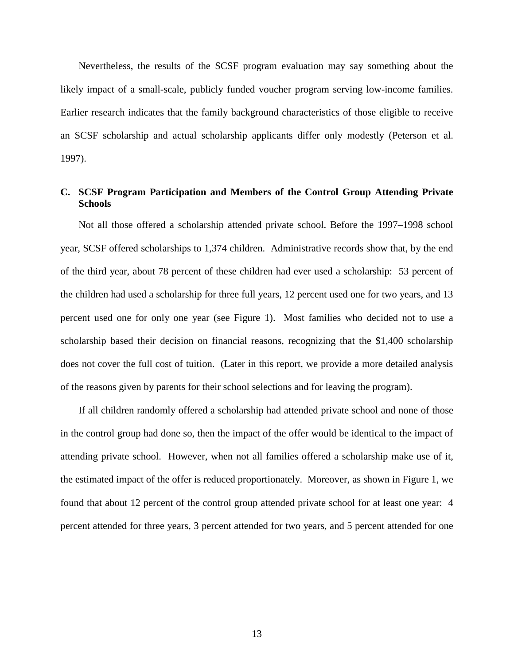Nevertheless, the results of the SCSF program evaluation may say something about the likely impact of a small-scale, publicly funded voucher program serving low-income families. Earlier research indicates that the family background characteristics of those eligible to receive an SCSF scholarship and actual scholarship applicants differ only modestly (Peterson et al. 1997).

# **C. SCSF Program Participation and Members of the Control Group Attending Private Schools**

Not all those offered a scholarship attended private school. Before the 1997–1998 school year, SCSF offered scholarships to 1,374 children. Administrative records show that, by the end of the third year, about 78 percent of these children had ever used a scholarship: 53 percent of the children had used a scholarship for three full years, 12 percent used one for two years, and 13 percent used one for only one year (see Figure 1). Most families who decided not to use a scholarship based their decision on financial reasons, recognizing that the \$1,400 scholarship does not cover the full cost of tuition. (Later in this report, we provide a more detailed analysis of the reasons given by parents for their school selections and for leaving the program).

If all children randomly offered a scholarship had attended private school and none of those in the control group had done so, then the impact of the offer would be identical to the impact of attending private school. However, when not all families offered a scholarship make use of it, the estimated impact of the offer is reduced proportionately. Moreover, as shown in Figure 1, we found that about 12 percent of the control group attended private school for at least one year: 4 percent attended for three years, 3 percent attended for two years, and 5 percent attended for one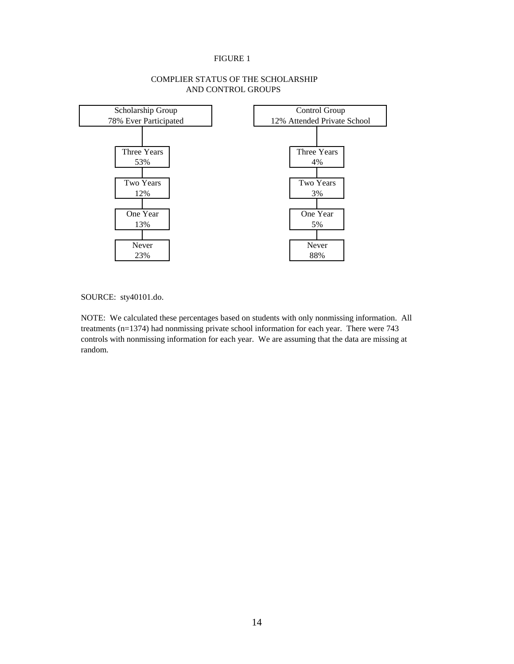#### FIGURE 1



# COMPLIER STATUS OF THE SCHOLARSHIP AND CONTROL GROUPS

SOURCE: sty40101.do.

NOTE: We calculated these percentages based on students with only nonmissing information. All treatments (n=1374) had nonmissing private school information for each year. There were 743 controls with nonmissing information for each year. We are assuming that the data are missing at random.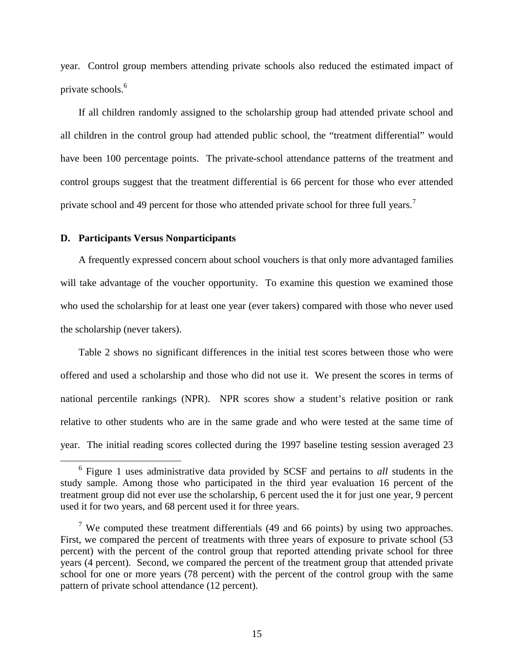year. Control group members attending private schools also reduced the estimated impact of private schools.<sup>6</sup>

If all children randomly assigned to the scholarship group had attended private school and all children in the control group had attended public school, the "treatment differential" would have been 100 percentage points. The private-school attendance patterns of the treatment and control groups suggest that the treatment differential is 66 percent for those who ever attended private school and 49 percent for those who attended private school for three full years.<sup>7</sup>

# **D. Participants Versus Nonparticipants**

A frequently expressed concern about school vouchers is that only more advantaged families will take advantage of the voucher opportunity. To examine this question we examined those who used the scholarship for at least one year (ever takers) compared with those who never used the scholarship (never takers).

Table 2 shows no significant differences in the initial test scores between those who were offered and used a scholarship and those who did not use it. We present the scores in terms of national percentile rankings (NPR). NPR scores show a student's relative position or rank relative to other students who are in the same grade and who were tested at the same time of year. The initial reading scores collected during the 1997 baseline testing session averaged 23

 $\overline{6}$  Figure 1 uses administrative data provided by SCSF and pertains to *all* students in the study sample. Among those who participated in the third year evaluation 16 percent of the treatment group did not ever use the scholarship, 6 percent used the it for just one year, 9 percent used it for two years, and 68 percent used it for three years.

<sup>&</sup>lt;sup>7</sup> We computed these treatment differentials (49 and 66 points) by using two approaches. First, we compared the percent of treatments with three years of exposure to private school (53 percent) with the percent of the control group that reported attending private school for three years (4 percent). Second, we compared the percent of the treatment group that attended private school for one or more years (78 percent) with the percent of the control group with the same pattern of private school attendance (12 percent).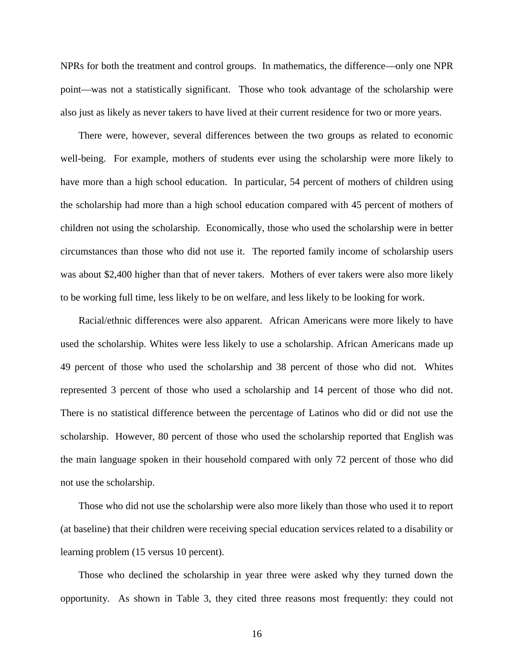NPRs for both the treatment and control groups. In mathematics, the difference—only one NPR point—was not a statistically significant. Those who took advantage of the scholarship were also just as likely as never takers to have lived at their current residence for two or more years.

There were, however, several differences between the two groups as related to economic well-being. For example, mothers of students ever using the scholarship were more likely to have more than a high school education. In particular, 54 percent of mothers of children using the scholarship had more than a high school education compared with 45 percent of mothers of children not using the scholarship. Economically, those who used the scholarship were in better circumstances than those who did not use it. The reported family income of scholarship users was about \$2,400 higher than that of never takers. Mothers of ever takers were also more likely to be working full time, less likely to be on welfare, and less likely to be looking for work.

Racial/ethnic differences were also apparent. African Americans were more likely to have used the scholarship. Whites were less likely to use a scholarship. African Americans made up 49 percent of those who used the scholarship and 38 percent of those who did not. Whites represented 3 percent of those who used a scholarship and 14 percent of those who did not. There is no statistical difference between the percentage of Latinos who did or did not use the scholarship. However, 80 percent of those who used the scholarship reported that English was the main language spoken in their household compared with only 72 percent of those who did not use the scholarship.

Those who did not use the scholarship were also more likely than those who used it to report (at baseline) that their children were receiving special education services related to a disability or learning problem (15 versus 10 percent).

Those who declined the scholarship in year three were asked why they turned down the opportunity. As shown in Table 3, they cited three reasons most frequently: they could not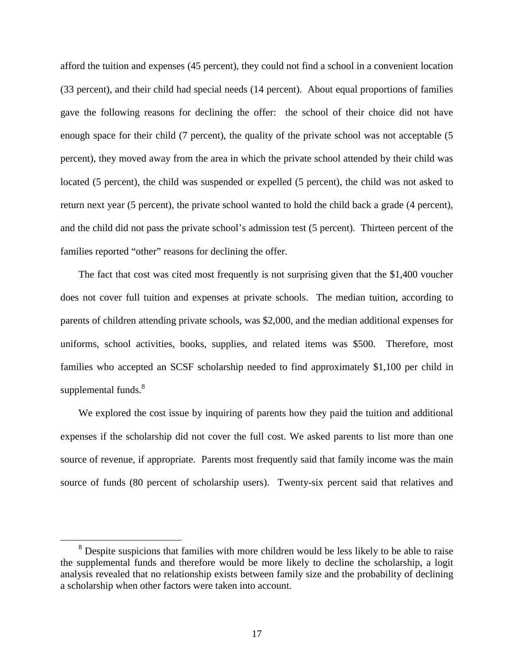afford the tuition and expenses (45 percent), they could not find a school in a convenient location (33 percent), and their child had special needs (14 percent). About equal proportions of families gave the following reasons for declining the offer: the school of their choice did not have enough space for their child (7 percent), the quality of the private school was not acceptable (5 percent), they moved away from the area in which the private school attended by their child was located (5 percent), the child was suspended or expelled (5 percent), the child was not asked to return next year (5 percent), the private school wanted to hold the child back a grade (4 percent), and the child did not pass the private school's admission test (5 percent). Thirteen percent of the families reported "other" reasons for declining the offer.

The fact that cost was cited most frequently is not surprising given that the \$1,400 voucher does not cover full tuition and expenses at private schools. The median tuition, according to parents of children attending private schools, was \$2,000, and the median additional expenses for uniforms, school activities, books, supplies, and related items was \$500. Therefore, most families who accepted an SCSF scholarship needed to find approximately \$1,100 per child in supplemental funds.<sup>8</sup>

We explored the cost issue by inquiring of parents how they paid the tuition and additional expenses if the scholarship did not cover the full cost. We asked parents to list more than one source of revenue, if appropriate. Parents most frequently said that family income was the main source of funds (80 percent of scholarship users). Twenty-six percent said that relatives and

 <sup>8</sup> <sup>8</sup> Despite suspicions that families with more children would be less likely to be able to raise the supplemental funds and therefore would be more likely to decline the scholarship, a logit analysis revealed that no relationship exists between family size and the probability of declining a scholarship when other factors were taken into account.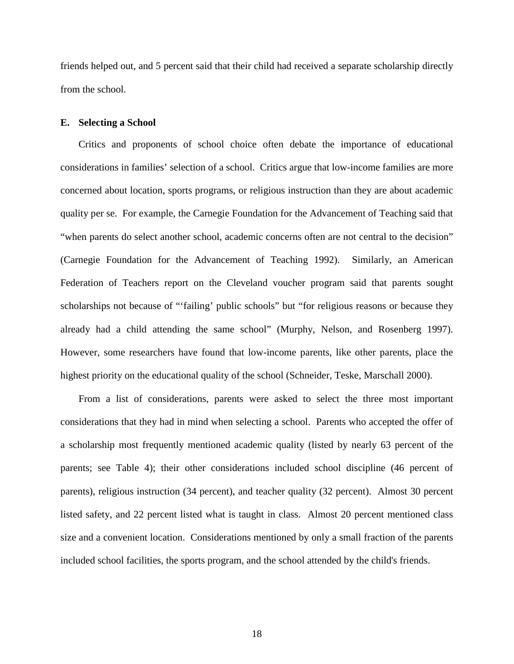friends helped out, and 5 percent said that their child had received a separate scholarship directly from the school.

## **E. Selecting a School**

Critics and proponents of school choice often debate the importance of educational considerations in families' selection of a school. Critics argue that low-income families are more concerned about location, sports programs, or religious instruction than they are about academic quality per se. For example, the Carnegie Foundation for the Advancement of Teaching said that "when parents do select another school, academic concerns often are not central to the decision" (Carnegie Foundation for the Advancement of Teaching 1992). Similarly, an American Federation of Teachers report on the Cleveland voucher program said that parents sought scholarships not because of "'failing' public schools" but "for religious reasons or because they already had a child attending the same school" (Murphy, Nelson, and Rosenberg 1997). However, some researchers have found that low-income parents, like other parents, place the highest priority on the educational quality of the school (Schneider, Teske, Marschall 2000).

From a list of considerations, parents were asked to select the three most important considerations that they had in mind when selecting a school. Parents who accepted the offer of a scholarship most frequently mentioned academic quality (listed by nearly 63 percent of the parents; see Table 4); their other considerations included school discipline (46 percent of parents), religious instruction (34 percent), and teacher quality (32 percent). Almost 30 percent listed safety, and 22 percent listed what is taught in class. Almost 20 percent mentioned class size and a convenient location. Considerations mentioned by only a small fraction of the parents included school facilities, the sports program, and the school attended by the child's friends.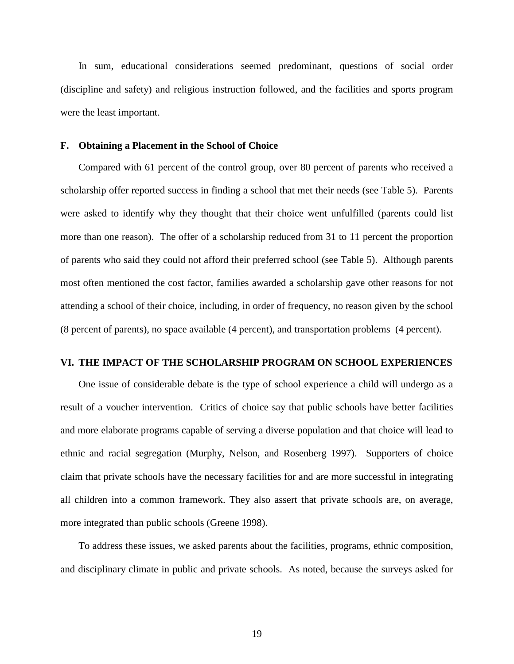In sum, educational considerations seemed predominant, questions of social order (discipline and safety) and religious instruction followed, and the facilities and sports program were the least important.

#### **F. Obtaining a Placement in the School of Choice**

Compared with 61 percent of the control group, over 80 percent of parents who received a scholarship offer reported success in finding a school that met their needs (see Table 5). Parents were asked to identify why they thought that their choice went unfulfilled (parents could list more than one reason). The offer of a scholarship reduced from 31 to 11 percent the proportion of parents who said they could not afford their preferred school (see Table 5). Although parents most often mentioned the cost factor, families awarded a scholarship gave other reasons for not attending a school of their choice, including, in order of frequency, no reason given by the school (8 percent of parents), no space available (4 percent), and transportation problems (4 percent).

# **VI. THE IMPACT OF THE SCHOLARSHIP PROGRAM ON SCHOOL EXPERIENCES**

One issue of considerable debate is the type of school experience a child will undergo as a result of a voucher intervention. Critics of choice say that public schools have better facilities and more elaborate programs capable of serving a diverse population and that choice will lead to ethnic and racial segregation (Murphy, Nelson, and Rosenberg 1997). Supporters of choice claim that private schools have the necessary facilities for and are more successful in integrating all children into a common framework. They also assert that private schools are, on average, more integrated than public schools (Greene 1998).

To address these issues, we asked parents about the facilities, programs, ethnic composition, and disciplinary climate in public and private schools. As noted, because the surveys asked for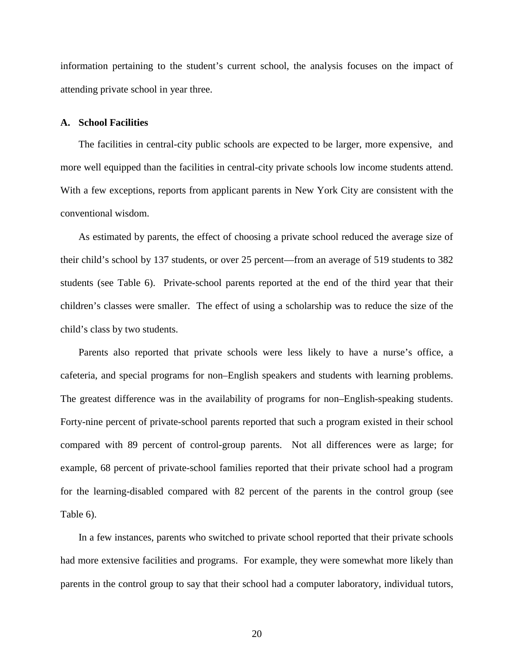information pertaining to the student's current school, the analysis focuses on the impact of attending private school in year three.

## **A. School Facilities**

The facilities in central-city public schools are expected to be larger, more expensive, and more well equipped than the facilities in central-city private schools low income students attend. With a few exceptions, reports from applicant parents in New York City are consistent with the conventional wisdom.

As estimated by parents, the effect of choosing a private school reduced the average size of their child's school by 137 students, or over 25 percent—from an average of 519 students to 382 students (see Table 6). Private-school parents reported at the end of the third year that their children's classes were smaller. The effect of using a scholarship was to reduce the size of the child's class by two students.

Parents also reported that private schools were less likely to have a nurse's office, a cafeteria, and special programs for non–English speakers and students with learning problems. The greatest difference was in the availability of programs for non–English-speaking students. Forty-nine percent of private-school parents reported that such a program existed in their school compared with 89 percent of control-group parents. Not all differences were as large; for example, 68 percent of private-school families reported that their private school had a program for the learning-disabled compared with 82 percent of the parents in the control group (see Table 6).

In a few instances, parents who switched to private school reported that their private schools had more extensive facilities and programs. For example, they were somewhat more likely than parents in the control group to say that their school had a computer laboratory, individual tutors,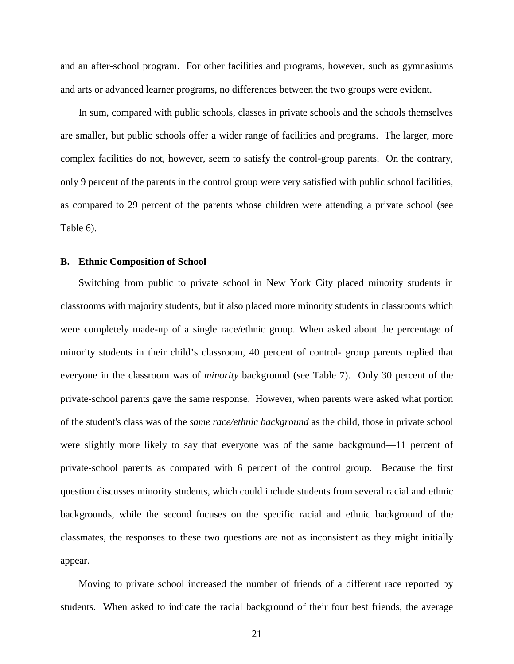and an after-school program. For other facilities and programs, however, such as gymnasiums and arts or advanced learner programs, no differences between the two groups were evident.

In sum, compared with public schools, classes in private schools and the schools themselves are smaller, but public schools offer a wider range of facilities and programs. The larger, more complex facilities do not, however, seem to satisfy the control-group parents. On the contrary, only 9 percent of the parents in the control group were very satisfied with public school facilities, as compared to 29 percent of the parents whose children were attending a private school (see Table 6).

# **B. Ethnic Composition of School**

Switching from public to private school in New York City placed minority students in classrooms with majority students, but it also placed more minority students in classrooms which were completely made-up of a single race/ethnic group. When asked about the percentage of minority students in their child's classroom, 40 percent of control- group parents replied that everyone in the classroom was of *minority* background (see Table 7). Only 30 percent of the private-school parents gave the same response. However, when parents were asked what portion of the student's class was of the *same race/ethnic background* as the child, those in private school were slightly more likely to say that everyone was of the same background—11 percent of private-school parents as compared with 6 percent of the control group. Because the first question discusses minority students, which could include students from several racial and ethnic backgrounds, while the second focuses on the specific racial and ethnic background of the classmates, the responses to these two questions are not as inconsistent as they might initially appear.

Moving to private school increased the number of friends of a different race reported by students. When asked to indicate the racial background of their four best friends, the average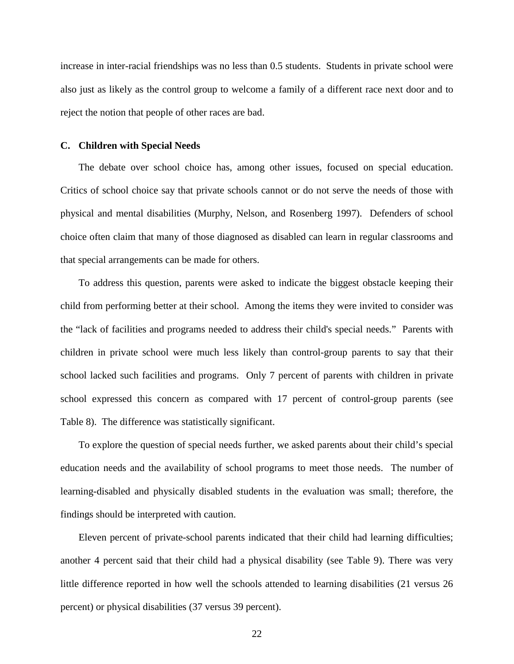increase in inter-racial friendships was no less than 0.5 students. Students in private school were also just as likely as the control group to welcome a family of a different race next door and to reject the notion that people of other races are bad.

# **C. Children with Special Needs**

The debate over school choice has, among other issues, focused on special education. Critics of school choice say that private schools cannot or do not serve the needs of those with physical and mental disabilities (Murphy, Nelson, and Rosenberg 1997). Defenders of school choice often claim that many of those diagnosed as disabled can learn in regular classrooms and that special arrangements can be made for others.

To address this question, parents were asked to indicate the biggest obstacle keeping their child from performing better at their school. Among the items they were invited to consider was the "lack of facilities and programs needed to address their child's special needs." Parents with children in private school were much less likely than control-group parents to say that their school lacked such facilities and programs. Only 7 percent of parents with children in private school expressed this concern as compared with 17 percent of control-group parents (see Table 8). The difference was statistically significant.

To explore the question of special needs further, we asked parents about their child's special education needs and the availability of school programs to meet those needs. The number of learning-disabled and physically disabled students in the evaluation was small; therefore, the findings should be interpreted with caution.

Eleven percent of private-school parents indicated that their child had learning difficulties; another 4 percent said that their child had a physical disability (see Table 9). There was very little difference reported in how well the schools attended to learning disabilities (21 versus 26 percent) or physical disabilities (37 versus 39 percent).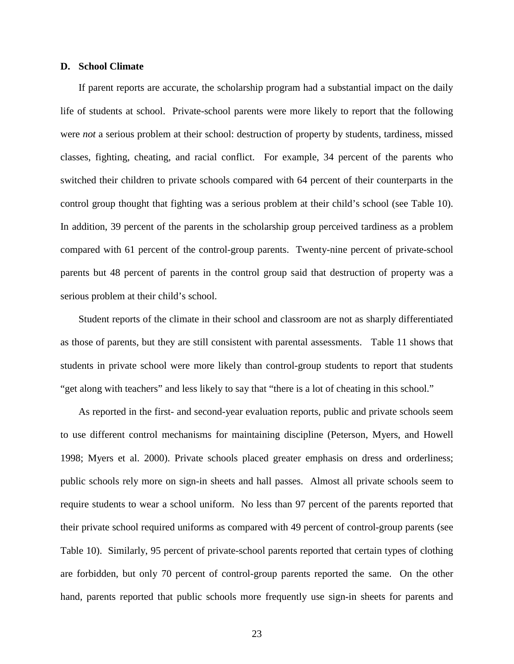# **D. School Climate**

If parent reports are accurate, the scholarship program had a substantial impact on the daily life of students at school. Private-school parents were more likely to report that the following were *not* a serious problem at their school: destruction of property by students, tardiness, missed classes, fighting, cheating, and racial conflict. For example, 34 percent of the parents who switched their children to private schools compared with 64 percent of their counterparts in the control group thought that fighting was a serious problem at their child's school (see Table 10). In addition, 39 percent of the parents in the scholarship group perceived tardiness as a problem compared with 61 percent of the control-group parents. Twenty-nine percent of private-school parents but 48 percent of parents in the control group said that destruction of property was a serious problem at their child's school.

Student reports of the climate in their school and classroom are not as sharply differentiated as those of parents, but they are still consistent with parental assessments. Table 11 shows that students in private school were more likely than control-group students to report that students "get along with teachers" and less likely to say that "there is a lot of cheating in this school."

As reported in the first- and second-year evaluation reports, public and private schools seem to use different control mechanisms for maintaining discipline (Peterson, Myers, and Howell 1998; Myers et al. 2000). Private schools placed greater emphasis on dress and orderliness; public schools rely more on sign-in sheets and hall passes. Almost all private schools seem to require students to wear a school uniform. No less than 97 percent of the parents reported that their private school required uniforms as compared with 49 percent of control-group parents (see Table 10). Similarly, 95 percent of private-school parents reported that certain types of clothing are forbidden, but only 70 percent of control-group parents reported the same. On the other hand, parents reported that public schools more frequently use sign-in sheets for parents and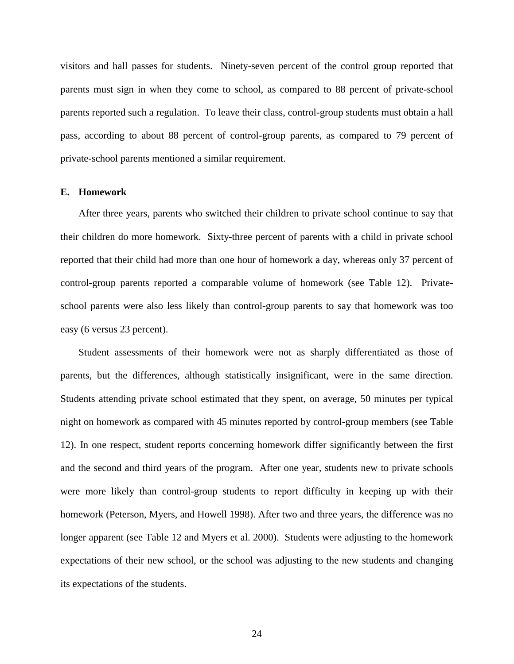visitors and hall passes for students. Ninety-seven percent of the control group reported that parents must sign in when they come to school, as compared to 88 percent of private-school parents reported such a regulation. To leave their class, control-group students must obtain a hall pass, according to about 88 percent of control-group parents, as compared to 79 percent of private-school parents mentioned a similar requirement.

#### **E. Homework**

After three years, parents who switched their children to private school continue to say that their children do more homework. Sixty-three percent of parents with a child in private school reported that their child had more than one hour of homework a day, whereas only 37 percent of control-group parents reported a comparable volume of homework (see Table 12). Privateschool parents were also less likely than control-group parents to say that homework was too easy (6 versus 23 percent).

Student assessments of their homework were not as sharply differentiated as those of parents, but the differences, although statistically insignificant, were in the same direction. Students attending private school estimated that they spent, on average, 50 minutes per typical night on homework as compared with 45 minutes reported by control-group members (see Table 12). In one respect, student reports concerning homework differ significantly between the first and the second and third years of the program. After one year, students new to private schools were more likely than control-group students to report difficulty in keeping up with their homework (Peterson, Myers, and Howell 1998). After two and three years, the difference was no longer apparent (see Table 12 and Myers et al. 2000). Students were adjusting to the homework expectations of their new school, or the school was adjusting to the new students and changing its expectations of the students.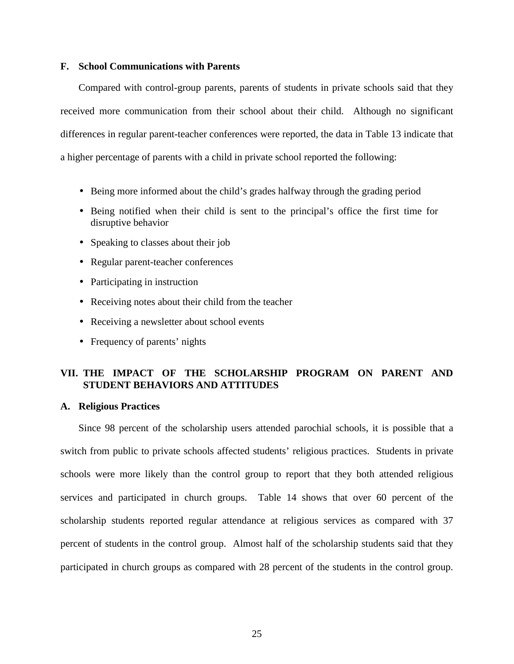# **F. School Communications with Parents**

Compared with control-group parents, parents of students in private schools said that they received more communication from their school about their child. Although no significant differences in regular parent-teacher conferences were reported, the data in Table 13 indicate that a higher percentage of parents with a child in private school reported the following:

- Being more informed about the child's grades halfway through the grading period
- Being notified when their child is sent to the principal's office the first time for disruptive behavior
- Speaking to classes about their job
- Regular parent-teacher conferences
- Participating in instruction
- Receiving notes about their child from the teacher
- Receiving a newsletter about school events
- Frequency of parents' nights

# **VII. THE IMPACT OF THE SCHOLARSHIP PROGRAM ON PARENT AND STUDENT BEHAVIORS AND ATTITUDES**

# **A. Religious Practices**

Since 98 percent of the scholarship users attended parochial schools, it is possible that a switch from public to private schools affected students' religious practices. Students in private schools were more likely than the control group to report that they both attended religious services and participated in church groups. Table 14 shows that over 60 percent of the scholarship students reported regular attendance at religious services as compared with 37 percent of students in the control group. Almost half of the scholarship students said that they participated in church groups as compared with 28 percent of the students in the control group.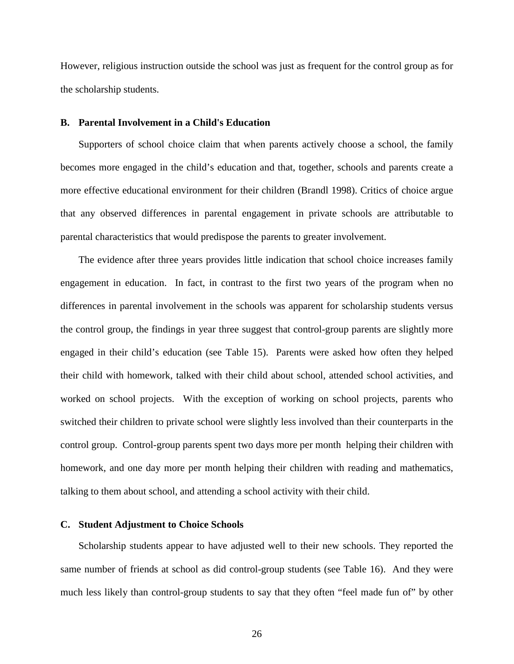However, religious instruction outside the school was just as frequent for the control group as for the scholarship students.

#### **B. Parental Involvement in a Child's Education**

Supporters of school choice claim that when parents actively choose a school, the family becomes more engaged in the child's education and that, together, schools and parents create a more effective educational environment for their children (Brandl 1998). Critics of choice argue that any observed differences in parental engagement in private schools are attributable to parental characteristics that would predispose the parents to greater involvement.

The evidence after three years provides little indication that school choice increases family engagement in education. In fact, in contrast to the first two years of the program when no differences in parental involvement in the schools was apparent for scholarship students versus the control group, the findings in year three suggest that control-group parents are slightly more engaged in their child's education (see Table 15). Parents were asked how often they helped their child with homework, talked with their child about school, attended school activities, and worked on school projects. With the exception of working on school projects, parents who switched their children to private school were slightly less involved than their counterparts in the control group. Control-group parents spent two days more per month helping their children with homework, and one day more per month helping their children with reading and mathematics, talking to them about school, and attending a school activity with their child.

# **C. Student Adjustment to Choice Schools**

Scholarship students appear to have adjusted well to their new schools. They reported the same number of friends at school as did control-group students (see Table 16). And they were much less likely than control-group students to say that they often "feel made fun of" by other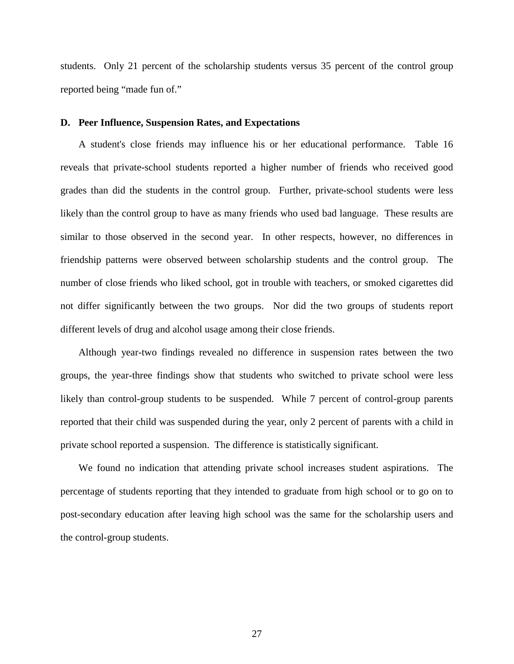students. Only 21 percent of the scholarship students versus 35 percent of the control group reported being "made fun of."

# **D. Peer Influence, Suspension Rates, and Expectations**

A student's close friends may influence his or her educational performance. Table 16 reveals that private-school students reported a higher number of friends who received good grades than did the students in the control group. Further, private-school students were less likely than the control group to have as many friends who used bad language. These results are similar to those observed in the second year. In other respects, however, no differences in friendship patterns were observed between scholarship students and the control group. The number of close friends who liked school, got in trouble with teachers, or smoked cigarettes did not differ significantly between the two groups. Nor did the two groups of students report different levels of drug and alcohol usage among their close friends.

Although year-two findings revealed no difference in suspension rates between the two groups, the year-three findings show that students who switched to private school were less likely than control-group students to be suspended. While 7 percent of control-group parents reported that their child was suspended during the year, only 2 percent of parents with a child in private school reported a suspension. The difference is statistically significant.

We found no indication that attending private school increases student aspirations. The percentage of students reporting that they intended to graduate from high school or to go on to post-secondary education after leaving high school was the same for the scholarship users and the control-group students.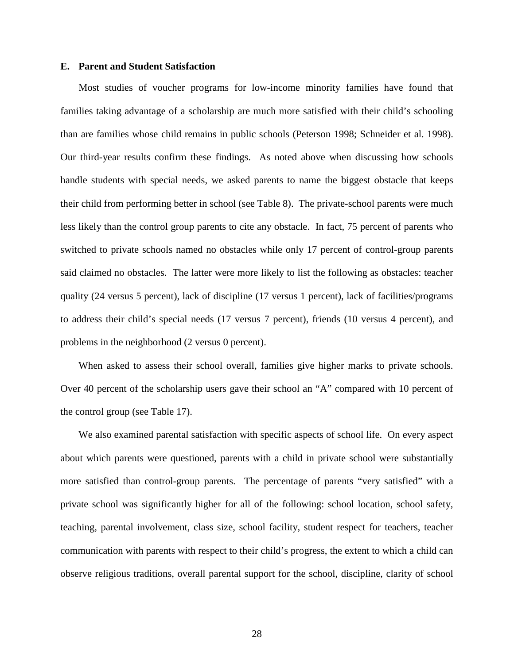# **E. Parent and Student Satisfaction**

Most studies of voucher programs for low-income minority families have found that families taking advantage of a scholarship are much more satisfied with their child's schooling than are families whose child remains in public schools (Peterson 1998; Schneider et al. 1998). Our third-year results confirm these findings. As noted above when discussing how schools handle students with special needs, we asked parents to name the biggest obstacle that keeps their child from performing better in school (see Table 8). The private-school parents were much less likely than the control group parents to cite any obstacle. In fact, 75 percent of parents who switched to private schools named no obstacles while only 17 percent of control-group parents said claimed no obstacles. The latter were more likely to list the following as obstacles: teacher quality (24 versus 5 percent), lack of discipline (17 versus 1 percent), lack of facilities/programs to address their child's special needs (17 versus 7 percent), friends (10 versus 4 percent), and problems in the neighborhood (2 versus 0 percent).

When asked to assess their school overall, families give higher marks to private schools. Over 40 percent of the scholarship users gave their school an "A" compared with 10 percent of the control group (see Table 17).

We also examined parental satisfaction with specific aspects of school life. On every aspect about which parents were questioned, parents with a child in private school were substantially more satisfied than control-group parents. The percentage of parents "very satisfied" with a private school was significantly higher for all of the following: school location, school safety, teaching, parental involvement, class size, school facility, student respect for teachers, teacher communication with parents with respect to their child's progress, the extent to which a child can observe religious traditions, overall parental support for the school, discipline, clarity of school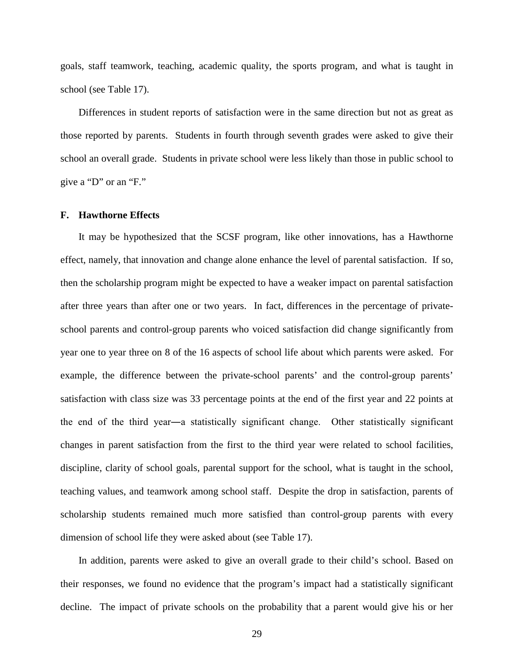goals, staff teamwork, teaching, academic quality, the sports program, and what is taught in school (see Table 17).

Differences in student reports of satisfaction were in the same direction but not as great as those reported by parents. Students in fourth through seventh grades were asked to give their school an overall grade. Students in private school were less likely than those in public school to give a "D" or an "F."

## **F. Hawthorne Effects**

It may be hypothesized that the SCSF program, like other innovations, has a Hawthorne effect, namely, that innovation and change alone enhance the level of parental satisfaction. If so, then the scholarship program might be expected to have a weaker impact on parental satisfaction after three years than after one or two years. In fact, differences in the percentage of privateschool parents and control-group parents who voiced satisfaction did change significantly from year one to year three on 8 of the 16 aspects of school life about which parents were asked. For example, the difference between the private-school parents' and the control-group parents' satisfaction with class size was 33 percentage points at the end of the first year and 22 points at the end of the third year—a statistically significant change. Other statistically significant changes in parent satisfaction from the first to the third year were related to school facilities, discipline, clarity of school goals, parental support for the school, what is taught in the school, teaching values, and teamwork among school staff. Despite the drop in satisfaction, parents of scholarship students remained much more satisfied than control-group parents with every dimension of school life they were asked about (see Table 17).

In addition, parents were asked to give an overall grade to their child's school. Based on their responses, we found no evidence that the program's impact had a statistically significant decline. The impact of private schools on the probability that a parent would give his or her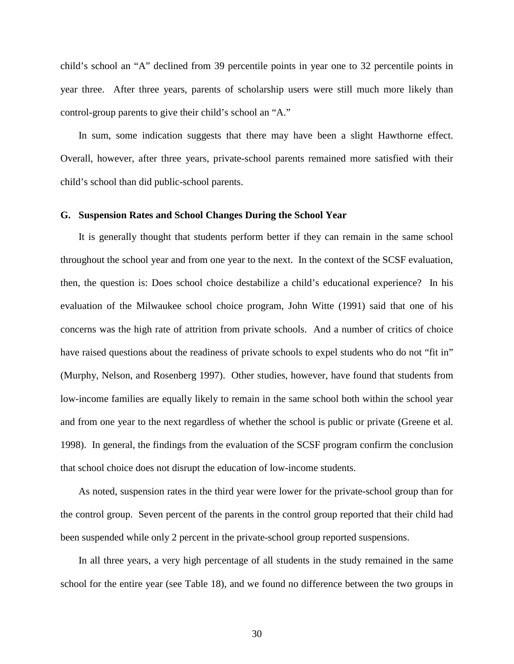child's school an "A" declined from 39 percentile points in year one to 32 percentile points in year three. After three years, parents of scholarship users were still much more likely than control-group parents to give their child's school an "A."

In sum, some indication suggests that there may have been a slight Hawthorne effect. Overall, however, after three years, private-school parents remained more satisfied with their child's school than did public-school parents.

# **G. Suspension Rates and School Changes During the School Year**

It is generally thought that students perform better if they can remain in the same school throughout the school year and from one year to the next. In the context of the SCSF evaluation, then, the question is: Does school choice destabilize a child's educational experience? In his evaluation of the Milwaukee school choice program, John Witte (1991) said that one of his concerns was the high rate of attrition from private schools. And a number of critics of choice have raised questions about the readiness of private schools to expel students who do not "fit in" (Murphy, Nelson, and Rosenberg 1997). Other studies, however, have found that students from low-income families are equally likely to remain in the same school both within the school year and from one year to the next regardless of whether the school is public or private (Greene et al. 1998). In general, the findings from the evaluation of the SCSF program confirm the conclusion that school choice does not disrupt the education of low-income students.

As noted, suspension rates in the third year were lower for the private-school group than for the control group. Seven percent of the parents in the control group reported that their child had been suspended while only 2 percent in the private-school group reported suspensions.

In all three years, a very high percentage of all students in the study remained in the same school for the entire year (see Table 18), and we found no difference between the two groups in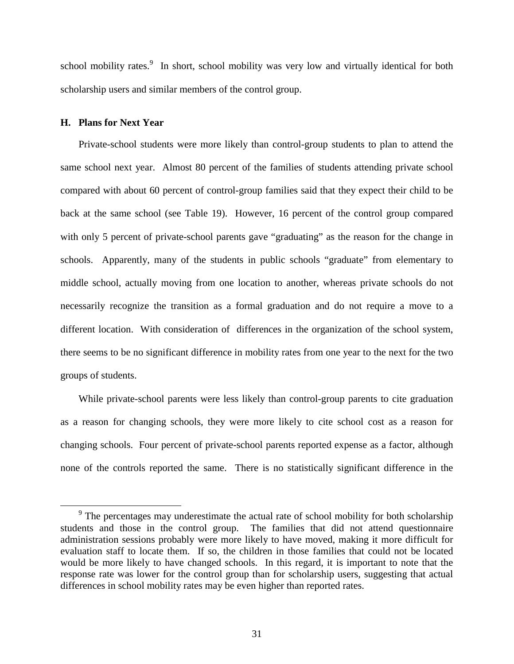school mobility rates.<sup>9</sup> In short, school mobility was very low and virtually identical for both scholarship users and similar members of the control group.

# **H. Plans for Next Year**

Private-school students were more likely than control-group students to plan to attend the same school next year. Almost 80 percent of the families of students attending private school compared with about 60 percent of control-group families said that they expect their child to be back at the same school (see Table 19). However, 16 percent of the control group compared with only 5 percent of private-school parents gave "graduating" as the reason for the change in schools. Apparently, many of the students in public schools "graduate" from elementary to middle school, actually moving from one location to another, whereas private schools do not necessarily recognize the transition as a formal graduation and do not require a move to a different location. With consideration of differences in the organization of the school system, there seems to be no significant difference in mobility rates from one year to the next for the two groups of students.

While private-school parents were less likely than control-group parents to cite graduation as a reason for changing schools, they were more likely to cite school cost as a reason for changing schools. Four percent of private-school parents reported expense as a factor, although none of the controls reported the same. There is no statistically significant difference in the

<sup>&</sup>lt;sup>9</sup> The percentages may underestimate the actual rate of school mobility for both scholarship students and those in the control group. The families that did not attend questionnaire administration sessions probably were more likely to have moved, making it more difficult for evaluation staff to locate them. If so, the children in those families that could not be located would be more likely to have changed schools. In this regard, it is important to note that the response rate was lower for the control group than for scholarship users, suggesting that actual differences in school mobility rates may be even higher than reported rates.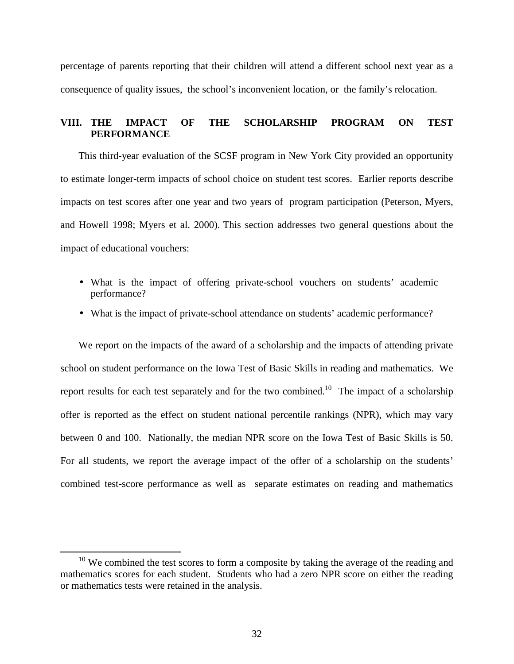percentage of parents reporting that their children will attend a different school next year as a consequence of quality issues, the school's inconvenient location, or the family's relocation.

# **VIII. THE IMPACT OF THE SCHOLARSHIP PROGRAM ON TEST PERFORMANCE**

This third-year evaluation of the SCSF program in New York City provided an opportunity to estimate longer-term impacts of school choice on student test scores. Earlier reports describe impacts on test scores after one year and two years of program participation (Peterson, Myers, and Howell 1998; Myers et al. 2000). This section addresses two general questions about the impact of educational vouchers:

- What is the impact of offering private-school vouchers on students' academic performance?
- What is the impact of private-school attendance on students' academic performance?

We report on the impacts of the award of a scholarship and the impacts of attending private school on student performance on the Iowa Test of Basic Skills in reading and mathematics. We report results for each test separately and for the two combined.<sup>10</sup> The impact of a scholarship offer is reported as the effect on student national percentile rankings (NPR), which may vary between 0 and 100. Nationally, the median NPR score on the Iowa Test of Basic Skills is 50. For all students, we report the average impact of the offer of a scholarship on the students' combined test-score performance as well as separate estimates on reading and mathematics

 $10$  We combined the test scores to form a composite by taking the average of the reading and mathematics scores for each student. Students who had a zero NPR score on either the reading or mathematics tests were retained in the analysis.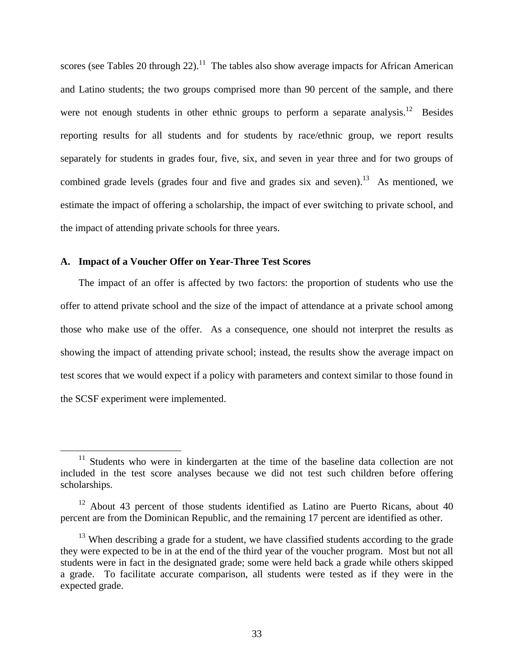scores (see Tables 20 through 22).<sup>11</sup> The tables also show average impacts for African American and Latino students; the two groups comprised more than 90 percent of the sample, and there were not enough students in other ethnic groups to perform a separate analysis.<sup>12</sup> Besides reporting results for all students and for students by race/ethnic group, we report results separately for students in grades four, five, six, and seven in year three and for two groups of combined grade levels (grades four and five and grades six and seven).<sup>13</sup> As mentioned, we estimate the impact of offering a scholarship, the impact of ever switching to private school, and the impact of attending private schools for three years.

# **A. Impact of a Voucher Offer on Year-Three Test Scores**

The impact of an offer is affected by two factors: the proportion of students who use the offer to attend private school and the size of the impact of attendance at a private school among those who make use of the offer. As a consequence, one should not interpret the results as showing the impact of attending private school; instead, the results show the average impact on test scores that we would expect if a policy with parameters and context similar to those found in the SCSF experiment were implemented.

 $11$  Students who were in kindergarten at the time of the baseline data collection are not included in the test score analyses because we did not test such children before offering scholarships.

 $12$  About 43 percent of those students identified as Latino are Puerto Ricans, about 40 percent are from the Dominican Republic, and the remaining 17 percent are identified as other.

 $13$  When describing a grade for a student, we have classified students according to the grade they were expected to be in at the end of the third year of the voucher program. Most but not all students were in fact in the designated grade; some were held back a grade while others skipped a grade. To facilitate accurate comparison, all students were tested as if they were in the expected grade.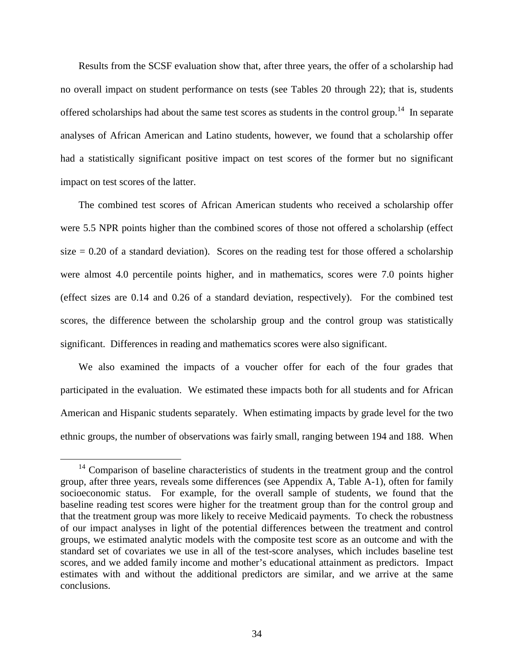Results from the SCSF evaluation show that, after three years, the offer of a scholarship had no overall impact on student performance on tests (see Tables 20 through 22); that is, students offered scholarships had about the same test scores as students in the control group.<sup>14</sup> In separate analyses of African American and Latino students, however, we found that a scholarship offer had a statistically significant positive impact on test scores of the former but no significant impact on test scores of the latter.

The combined test scores of African American students who received a scholarship offer were 5.5 NPR points higher than the combined scores of those not offered a scholarship (effect size  $= 0.20$  of a standard deviation). Scores on the reading test for those offered a scholarship were almost 4.0 percentile points higher, and in mathematics, scores were 7.0 points higher (effect sizes are 0.14 and 0.26 of a standard deviation, respectively). For the combined test scores, the difference between the scholarship group and the control group was statistically significant. Differences in reading and mathematics scores were also significant.

We also examined the impacts of a voucher offer for each of the four grades that participated in the evaluation. We estimated these impacts both for all students and for African American and Hispanic students separately. When estimating impacts by grade level for the two ethnic groups, the number of observations was fairly small, ranging between 194 and 188. When

<sup>&</sup>lt;sup>14</sup> Comparison of baseline characteristics of students in the treatment group and the control group, after three years, reveals some differences (see Appendix A, Table A-1), often for family socioeconomic status. For example, for the overall sample of students, we found that the baseline reading test scores were higher for the treatment group than for the control group and that the treatment group was more likely to receive Medicaid payments. To check the robustness of our impact analyses in light of the potential differences between the treatment and control groups, we estimated analytic models with the composite test score as an outcome and with the standard set of covariates we use in all of the test-score analyses, which includes baseline test scores, and we added family income and mother's educational attainment as predictors. Impact estimates with and without the additional predictors are similar, and we arrive at the same conclusions.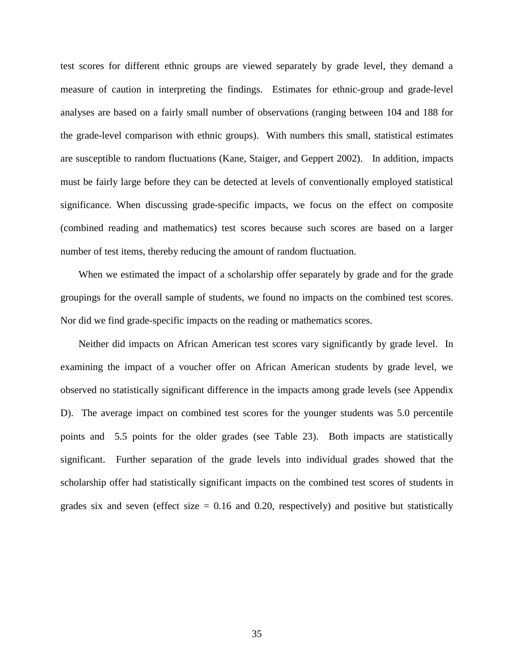test scores for different ethnic groups are viewed separately by grade level, they demand a measure of caution in interpreting the findings. Estimates for ethnic-group and grade-level analyses are based on a fairly small number of observations (ranging between 104 and 188 for the grade-level comparison with ethnic groups). With numbers this small, statistical estimates are susceptible to random fluctuations (Kane, Staiger, and Geppert 2002). In addition, impacts must be fairly large before they can be detected at levels of conventionally employed statistical significance. When discussing grade-specific impacts, we focus on the effect on composite (combined reading and mathematics) test scores because such scores are based on a larger number of test items, thereby reducing the amount of random fluctuation.

When we estimated the impact of a scholarship offer separately by grade and for the grade groupings for the overall sample of students, we found no impacts on the combined test scores. Nor did we find grade-specific impacts on the reading or mathematics scores.

Neither did impacts on African American test scores vary significantly by grade level. In examining the impact of a voucher offer on African American students by grade level, we observed no statistically significant difference in the impacts among grade levels (see Appendix D). The average impact on combined test scores for the younger students was 5.0 percentile points and 5.5 points for the older grades (see Table 23). Both impacts are statistically significant. Further separation of the grade levels into individual grades showed that the scholarship offer had statistically significant impacts on the combined test scores of students in grades six and seven (effect size  $= 0.16$  and 0.20, respectively) and positive but statistically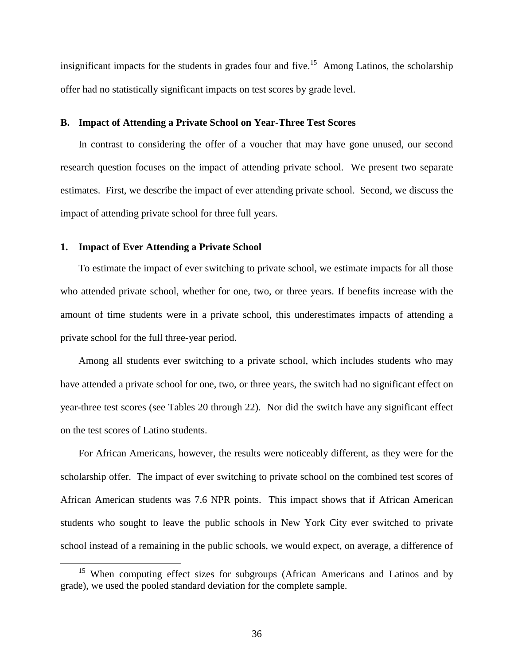insignificant impacts for the students in grades four and five.<sup>15</sup> Among Latinos, the scholarship offer had no statistically significant impacts on test scores by grade level.

# **B. Impact of Attending a Private School on Year-Three Test Scores**

In contrast to considering the offer of a voucher that may have gone unused, our second research question focuses on the impact of attending private school. We present two separate estimates. First, we describe the impact of ever attending private school. Second, we discuss the impact of attending private school for three full years.

# **1. Impact of Ever Attending a Private School**

To estimate the impact of ever switching to private school, we estimate impacts for all those who attended private school, whether for one, two, or three years. If benefits increase with the amount of time students were in a private school, this underestimates impacts of attending a private school for the full three-year period.

Among all students ever switching to a private school, which includes students who may have attended a private school for one, two, or three years, the switch had no significant effect on year-three test scores (see Tables 20 through 22). Nor did the switch have any significant effect on the test scores of Latino students.

For African Americans, however, the results were noticeably different, as they were for the scholarship offer. The impact of ever switching to private school on the combined test scores of African American students was 7.6 NPR points. This impact shows that if African American students who sought to leave the public schools in New York City ever switched to private school instead of a remaining in the public schools, we would expect, on average, a difference of

<sup>&</sup>lt;sup>15</sup> When computing effect sizes for subgroups (African Americans and Latinos and by grade), we used the pooled standard deviation for the complete sample.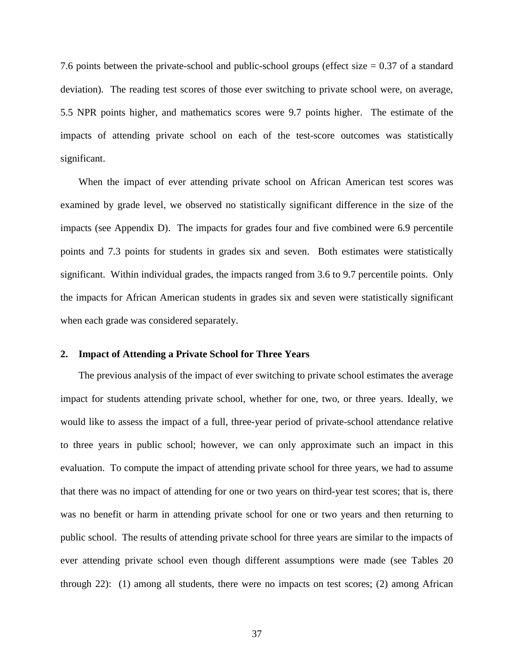7.6 points between the private-school and public-school groups (effect size = 0.37 of a standard deviation). The reading test scores of those ever switching to private school were, on average, 5.5 NPR points higher, and mathematics scores were 9.7 points higher. The estimate of the impacts of attending private school on each of the test-score outcomes was statistically significant.

When the impact of ever attending private school on African American test scores was examined by grade level, we observed no statistically significant difference in the size of the impacts (see Appendix D). The impacts for grades four and five combined were 6.9 percentile points and 7.3 points for students in grades six and seven. Both estimates were statistically significant. Within individual grades, the impacts ranged from 3.6 to 9.7 percentile points. Only the impacts for African American students in grades six and seven were statistically significant when each grade was considered separately.

# **2. Impact of Attending a Private School for Three Years**

The previous analysis of the impact of ever switching to private school estimates the average impact for students attending private school, whether for one, two, or three years. Ideally, we would like to assess the impact of a full, three-year period of private-school attendance relative to three years in public school; however, we can only approximate such an impact in this evaluation. To compute the impact of attending private school for three years, we had to assume that there was no impact of attending for one or two years on third-year test scores; that is, there was no benefit or harm in attending private school for one or two years and then returning to public school. The results of attending private school for three years are similar to the impacts of ever attending private school even though different assumptions were made (see Tables 20 through 22): (1) among all students, there were no impacts on test scores; (2) among African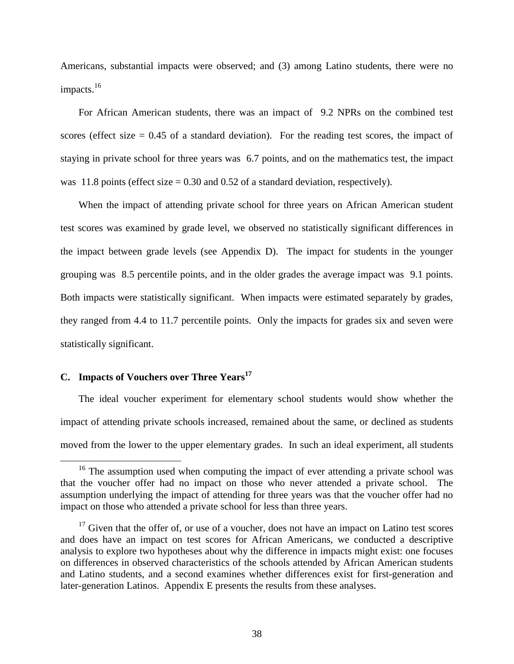Americans, substantial impacts were observed; and (3) among Latino students, there were no impacts.<sup>16</sup>

For African American students, there was an impact of 9.2 NPRs on the combined test scores (effect size  $= 0.45$  of a standard deviation). For the reading test scores, the impact of staying in private school for three years was 6.7 points, and on the mathematics test, the impact was 11.8 points (effect size  $= 0.30$  and 0.52 of a standard deviation, respectively).

When the impact of attending private school for three years on African American student test scores was examined by grade level, we observed no statistically significant differences in the impact between grade levels (see Appendix D). The impact for students in the younger grouping was 8.5 percentile points, and in the older grades the average impact was 9.1 points. Both impacts were statistically significant. When impacts were estimated separately by grades, they ranged from 4.4 to 11.7 percentile points. Only the impacts for grades six and seven were statistically significant.

# **C. Impacts of Vouchers over Three Years<sup>17</sup>**

The ideal voucher experiment for elementary school students would show whether the impact of attending private schools increased, remained about the same, or declined as students moved from the lower to the upper elementary grades. In such an ideal experiment, all students

 $16$  The assumption used when computing the impact of ever attending a private school was that the voucher offer had no impact on those who never attended a private school. The assumption underlying the impact of attending for three years was that the voucher offer had no impact on those who attended a private school for less than three years.

 $17$  Given that the offer of, or use of a voucher, does not have an impact on Latino test scores and does have an impact on test scores for African Americans, we conducted a descriptive analysis to explore two hypotheses about why the difference in impacts might exist: one focuses on differences in observed characteristics of the schools attended by African American students and Latino students, and a second examines whether differences exist for first-generation and later-generation Latinos. Appendix E presents the results from these analyses.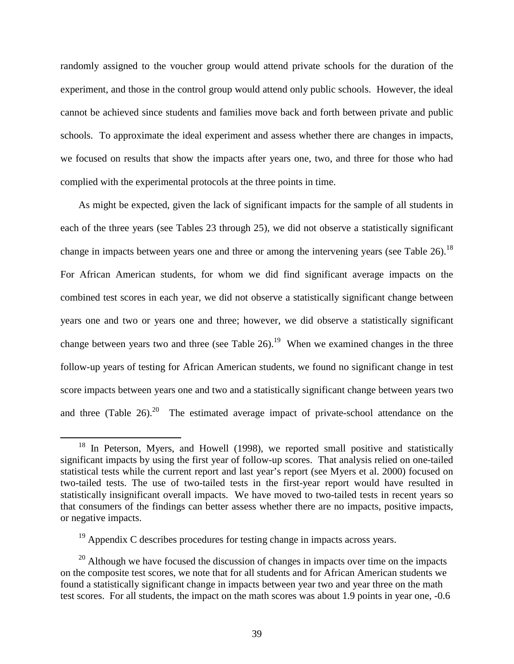randomly assigned to the voucher group would attend private schools for the duration of the experiment, and those in the control group would attend only public schools. However, the ideal cannot be achieved since students and families move back and forth between private and public schools. To approximate the ideal experiment and assess whether there are changes in impacts, we focused on results that show the impacts after years one, two, and three for those who had complied with the experimental protocols at the three points in time.

As might be expected, given the lack of significant impacts for the sample of all students in each of the three years (see Tables 23 through 25), we did not observe a statistically significant change in impacts between years one and three or among the intervening years (see Table 26).<sup>18</sup> For African American students, for whom we did find significant average impacts on the combined test scores in each year, we did not observe a statistically significant change between years one and two or years one and three; however, we did observe a statistically significant change between years two and three (see Table 26).<sup>19</sup> When we examined changes in the three follow-up years of testing for African American students, we found no significant change in test score impacts between years one and two and a statistically significant change between years two and three (Table  $26$ ).<sup>20</sup> The estimated average impact of private-school attendance on the

<sup>&</sup>lt;sup>18</sup> In Peterson, Myers, and Howell (1998), we reported small positive and statistically significant impacts by using the first year of follow-up scores. That analysis relied on one-tailed statistical tests while the current report and last year's report (see Myers et al. 2000) focused on two-tailed tests. The use of two-tailed tests in the first-year report would have resulted in statistically insignificant overall impacts. We have moved to two-tailed tests in recent years so that consumers of the findings can better assess whether there are no impacts, positive impacts, or negative impacts.

 $19$  Appendix C describes procedures for testing change in impacts across years.

 $20$  Although we have focused the discussion of changes in impacts over time on the impacts on the composite test scores, we note that for all students and for African American students we found a statistically significant change in impacts between year two and year three on the math test scores. For all students, the impact on the math scores was about 1.9 points in year one, -0.6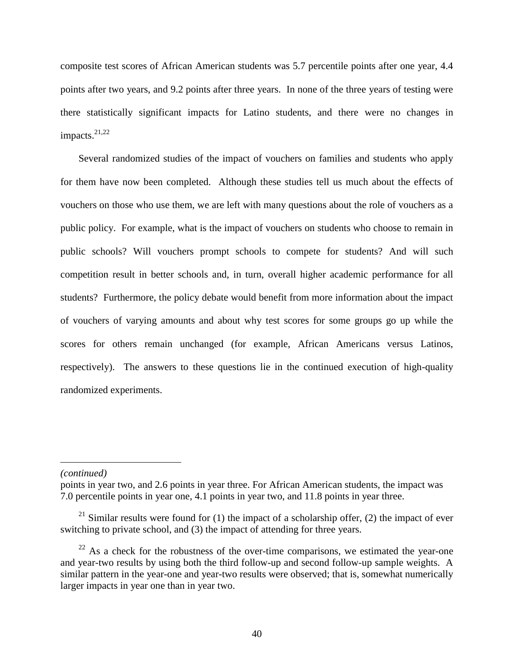composite test scores of African American students was 5.7 percentile points after one year, 4.4 points after two years, and 9.2 points after three years. In none of the three years of testing were there statistically significant impacts for Latino students, and there were no changes in impacts.<sup>21,22</sup>

Several randomized studies of the impact of vouchers on families and students who apply for them have now been completed. Although these studies tell us much about the effects of vouchers on those who use them, we are left with many questions about the role of vouchers as a public policy. For example, what is the impact of vouchers on students who choose to remain in public schools? Will vouchers prompt schools to compete for students? And will such competition result in better schools and, in turn, overall higher academic performance for all students? Furthermore, the policy debate would benefit from more information about the impact of vouchers of varying amounts and about why test scores for some groups go up while the scores for others remain unchanged (for example, African Americans versus Latinos, respectively). The answers to these questions lie in the continued execution of high-quality randomized experiments.

# *(continued)*

 $\overline{a}$ 

points in year two, and 2.6 points in year three. For African American students, the impact was 7.0 percentile points in year one, 4.1 points in year two, and 11.8 points in year three.

<sup>&</sup>lt;sup>21</sup> Similar results were found for (1) the impact of a scholarship offer, (2) the impact of ever switching to private school, and (3) the impact of attending for three years.

 $^{22}$  As a check for the robustness of the over-time comparisons, we estimated the year-one and year-two results by using both the third follow-up and second follow-up sample weights. A similar pattern in the year-one and year-two results were observed; that is, somewhat numerically larger impacts in year one than in year two.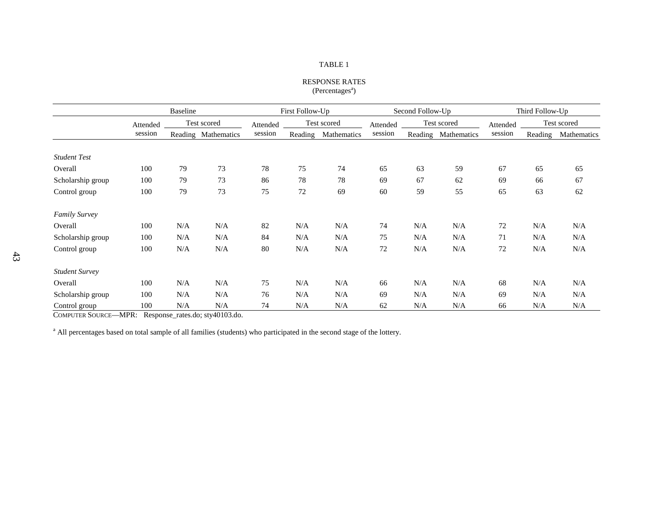### RESPONSE RATES  $(Percentages<sup>a</sup>)$

|                       | <b>Baseline</b> |     | First Follow-Up     |                         | Second Follow-Up |                         |         | Third Follow-Up |             |         |             |             |
|-----------------------|-----------------|-----|---------------------|-------------------------|------------------|-------------------------|---------|-----------------|-------------|---------|-------------|-------------|
|                       | Attended        |     | Test scored         | Test scored<br>Attended |                  | Test scored<br>Attended |         |                 | Attended    |         | Test scored |             |
|                       | session         |     | Reading Mathematics | session                 | Reading          | Mathematics             | session | Reading         | Mathematics | session | Reading     | Mathematics |
| <b>Student Test</b>   |                 |     |                     |                         |                  |                         |         |                 |             |         |             |             |
| Overall               | 100             | 79  | 73                  | 78                      | 75               | 74                      | 65      | 63              | 59          | 67      | 65          | 65          |
| Scholarship group     | 100             | 79  | 73                  | 86                      | 78               | 78                      | 69      | 67              | 62          | 69      | 66          | 67          |
| Control group         | 100             | 79  | 73                  | 75                      | 72               | 69                      | 60      | 59              | 55          | 65      | 63          | 62          |
| <b>Family Survey</b>  |                 |     |                     |                         |                  |                         |         |                 |             |         |             |             |
| Overall               | 100             | N/A | N/A                 | 82                      | N/A              | N/A                     | 74      | N/A             | N/A         | 72      | N/A         | N/A         |
| Scholarship group     | 100             | N/A | N/A                 | 84                      | N/A              | N/A                     | 75      | N/A             | N/A         | 71      | N/A         | N/A         |
| Control group         | 100             | N/A | N/A                 | 80                      | N/A              | N/A                     | 72      | N/A             | N/A         | 72      | N/A         | N/A         |
| <b>Student Survey</b> |                 |     |                     |                         |                  |                         |         |                 |             |         |             |             |
| Overall               | 100             | N/A | N/A                 | 75                      | N/A              | N/A                     | 66      | N/A             | N/A         | 68      | N/A         | N/A         |
| Scholarship group     | 100             | N/A | N/A                 | 76                      | N/A              | N/A                     | 69      | N/A             | N/A         | 69      | N/A         | N/A         |
| Control group         | 100             | N/A | N/A                 | 74                      | N/A              | N/A                     | 62      | N/A             | N/A         | 66      | N/A         | N/A         |

COMPUTER SOURCE—MPR: Response\_rates.do; sty40103.do.

<sup>a</sup> All percentages based on total sample of all families (students) who participated in the second stage of the lottery.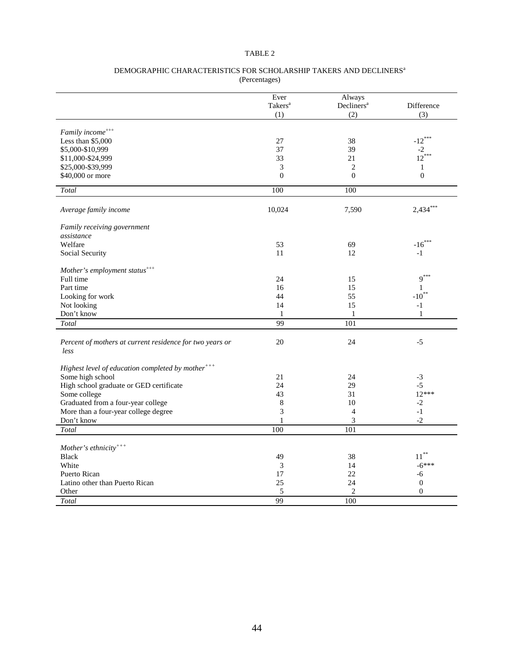### DEMOGRAPHIC CHARACTERISTICS FOR SCHOLARSHIP TAKERS AND DECLINERS<sup>a</sup> (Percentages)

|                                                                  | Ever<br>Takers <sup>a</sup><br>(1) | Always<br>Decliners <sup>a</sup><br>(2) | Difference<br>(3)         |
|------------------------------------------------------------------|------------------------------------|-----------------------------------------|---------------------------|
|                                                                  |                                    |                                         |                           |
| Family income <sup>+++</sup>                                     |                                    |                                         |                           |
| Less than $$5,000$                                               | 27                                 | 38                                      | $-12***$                  |
| \$5,000-\$10,999                                                 | 37                                 | 39                                      | $-2$<br>12 <sup>***</sup> |
| \$11,000-\$24,999                                                | 33                                 | 21                                      |                           |
| \$25,000-\$39,999                                                | 3                                  | $\overline{c}$                          | 1                         |
| \$40,000 or more                                                 | $\overline{0}$                     | $\overline{0}$                          | $\overline{0}$            |
| Total                                                            | 100                                | 100                                     |                           |
| Average family income                                            | 10,024                             | 7,590                                   | $2,434***$                |
| Family receiving government                                      |                                    |                                         |                           |
| assistance                                                       |                                    |                                         |                           |
| Welfare                                                          | 53                                 | 69                                      | $-16***$                  |
| Social Security                                                  | 11                                 | 12                                      | $-1$                      |
| Mother's employment status <sup>+++</sup>                        |                                    |                                         |                           |
| Full time                                                        | 24                                 | 15                                      | $9***$                    |
| Part time                                                        | 16                                 | 15                                      | 1                         |
| Looking for work                                                 | 44                                 | 55                                      | $-10^{**}$                |
| Not looking                                                      | 14                                 | 15                                      | $-1$                      |
| Don't know                                                       | $\mathbf{1}$                       | $\mathbf{1}$                            | $\mathbf{1}$              |
| Total                                                            | 99                                 | 101                                     |                           |
| Percent of mothers at current residence for two years or<br>less | 20                                 | 24                                      | $-5$                      |
| Highest level of education completed by mother <sup>+++</sup>    |                                    |                                         |                           |
| Some high school                                                 | 21                                 | 24                                      | $-3$                      |
| High school graduate or GED certificate                          | 24                                 | 29                                      | $-5$                      |
| Some college                                                     | 43                                 | 31                                      | $12***$                   |
| Graduated from a four-year college                               | 8                                  | 10                                      | $-2$                      |
| More than a four-year college degree                             | 3                                  | $\overline{4}$                          | $-1$                      |
| Don't know                                                       | 1                                  | 3                                       | $-2$                      |
| Total                                                            | 100                                | 101                                     |                           |
| Mother's ethnicity <sup>+++</sup>                                |                                    |                                         |                           |
| <b>Black</b>                                                     | 49                                 | 38                                      | $11***$                   |
| White                                                            | 3                                  | 14                                      | $-6***$                   |
| <b>Puerto Rican</b>                                              | 17                                 | 22                                      | -6                        |
| Latino other than Puerto Rican                                   | 25                                 | 24                                      | $\boldsymbol{0}$          |
| Other                                                            | 5                                  | $\overline{c}$                          | $\Omega$                  |
| Total                                                            | 99                                 | 100                                     |                           |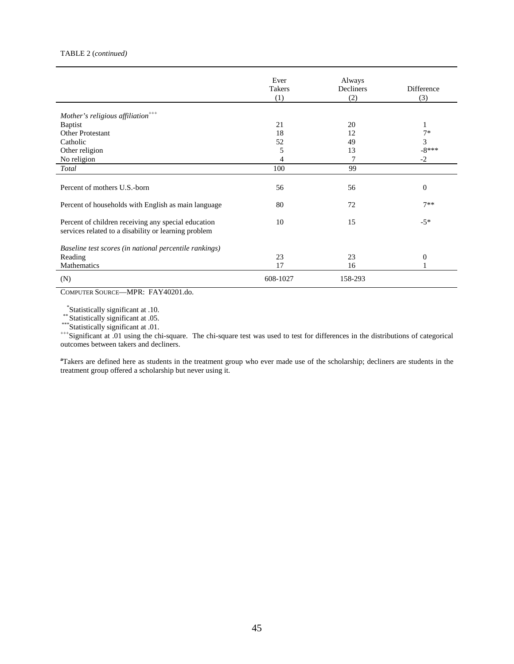### TABLE 2 (*continued)*

|                                                                                                             | Ever<br>Takers | Always<br>Decliners | Difference     |
|-------------------------------------------------------------------------------------------------------------|----------------|---------------------|----------------|
|                                                                                                             | (1)            | (2)                 | (3)            |
| Mother's religious affiliation <sup>+++</sup>                                                               |                |                     |                |
| <b>Baptist</b>                                                                                              | 21             | 20                  | 1              |
| Other Protestant                                                                                            | 18             | 12                  | $7*$           |
| Catholic                                                                                                    | 52             | 49                  | $\mathfrak{Z}$ |
| Other religion                                                                                              | 5              | 13                  | $-8***$        |
| No religion                                                                                                 | 4              | 7                   | $-2$           |
| Total                                                                                                       | 100            | 99                  |                |
|                                                                                                             |                |                     |                |
| Percent of mothers U.S.-born                                                                                | 56             | 56                  | $\theta$       |
| Percent of households with English as main language                                                         | 80             | 72                  | $7**$          |
|                                                                                                             |                |                     |                |
| Percent of children receiving any special education<br>services related to a disability or learning problem | 10             | 15                  | $-5*$          |
|                                                                                                             |                |                     |                |
| Baseline test scores (in national percentile rankings)                                                      |                |                     |                |
| Reading                                                                                                     | 23             | 23                  | $\theta$       |
| Mathematics                                                                                                 | 17             | 16                  |                |
| (N)                                                                                                         | 608-1027       | 158-293             |                |

COMPUTER SOURCE—MPR: FAY40201.do.

\*Statistically significant at .10.<br>\*\*Statistically significant at .05.<br>\*\*\*Statistically significant at .01.<br>\*\*\*Statistically significant at .01 using the chi-square. The chi-square test was used to test for differences in outcomes between takers and decliners.

**a** Takers are defined here as students in the treatment group who ever made use of the scholarship; decliners are students in the treatment group offered a scholarship but never using it.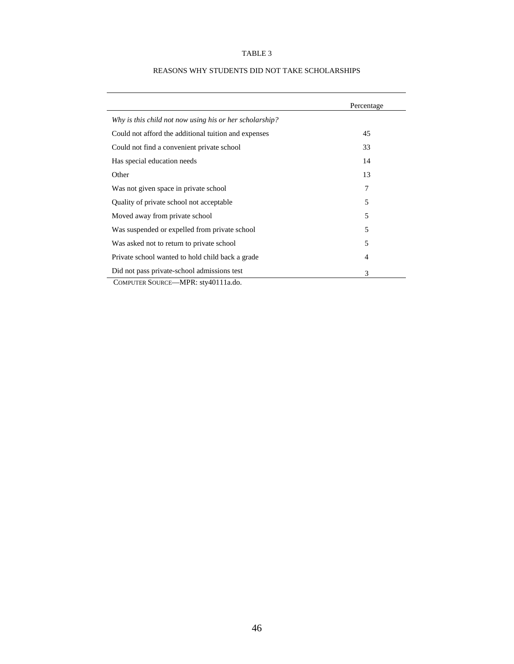|                                                                                                    | Percentage |
|----------------------------------------------------------------------------------------------------|------------|
| Why is this child not now using his or her scholarship?                                            |            |
| Could not afford the additional tuition and expenses                                               | 45         |
| Could not find a convenient private school                                                         | 33         |
| Has special education needs                                                                        | 14         |
| Other                                                                                              | 13         |
| Was not given space in private school                                                              | 7          |
| Quality of private school not acceptable                                                           | 5          |
| Moved away from private school                                                                     | 5          |
| Was suspended or expelled from private school                                                      | 5          |
| Was asked not to return to private school                                                          | 5          |
| Private school wanted to hold child back a grade                                                   | 4          |
| Did not pass private-school admissions test<br>$Q_{11} = 0 = 0 = 0 = 1$ $\lambda$ $IDD = 10111111$ | 3          |

# REASONS WHY STUDENTS DID NOT TAKE SCHOLARSHIPS

COMPUTER SOURCE—MPR: sty40111a.do.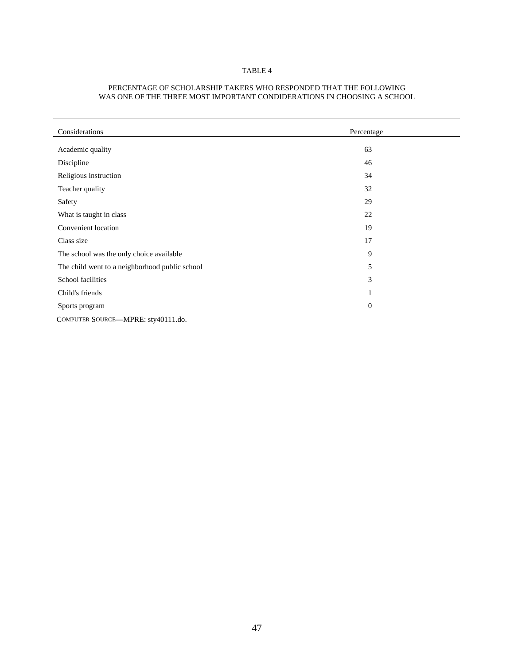| Considerations                                 | Percentage       |
|------------------------------------------------|------------------|
|                                                |                  |
| Academic quality                               | 63               |
| Discipline                                     | 46               |
| Religious instruction                          | 34               |
| Teacher quality                                | 32               |
| Safety                                         | 29               |
| What is taught in class                        | 22               |
| Convenient location                            | 19               |
| Class size                                     | 17               |
| The school was the only choice available       | 9                |
| The child went to a neighborhood public school | 5                |
| School facilities                              | 3                |
| Child's friends                                | 1                |
| Sports program                                 | $\boldsymbol{0}$ |

### PERCENTAGE OF SCHOLARSHIP TAKERS WHO RESPONDED THAT THE FOLLOWING WAS ONE OF THE THREE MOST IMPORTANT CONDIDERATIONS IN CHOOSING A SCHOOL

COMPUTER SOURCE—MPRE: sty40111.do.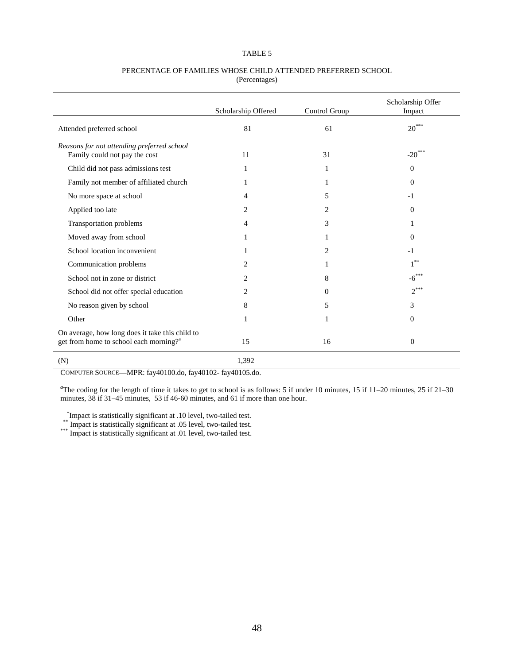### PERCENTAGE OF FAMILIES WHOSE CHILD ATTENDED PREFERRED SCHOOL (Percentages)

|                                                                                                       | Scholarship Offered | Control Group  | Scholarship Offer<br>Impact |
|-------------------------------------------------------------------------------------------------------|---------------------|----------------|-----------------------------|
| Attended preferred school                                                                             | 81                  | 61             | $20***$                     |
| Reasons for not attending preferred school<br>Family could not pay the cost                           | 11                  | 31             | $-20***$                    |
| Child did not pass admissions test                                                                    | 1                   | 1              | $\theta$                    |
| Family not member of affiliated church                                                                |                     |                | $\theta$                    |
| No more space at school                                                                               | 4                   | 5              | $-1$                        |
| Applied too late                                                                                      | 2                   | $\overline{c}$ | $\Omega$                    |
| Transportation problems                                                                               | 4                   | 3              | 1                           |
| Moved away from school                                                                                |                     |                | $\Omega$                    |
| School location inconvenient                                                                          | 1                   | $\overline{c}$ | $-1$                        |
| Communication problems                                                                                | 2                   |                | $* *$                       |
| School not in zone or district                                                                        | 2                   | 8              | -6                          |
| School did not offer special education                                                                | 2                   | 0              | $2***$                      |
| No reason given by school                                                                             | 8                   | 5              | 3                           |
| Other                                                                                                 | 1                   | 1              | $\theta$                    |
| On average, how long does it take this child to<br>get from home to school each morning? <sup>a</sup> | 15                  | 16             | $\theta$                    |
| (N)                                                                                                   | 1,392               |                |                             |

COMPUTER SOURCE—MPR: fay40100.do, fay40102- fay40105.do.

*a* The coding for the length of time it takes to get to school is as follows: 5 if under 10 minutes, 15 if 11–20 minutes, 25 if 21–30 minutes, 38 if 31–45 minutes, 53 if 46-60 minutes, and 61 if more than one hour.

\*Impact is statistically significant at .10 level, two-tailed test. \*\* Impact is statistically significant at .05 level, two-tailed test. \*\*\* Impact is statistically significant at .01 level, two-tailed test.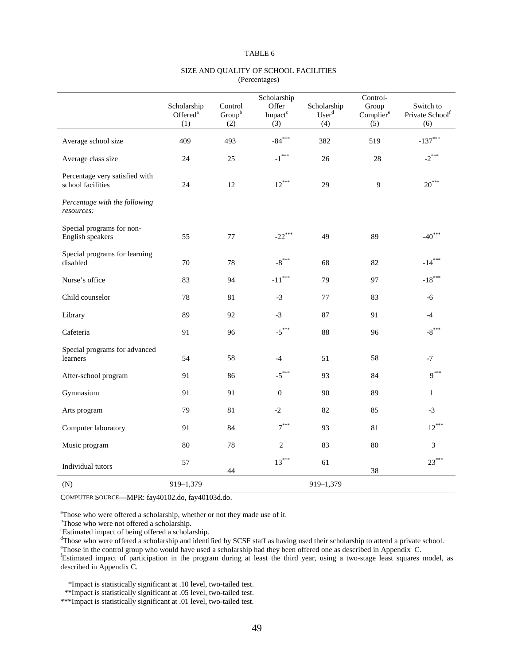|                                                     | Scholarship<br>Offered <sup>a</sup><br>(1) | Control<br>$Group^b$<br>(2) | Scholarship<br>Offer<br>Impact <sup>c</sup><br>(3) | Scholarship<br>User <sup>d</sup><br>(4) | Control-<br>Group<br>Complier <sup>e</sup><br>$\overline{(5)}$ | Switch to<br>Private School <sup>f</sup><br>(6) |
|-----------------------------------------------------|--------------------------------------------|-----------------------------|----------------------------------------------------|-----------------------------------------|----------------------------------------------------------------|-------------------------------------------------|
| Average school size                                 | 409                                        | 493                         | $-84***$                                           | 382                                     | 519                                                            | $-137***$                                       |
| Average class size                                  | 24                                         | 25                          | $\text{-1}^{\ast\ast\ast}$                         | 26                                      | 28                                                             | $-2$ <sup>***</sup>                             |
| Percentage very satisfied with<br>school facilities | 24                                         | 12                          | $12***$                                            | 29                                      | 9                                                              | $20***$                                         |
| Percentage with the following<br>resources:         |                                            |                             |                                                    |                                         |                                                                |                                                 |
| Special programs for non-<br>English speakers       | 55                                         | $77\,$                      | $-22***$                                           | 49                                      | 89                                                             | $-40***$                                        |
| Special programs for learning<br>disabled           | 70                                         | 78                          | $-8$ <sup>***</sup>                                | 68                                      | 82                                                             | $-14***$                                        |
| Nurse's office                                      | 83                                         | 94                          | $\text{-}11^{\ast\ast\ast}$                        | 79                                      | 97                                                             | $-18***$                                        |
| Child counselor                                     | 78                                         | 81                          | $-3$                                               | 77                                      | 83                                                             | $-6$                                            |
| Library                                             | 89                                         | 92                          | $-3$                                               | 87                                      | 91                                                             | $-4$                                            |
| Cafeteria                                           | 91                                         | 96                          | $-5***$                                            | 88                                      | 96                                                             | $-8$ <sup>***</sup>                             |
| Special programs for advanced<br>learners           | 54                                         | 58                          | $-4$                                               | 51                                      | 58                                                             | $-7$                                            |
| After-school program                                | 91                                         | 86                          | $-5$ ***                                           | 93                                      | 84                                                             | $9***$                                          |
| Gymnasium                                           | 91                                         | 91                          | $\mathbf{0}$                                       | 90                                      | 89                                                             | $\mathbf{1}$                                    |
| Arts program                                        | 79                                         | 81                          | $-2$                                               | 82                                      | 85                                                             | $-3$                                            |
| Computer laboratory                                 | 91                                         | 84                          | $7***$                                             | 93                                      | 81                                                             | $12***$                                         |
| Music program                                       | 80                                         | 78                          | $\mathbf{2}$                                       | 83                                      | 80                                                             | $\overline{3}$                                  |
| Individual tutors                                   | 57                                         | 44                          | $13***$                                            | 61                                      | 38                                                             | $23***$                                         |
| (N)                                                 | 919-1,379                                  |                             |                                                    | 919-1,379                               |                                                                |                                                 |

### SIZE AND QUALITY OF SCHOOL FACILITIES (Percentages)

COMPUTER SOURCE—MPR: fay40102.do, fay40103d.do.

a Those who were offered a scholarship, whether or not they made use of it. b Those who were not offered a scholarship.

c Estimated impact of being offered a scholarship.

<sup>d</sup>Those who were offered a scholarship and identified by SCSF staff as having used their scholarship to attend a private school. <sup>e</sup>Those in the control group who would have used a scholarship had they been offered one as described in Appendix C.<br><sup>f</sup>Estimated impact of participation in the program during at least the third year, using a two-stage le described in Appendix C.

\*Impact is statistically significant at .10 level, two-tailed test.

\*\*Impact is statistically significant at .05 level, two-tailed test.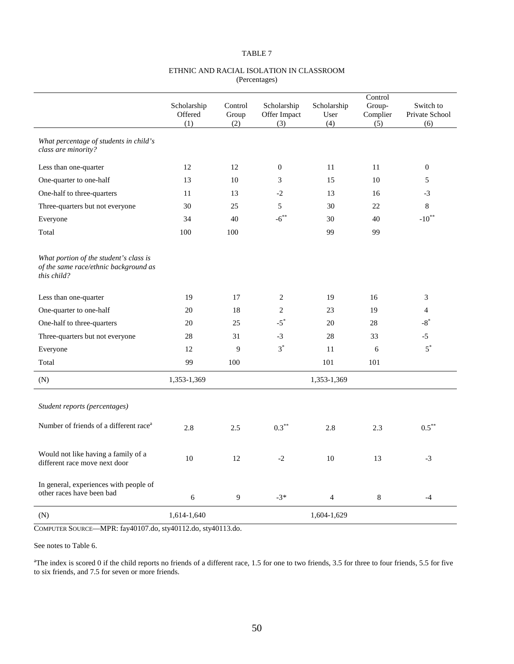### ETHNIC AND RACIAL ISOLATION IN CLASSROOM (Percentages)

|                                                                                                |                               |                         |                                    |                            | Control                   |                                    |
|------------------------------------------------------------------------------------------------|-------------------------------|-------------------------|------------------------------------|----------------------------|---------------------------|------------------------------------|
|                                                                                                | Scholarship<br>Offered<br>(1) | Control<br>Group<br>(2) | Scholarship<br>Offer Impact<br>(3) | Scholarship<br>User<br>(4) | Group-<br>Complier<br>(5) | Switch to<br>Private School<br>(6) |
| What percentage of students in child's<br>class are minority?                                  |                               |                         |                                    |                            |                           |                                    |
| Less than one-quarter                                                                          | 12                            | 12                      | $\mathbf{0}$                       | 11                         | 11                        | $\mathbf{0}$                       |
| One-quarter to one-half                                                                        | 13                            | 10                      | 3                                  | 15                         | 10                        | 5                                  |
| One-half to three-quarters                                                                     | 11                            | 13                      | $-2$                               | 13                         | 16                        | $-3$                               |
| Three-quarters but not everyone                                                                | 30                            | 25                      | 5                                  | 30                         | 22                        | $\,8\,$                            |
| Everyone                                                                                       | 34                            | 40                      | $-6$ <sup>**</sup>                 | 30                         | 40                        | $-10^{**}$                         |
| Total                                                                                          | 100                           | 100                     |                                    | 99                         | 99                        |                                    |
| What portion of the student's class is<br>of the same race/ethnic background as<br>this child? |                               |                         |                                    |                            |                           |                                    |
| Less than one-quarter                                                                          | 19                            | 17                      | 2                                  | 19                         | 16                        | 3                                  |
| One-quarter to one-half                                                                        | 20                            | 18                      | 2                                  | 23                         | 19                        | $\overline{4}$                     |
| One-half to three-quarters                                                                     | 20                            | 25                      | $-5$ <sup>*</sup>                  | 20                         | 28                        | $-8^*$                             |
| Three-quarters but not everyone                                                                | 28                            | 31                      | $-3$                               | 28                         | 33                        | $-5$                               |
| Everyone                                                                                       | 12                            | 9                       | $3^*$                              | 11                         | 6                         | $5^*$                              |
| Total                                                                                          | 99                            | 100                     |                                    | 101                        | 101                       |                                    |
| (N)                                                                                            | 1,353-1,369                   |                         |                                    | 1,353-1,369                |                           |                                    |
| Student reports (percentages)                                                                  |                               |                         |                                    |                            |                           |                                    |
| Number of friends of a different race <sup>a</sup>                                             | 2.8                           | 2.5                     | $0.3***$                           | 2.8                        | 2.3                       | $0.5***$                           |
| Would not like having a family of a<br>different race move next door                           | $10\,$                        | 12                      | $-2$                               | 10                         | 13                        | $-3$                               |
| In general, experiences with people of<br>other races have been bad                            | $\sqrt{6}$                    | 9                       | $-3*$                              | $\overline{4}$             | $\,8$                     | $-4$                               |
| (N)                                                                                            | 1,614-1,640                   |                         |                                    | 1,604-1,629                |                           |                                    |

COMPUTER SOURCE—MPR: fay40107.do, sty40112.do, sty40113.do.

See notes to Table 6.

<sup>a</sup>The index is scored 0 if the child reports no friends of a different race, 1.5 for one to two friends, 3.5 for three to four friends, 5.5 for five to six friends, and 7.5 for seven or more friends.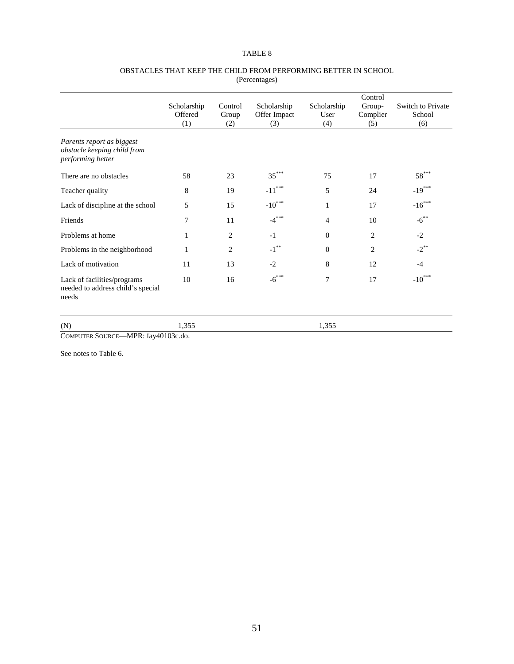#### OBSTACLES THAT KEEP THE CHILD FROM PERFORMING BETTER IN SCHOOL (Percentages)

|                                                                               |                               |                         |                                    |                            | Control                   |                                    |  |
|-------------------------------------------------------------------------------|-------------------------------|-------------------------|------------------------------------|----------------------------|---------------------------|------------------------------------|--|
|                                                                               | Scholarship<br>Offered<br>(1) | Control<br>Group<br>(2) | Scholarship<br>Offer Impact<br>(3) | Scholarship<br>User<br>(4) | Group-<br>Complier<br>(5) | Switch to Private<br>School<br>(6) |  |
| Parents report as biggest<br>obstacle keeping child from<br>performing better |                               |                         |                                    |                            |                           |                                    |  |
| There are no obstacles                                                        | 58                            | 23                      | $35***$                            | 75                         | 17                        | $58***$                            |  |
| Teacher quality                                                               | 8                             | 19                      | $***$<br>$-11$ <sup>'</sup>        | 5                          | 24                        | $-19***$                           |  |
| Lack of discipline at the school                                              | 5                             | 15                      | $-10***$                           | 1                          | 17                        | $-16***$                           |  |
| Friends                                                                       | 7                             | 11                      | $-4***$                            | $\overline{4}$             | 10                        | $-6***$                            |  |
| Problems at home                                                              | 1                             | 2                       | $-1$                               | $\mathbf{0}$               | 2                         | $-2$                               |  |
| Problems in the neighborhood                                                  | 1                             | $\overline{2}$          | $-1$ <sup>**</sup>                 | $\mathbf{0}$               | $\overline{2}$            | $-2$ <sup>**</sup>                 |  |
| Lack of motivation                                                            | 11                            | 13                      | $-2$                               | 8                          | 12                        | $-4$                               |  |
| Lack of facilities/programs<br>needed to address child's special<br>needs     | 10                            | 16                      | $-6***$                            | $\overline{7}$             | 17                        | $-10***$                           |  |
| (N)                                                                           | 1,355                         |                         |                                    | 1,355                      |                           |                                    |  |

COMPUTER SOURCE—MPR: fay40103c.do.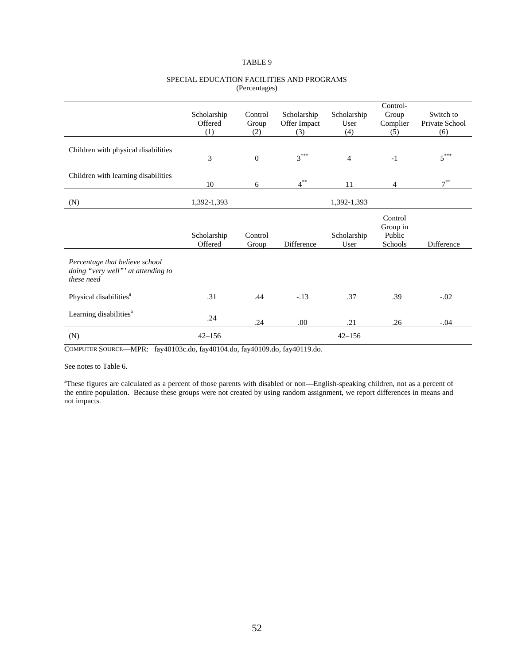|                                                                                    | Scholarship<br>Offered<br>(1) | Control<br>Group<br>(2) | Scholarship<br>Offer Impact<br>(3) | Scholarship<br>User<br>(4) | Control-<br>Group<br>Complier<br>(5)     | Switch to<br>Private School<br>(6) |
|------------------------------------------------------------------------------------|-------------------------------|-------------------------|------------------------------------|----------------------------|------------------------------------------|------------------------------------|
| Children with physical disabilities                                                | 3                             | $\overline{0}$          | $3***$                             | $\overline{4}$             | $-1$                                     | $5***$                             |
| Children with learning disabilities                                                | 10                            | 6                       | $4^{**}$                           | 11                         | $\overline{4}$                           | $7^{**}$                           |
| (N)                                                                                | 1,392-1,393                   |                         |                                    | 1,392-1,393                |                                          |                                    |
|                                                                                    | Scholarship<br>Offered        | Control<br>Group        | Difference                         | Scholarship<br>User        | Control<br>Group in<br>Public<br>Schools | Difference                         |
| Percentage that believe school<br>doing "very well"' at attending to<br>these need |                               |                         |                                    |                            |                                          |                                    |
| Physical disabilities <sup>a</sup>                                                 | .31                           | .44                     | $-.13$                             | .37                        | .39                                      | $-.02$                             |
| Learning disabilities <sup>a</sup>                                                 | .24                           | .24                     | .00                                | .21                        | .26                                      | $-.04$                             |
| (N)                                                                                | $42 - 156$                    |                         |                                    | $42 - 156$                 |                                          |                                    |

### SPECIAL EDUCATION FACILITIES AND PROGRAMS (Percentages)

COMPUTER SOURCE—MPR: fay40103c.do, fay40104.do, fay40109.do, fay40119.do.

### See notes to Table 6.

<sup>a</sup>These figures are calculated as a percent of those parents with disabled or non—English-speaking children, not as a percent of the entire population. Because these groups were not created by using random assignment, we report differences in means and not impacts.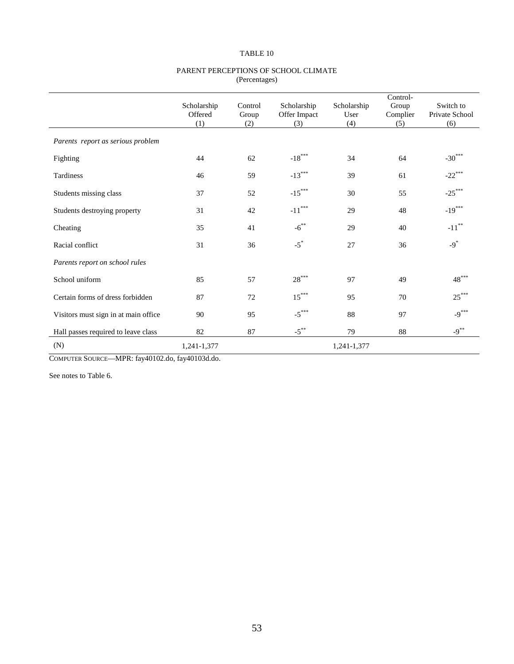#### PARENT PERCEPTIONS OF SCHOOL CLIMATE (Percentages)

|                                      | Scholarship<br>Offered<br>(1) | Control<br>Group<br>(2) | Scholarship<br>Offer Impact<br>(3) | Scholarship<br>User<br>(4) | Control-<br>Group<br>Complier<br>(5) | Switch to<br>Private School<br>(6) |
|--------------------------------------|-------------------------------|-------------------------|------------------------------------|----------------------------|--------------------------------------|------------------------------------|
| Parents report as serious problem    |                               |                         |                                    |                            |                                      |                                    |
| Fighting                             | 44                            | 62                      | $-18***$                           | 34                         | 64                                   | $-30***$                           |
| Tardiness                            | 46                            | 59                      | $-13***$                           | 39                         | 61                                   | $-22$ ***                          |
| Students missing class               | 37                            | 52                      | $-15***$                           | 30                         | 55                                   | $-25***$                           |
| Students destroying property         | 31                            | 42                      | $-11***$                           | 29                         | 48                                   | $-19***$                           |
| Cheating                             | 35                            | 41                      | $-6^{**}$                          | 29                         | 40                                   | $-11$ <sup>**</sup>                |
| Racial conflict                      | 31                            | 36                      | $-5$ <sup>*</sup>                  | 27                         | 36                                   | $-9$ <sup>*</sup>                  |
| Parents report on school rules       |                               |                         |                                    |                            |                                      |                                    |
| School uniform                       | 85                            | 57                      | $28***$                            | 97                         | 49                                   | $48***$                            |
| Certain forms of dress forbidden     | 87                            | 72                      | $15***$                            | 95                         | 70                                   | $25***$                            |
| Visitors must sign in at main office | 90                            | 95                      | $-5***$                            | 88                         | 97                                   | $-9***$                            |
| Hall passes required to leave class  | 82                            | 87                      | $-5$ <sup>**</sup>                 | 79                         | 88                                   | $-9***$                            |
| (N)                                  | 1,241-1,377                   |                         |                                    | 1,241-1,377                |                                      |                                    |

COMPUTER SOURCE—MPR: fay40102.do, fay40103d.do.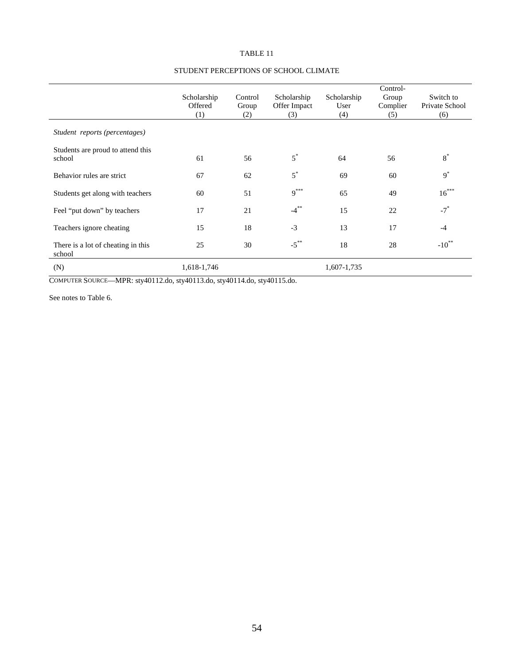|                                              | Scholarship<br>Offered<br>(1) | Control<br>Group<br>(2) | Scholarship<br>Offer Impact<br>(3) | Scholarship<br>User<br>(4) | Control-<br>Group<br>Complier<br>(5) | Switch to<br>Private School<br>(6) |
|----------------------------------------------|-------------------------------|-------------------------|------------------------------------|----------------------------|--------------------------------------|------------------------------------|
| Student reports (percentages)                |                               |                         |                                    |                            |                                      |                                    |
| Students are proud to attend this<br>school  | 61                            | 56                      | $5^*$                              | 64                         | 56                                   | $8^*$                              |
| Behavior rules are strict                    | 67                            | 62                      | $5^*$                              | 69                         | 60                                   | $9^*$                              |
| Students get along with teachers             | 60                            | 51                      | $9***$                             | 65                         | 49                                   | $16***$                            |
| Feel "put down" by teachers                  | 17                            | 21                      | $-4$ <sup>**</sup>                 | 15                         | 22                                   | $-7$ <sup>*</sup>                  |
| Teachers ignore cheating                     | 15                            | 18                      | $-3$                               | 13                         | 17                                   | $-4$                               |
| There is a lot of cheating in this<br>school | 25                            | 30                      | $-5$ <sup>**</sup>                 | 18                         | 28                                   | $-10^{**}$                         |
| (N)                                          | 1,618-1,746                   |                         |                                    | 1,607-1,735                |                                      |                                    |

# STUDENT PERCEPTIONS OF SCHOOL CLIMATE

COMPUTER SOURCE—MPR: sty40112.do, sty40113.do, sty40114.do, sty40115.do.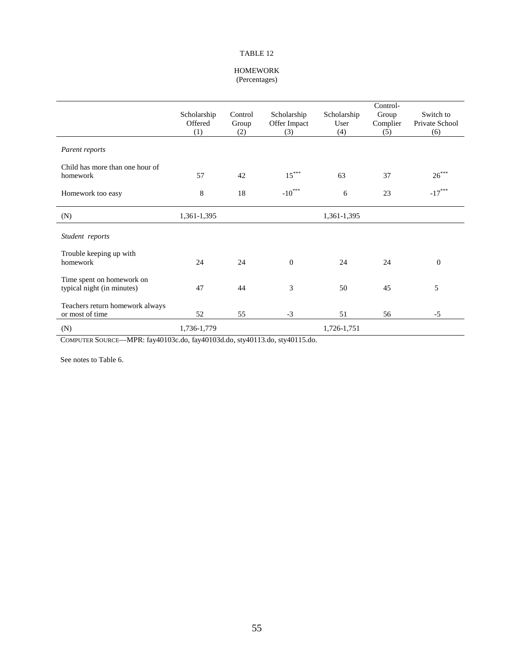#### HOMEWORK (Percentages)

|                                                         | Scholarship<br>Offered<br>(1) | Control<br>Group<br>(2) | Scholarship<br>Offer Impact<br>(3) | Scholarship<br>User<br>(4) | Control-<br>Group<br>Complier<br>(5) | Switch to<br>Private School<br>(6) |
|---------------------------------------------------------|-------------------------------|-------------------------|------------------------------------|----------------------------|--------------------------------------|------------------------------------|
| Parent reports                                          |                               |                         |                                    |                            |                                      |                                    |
| Child has more than one hour of<br>homework             | 57                            | 42                      | $15***$                            | 63                         | 37                                   | $26***$                            |
| Homework too easy                                       | 8                             | 18                      | $-10***$                           | 6                          | 23                                   | $-17***$                           |
| (N)                                                     | 1,361-1,395                   |                         |                                    | 1,361-1,395                |                                      |                                    |
| Student reports                                         |                               |                         |                                    |                            |                                      |                                    |
| Trouble keeping up with<br>homework                     | 24                            | 24                      | $\overline{0}$                     | 24                         | 24                                   | $\mathbf{0}$                       |
| Time spent on homework on<br>typical night (in minutes) | 47                            | 44                      | 3                                  | 50                         | 45                                   | 5                                  |
| Teachers return homework always<br>or most of time      | 52                            | 55                      | $-3$                               | 51                         | 56                                   | $-5$                               |
| (N)                                                     | 1,736-1,779                   |                         |                                    | 1,726-1,751                |                                      |                                    |

COMPUTER SOURCE—MPR: fay40103c.do, fay40103d.do, sty40113.do, sty40115.do.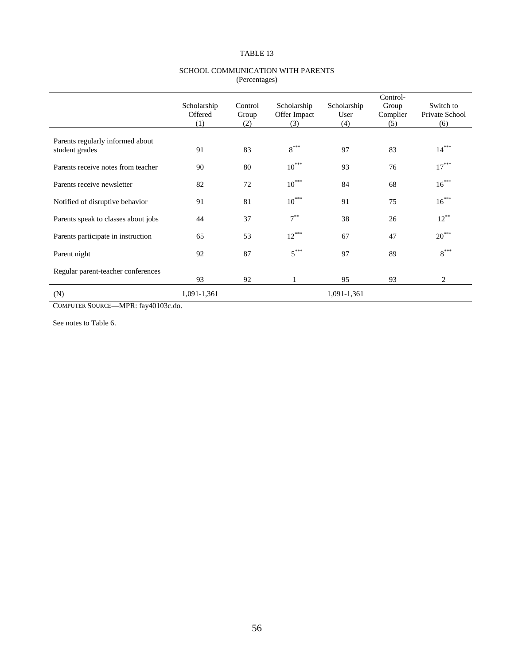### Scholarship Offered Control Group Scholarship Offer Impact Scholarship User Control-Group Complier Switch to Private School (1) (2) (3) (4) (5) (6) Parents regularly informed about student grades 91 83 8<sup>\*\*\*</sup> 97 83 14<sup>\*\*\*</sup> Parents receive notes from teacher  $90$  80  $10^{***}$  93 76  $17^{***}$ Parents receive newsletter 82 72 10<sup>\*\*\*</sup> 84 68 16<sup>\*\*\*</sup> Notified of disruptive behavior  $91$  81  $10^{***}$  91 75  $16^{***}$ Parents speak to classes about jobs  $\begin{array}{ccc} 44 & 37 & 7^{**} & 38 & 26 \end{array}$   $\begin{array}{ccc} 12^{**} & 12^{**} & 12^{**} \end{array}$ Parents participate in instruction  $65$   $53$   $12^{***}$   $67$   $47$   $20^{***}$ Parent night  $92$  87  $5***$  97 89 8<sup>\*\*\*\*\*</sup> Regular parent-teacher conferences 93 92 1 95 93 2 (N) 1,091-1,361 1,091-1,361

### SCHOOL COMMUNICATION WITH PARENTS (Percentages)

COMPUTER SOURCE—MPR: fay40103c.do.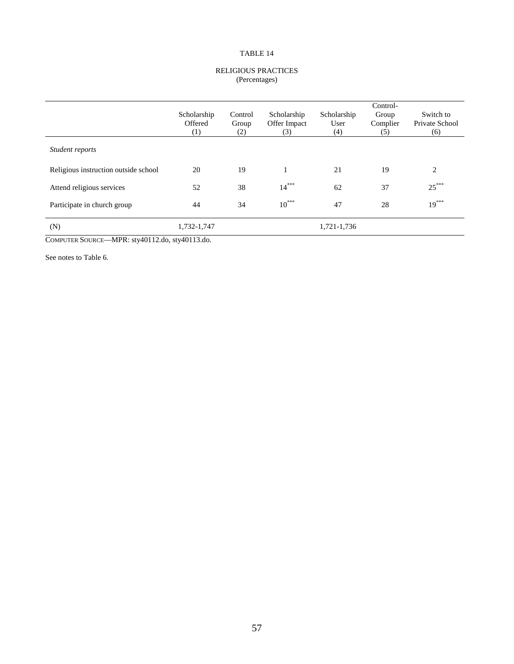#### RELIGIOUS PRACTICES (Percentages)

|                                      | Scholarship<br>Offered<br>(1) | Control<br>Group<br>(2) | Scholarship<br>Offer Impact<br>(3) | Scholarship<br>User<br>(4) | Control-<br>Group<br>Complier<br>(5) | Switch to<br>Private School<br>(6) |
|--------------------------------------|-------------------------------|-------------------------|------------------------------------|----------------------------|--------------------------------------|------------------------------------|
| Student reports                      |                               |                         |                                    |                            |                                      |                                    |
| Religious instruction outside school | 20                            | 19                      |                                    | 21                         | 19                                   | 2                                  |
| Attend religious services            | 52                            | 38                      | $14***$                            | 62                         | 37                                   | $25***$                            |
| Participate in church group          | 44                            | 34                      | $10^{***}$                         | 47                         | 28                                   | $19***$                            |
| (N)                                  | 1,732-1,747                   |                         |                                    | 1,721-1,736                |                                      |                                    |

COMPUTER SOURCE—MPR: sty40112.do, sty40113.do.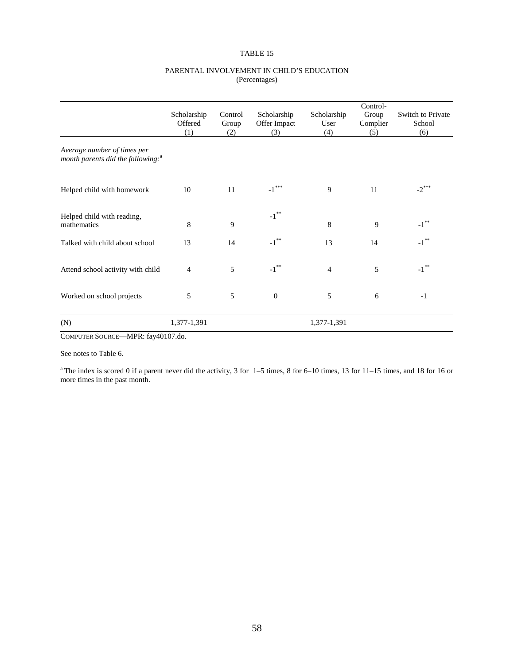### PARENTAL INVOLVEMENT IN CHILD'S EDUCATION (Percentages)

|                                                                              | Scholarship<br>Offered<br>(1) | Control<br>Group<br>(2) | Scholarship<br>Offer Impact<br>(3) | Scholarship<br>User<br>(4) | Control-<br>Group<br>Complier<br>(5) | Switch to Private<br>School<br>(6) |
|------------------------------------------------------------------------------|-------------------------------|-------------------------|------------------------------------|----------------------------|--------------------------------------|------------------------------------|
| Average number of times per<br>month parents did the following: <sup>a</sup> |                               |                         |                                    |                            |                                      |                                    |
| Helped child with homework                                                   | 10                            | 11                      | $\text{-1}^{\ast\ast\ast}$         | 9                          | 11                                   | $-2$ <sup>***</sup>                |
| Helped child with reading,<br>mathematics                                    | 8                             | 9                       | $\textnormal{-1}^{**}$             | 8                          | 9                                    | $-1$ <sup>**</sup>                 |
| Talked with child about school                                               | 13                            | 14                      | $-1$ <sup>**</sup>                 | 13                         | 14                                   | $-1$ <sup>**</sup>                 |
| Attend school activity with child                                            | 4                             | 5                       | $\textnormal{-1}^{**}$             | $\overline{4}$             | 5                                    | $\textnormal{-1}^{**}$             |
| Worked on school projects                                                    | 5                             | 5                       | $\mathbf{0}$                       | 5                          | 6                                    | $-1$                               |
| (N)                                                                          | 1,377-1,391                   |                         |                                    | 1,377-1,391                |                                      |                                    |

COMPUTER SOURCE—MPR: fay40107.do.

See notes to Table 6.

<sup>a</sup> The index is scored 0 if a parent never did the activity, 3 for  $1-5$  times, 8 for 6–10 times, 13 for 11–15 times, and 18 for 16 or more times in the past month.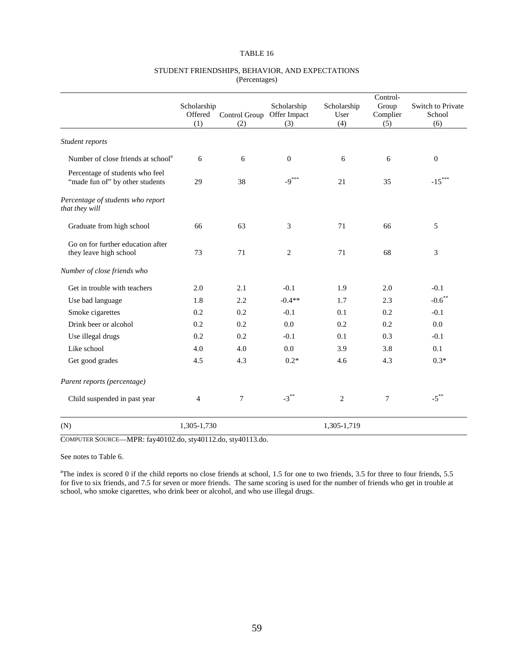### STUDENT FRIENDSHIPS, BEHAVIOR, AND EXPECTATIONS (Percentages)

|                                                                    |                        |                |                             |                     | Control-          |                                    |  |
|--------------------------------------------------------------------|------------------------|----------------|-----------------------------|---------------------|-------------------|------------------------------------|--|
|                                                                    | Scholarship<br>Offered | Control Group  | Scholarship<br>Offer Impact | Scholarship<br>User | Group<br>Complier | <b>Switch to Private</b><br>School |  |
|                                                                    | (1)                    | (2)            | (3)                         | (4)                 | (5)               | (6)                                |  |
| Student reports                                                    |                        |                |                             |                     |                   |                                    |  |
| Number of close friends at school <sup>a</sup>                     | 6                      | 6              | $\boldsymbol{0}$            | 6                   | 6                 | $\mathbf{0}$                       |  |
| Percentage of students who feel<br>"made fun of" by other students | 29                     | 38             | $-9***$                     | 21                  | 35                | $-15***$                           |  |
| Percentage of students who report<br>that they will                |                        |                |                             |                     |                   |                                    |  |
| Graduate from high school                                          | 66                     | 63             | 3                           | 71                  | 66                | 5                                  |  |
| Go on for further education after<br>they leave high school        | 73                     | 71             | 2                           | 71                  | 68                | 3                                  |  |
| Number of close friends who                                        |                        |                |                             |                     |                   |                                    |  |
| Get in trouble with teachers                                       | 2.0                    | 2.1            | $-0.1$                      | 1.9                 | 2.0               | $-0.1$                             |  |
| Use bad language                                                   | 1.8                    | 2.2            | $-0.4**$                    | 1.7                 | 2.3               | $-0.6$ **                          |  |
| Smoke cigarettes                                                   | 0.2                    | 0.2            | $-0.1$                      | 0.1                 | 0.2               | $-0.1$                             |  |
| Drink beer or alcohol                                              | 0.2                    | 0.2            | 0.0                         | 0.2                 | 0.2               | 0.0                                |  |
| Use illegal drugs                                                  | 0.2                    | 0.2            | $-0.1$                      | 0.1                 | 0.3               | $-0.1$                             |  |
| Like school                                                        | 4.0                    | 4.0            | 0.0                         | 3.9                 | 3.8               | 0.1                                |  |
| Get good grades                                                    | 4.5                    | 4.3            | $0.2*$                      | 4.6                 | 4.3               | $0.3*$                             |  |
| Parent reports (percentage)                                        |                        |                |                             |                     |                   |                                    |  |
| Child suspended in past year                                       | $\overline{4}$         | $\overline{7}$ | $-3***$                     | $\overline{c}$      | 7                 | $\textnormal{-5}^{**}$             |  |
| (N)                                                                | 1,305-1,730            |                |                             | 1,305-1,719         |                   |                                    |  |

COMPUTER SOURCE—MPR: fay40102.do, sty40112.do, sty40113.do.

See notes to Table 6.

<sup>a</sup>The index is scored 0 if the child reports no close friends at school, 1.5 for one to two friends, 3.5 for three to four friends, 5.5 for five to six friends, and 7.5 for seven or more friends. The same scoring is used for the number of friends who get in trouble at school, who smoke cigarettes, who drink beer or alcohol, and who use illegal drugs.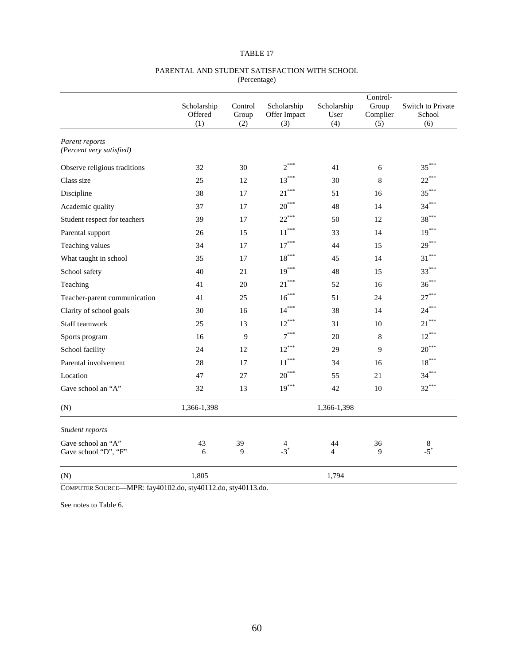|                                            |                        |                  | Control-                    |                      |                   |                             |
|--------------------------------------------|------------------------|------------------|-----------------------------|----------------------|-------------------|-----------------------------|
|                                            | Scholarship<br>Offered | Control<br>Group | Scholarship<br>Offer Impact | Scholarship<br>User  | Group<br>Complier | Switch to Private<br>School |
|                                            | (1)                    | (2)              | (3)                         | (4)                  | (5)               | (6)                         |
| Parent reports<br>(Percent very satisfied) |                        |                  |                             |                      |                   |                             |
| Observe religious traditions               | 32                     | 30               | $2^{***}$                   | 41                   | 6                 | $35***$                     |
| Class size                                 | 25                     | 12               | $13***$                     | 30                   | $\,8\,$           | $22***$                     |
| Discipline                                 | 38                     | 17               | $21***$                     | 51                   | 16                | $35***$                     |
| Academic quality                           | 37                     | 17               | $20***$                     | 48                   | 14                | $34***$                     |
| Student respect for teachers               | 39                     | 17               | $22***$                     | 50                   | 12                | $38***$                     |
| Parental support                           | 26                     | 15               | $11^{\ast\ast\ast}$         | 33                   | 14                | $19***$                     |
| Teaching values                            | 34                     | 17               | $17^{\ast\ast\ast}$         | 44                   | 15                | $29***$                     |
| What taught in school                      | 35                     | 17               | $18^{\ast\ast\ast}$         | 45                   | 14                | $31***$                     |
| School safety                              | 40                     | 21               | $19***$                     | 48                   | 15                | $33***$                     |
| Teaching                                   | 41                     | 20               | $21***$                     | 52                   | 16                | $36***$                     |
| Teacher-parent communication               | 41                     | 25               | $16***$                     | 51                   | 24                | $27***$                     |
| Clarity of school goals                    | 30                     | 16               | $14***$                     | 38                   | 14                | $24***$                     |
| Staff teamwork                             | 25                     | 13               | $12***$                     | 31                   | 10                | $21***$                     |
| Sports program                             | 16                     | 9                | $7^{***}$                   | 20                   | $\,8\,$           | $12***$                     |
| School facility                            | 24                     | 12               | $12***$                     | 29                   | 9                 | $20***$                     |
| Parental involvement                       | 28                     | 17               | $11***$                     | 34                   | 16                | $18***$                     |
| Location                                   | 47                     | 27               | $20***$                     | 55                   | 21                | $34***$                     |
| Gave school an "A"                         | 32                     | 13               | $19***$                     | 42                   | 10                | $32***$                     |
| (N)                                        | 1,366-1,398            |                  |                             | 1,366-1,398          |                   |                             |
| Student reports                            |                        |                  |                             |                      |                   |                             |
| Gave school an "A"<br>Gave school "D", "F" | 43<br>6                | 39<br>9          | 4<br>$-3^*$                 | 44<br>$\overline{4}$ | 36<br>9           | $\frac{8}{-5}$              |
| (N)                                        | 1,805                  |                  |                             | 1,794                |                   |                             |

### PARENTAL AND STUDENT SATISFACTION WITH SCHOOL (Percentage)

COMPUTER SOURCE—MPR: fay40102.do, sty40112.do, sty40113.do.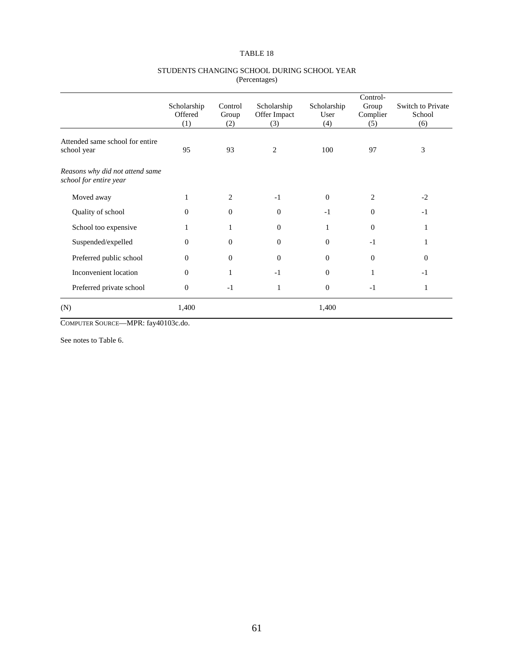|                                                           |                               |                         |                                    |                            | Control-                 |                                    |
|-----------------------------------------------------------|-------------------------------|-------------------------|------------------------------------|----------------------------|--------------------------|------------------------------------|
|                                                           | Scholarship<br>Offered<br>(1) | Control<br>Group<br>(2) | Scholarship<br>Offer Impact<br>(3) | Scholarship<br>User<br>(4) | Group<br>Complier<br>(5) | Switch to Private<br>School<br>(6) |
| Attended same school for entire<br>school year            | 95                            | 93                      | 2                                  | 100                        | 97                       | 3                                  |
| Reasons why did not attend same<br>school for entire year |                               |                         |                                    |                            |                          |                                    |
| Moved away                                                |                               | 2                       | $-1$                               | $\theta$                   | 2                        | $-2$                               |
| Quality of school                                         | $\Omega$                      | $\theta$                | $\Omega$                           | $-1$                       | $\Omega$                 | $-1$                               |
| School too expensive                                      |                               | 1                       | $\Omega$                           | 1                          | $\theta$                 |                                    |
| Suspended/expelled                                        | $\Omega$                      | $\theta$                | $\theta$                           | $\Omega$                   | $-1$                     | 1                                  |
| Preferred public school                                   | $\overline{0}$                | $\theta$                | $\Omega$                           | $\Omega$                   | $\theta$                 | $\Omega$                           |
| Inconvenient location                                     | $\Omega$                      | 1                       | $-1$                               | $\Omega$                   | 1                        | $-1$                               |
| Preferred private school                                  | $\overline{0}$                | $-1$                    | $\mathbf{1}$                       | $\theta$                   | $-1$                     | 1                                  |
| (N)                                                       | 1,400                         |                         |                                    | 1,400                      |                          |                                    |

#### STUDENTS CHANGING SCHOOL DURING SCHOOL YEAR (Percentages)

COMPUTER SOURCE—MPR: fay40103c.do.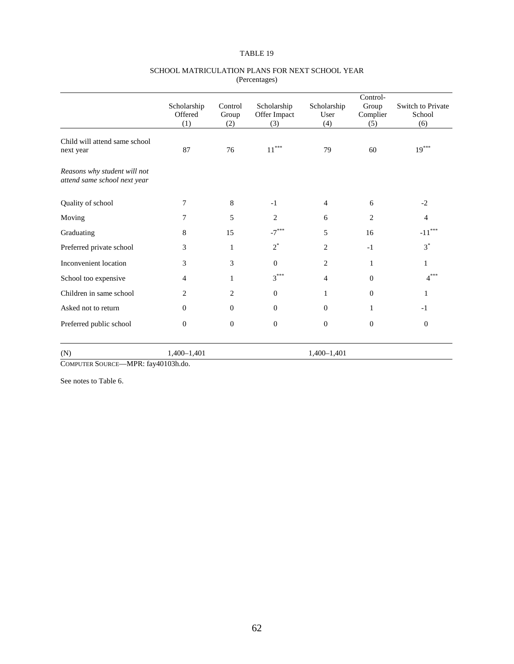|                                                              | Scholarship<br>Offered<br>(1) | Control<br>Group<br>(2) | Scholarship<br>Offer Impact<br>(3) | Scholarship<br>User<br>(4) | Control-<br>Group<br>Complier<br>(5) | Switch to Private<br>School<br>(6) |
|--------------------------------------------------------------|-------------------------------|-------------------------|------------------------------------|----------------------------|--------------------------------------|------------------------------------|
| Child will attend same school<br>next year                   | 87                            | 76                      | $11***$                            | 79                         | 60                                   | $19***$                            |
| Reasons why student will not<br>attend same school next year |                               |                         |                                    |                            |                                      |                                    |
| Quality of school                                            | 7                             | 8                       | $-1$                               | $\overline{4}$             | 6                                    | $-2$                               |
| Moving                                                       | 7                             | 5                       | 2                                  | 6                          | $\overline{2}$                       | $\overline{4}$                     |
| Graduating                                                   | 8                             | 15                      | $-7***$                            | 5                          | 16                                   | $\text{-}11^{\ast\ast\ast}$        |
| Preferred private school                                     | 3                             | 1                       | $2^*$                              | 2                          | $-1$                                 | $3^*$                              |
| Inconvenient location                                        | 3                             | 3                       | $\Omega$                           | 2                          | 1                                    | $\mathbf{1}$                       |
| School too expensive                                         | 4                             | 1                       | $3***$                             | 4                          | $\mathbf{0}$                         | $4***$                             |
| Children in same school                                      | 2                             | $\overline{2}$          | $\Omega$                           | 1                          | $\Omega$                             | 1                                  |
| Asked not to return                                          | $\Omega$                      | $\theta$                | $\Omega$                           | $\mathbf{0}$               | 1                                    | $-1$                               |
| Preferred public school                                      | $\mathbf{0}$                  | $\mathbf{0}$            | $\mathbf{0}$                       | $\mathbf{0}$               | $\boldsymbol{0}$                     | $\mathbf{0}$                       |
| (N)                                                          | 1,400-1,401                   |                         |                                    | $1,400-1,401$              |                                      |                                    |

#### SCHOOL MATRICULATION PLANS FOR NEXT SCHOOL YEAR (Percentages)

COMPUTER SOURCE—MPR: fay40103h.do.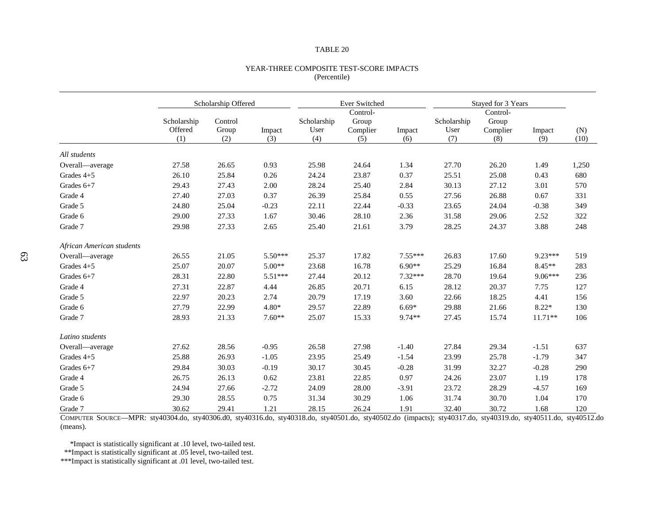#### YEAR-THREE COMPOSITE TEST-SCORE IMPACTS (Percentile)

|                           |                               | Scholarship Offered     |               | Ever Switched              |                                      |               | Stayed for 3 Years         |                                      |               |             |
|---------------------------|-------------------------------|-------------------------|---------------|----------------------------|--------------------------------------|---------------|----------------------------|--------------------------------------|---------------|-------------|
|                           | Scholarship<br>Offered<br>(1) | Control<br>Group<br>(2) | Impact<br>(3) | Scholarship<br>User<br>(4) | Control-<br>Group<br>Complier<br>(5) | Impact<br>(6) | Scholarship<br>User<br>(7) | Control-<br>Group<br>Complier<br>(8) | Impact<br>(9) | (N)<br>(10) |
| All students              |                               |                         |               |                            |                                      |               |                            |                                      |               |             |
| Overall-average           | 27.58                         | 26.65                   | 0.93          | 25.98                      | 24.64                                | 1.34          | 27.70                      | 26.20                                | 1.49          | 1,250       |
| Grades $4+5$              | 26.10                         | 25.84                   | 0.26          | 24.24                      | 23.87                                | 0.37          | 25.51                      | 25.08                                | 0.43          | 680         |
| Grades 6+7                | 29.43                         | 27.43                   | 2.00          | 28.24                      | 25.40                                | 2.84          | 30.13                      | 27.12                                | 3.01          | 570         |
| Grade 4                   | 27.40                         | 27.03                   | 0.37          | 26.39                      | 25.84                                | 0.55          | 27.56                      | 26.88                                | 0.67          | 331         |
| Grade 5                   | 24.80                         | 25.04                   | $-0.23$       | 22.11                      | 22.44                                | $-0.33$       | 23.65                      | 24.04                                | $-0.38$       | 349         |
| Grade 6                   | 29.00                         | 27.33                   | 1.67          | 30.46                      | 28.10                                | 2.36          | 31.58                      | 29.06                                | 2.52          | 322         |
| Grade 7                   | 29.98                         | 27.33                   | 2.65          | 25.40                      | 21.61                                | 3.79          | 28.25                      | 24.37                                | 3.88          | 248         |
| African American students |                               |                         |               |                            |                                      |               |                            |                                      |               |             |
| Overall-average           | 26.55                         | 21.05                   | 5.50***       | 25.37                      | 17.82                                | $7.55***$     | 26.83                      | 17.60                                | $9.23***$     | 519         |
| Grades 4+5                | 25.07                         | 20.07                   | $5.00**$      | 23.68                      | 16.78                                | $6.90**$      | 25.29                      | 16.84                                | 8.45**        | 283         |
| Grades 6+7                | 28.31                         | 22.80                   | $5.51***$     | 27.44                      | 20.12                                | $7.32***$     | 28.70                      | 19.64                                | $9.06***$     | 236         |
| Grade 4                   | 27.31                         | 22.87                   | 4.44          | 26.85                      | 20.71                                | 6.15          | 28.12                      | 20.37                                | 7.75          | 127         |
| Grade 5                   | 22.97                         | 20.23                   | 2.74          | 20.79                      | 17.19                                | 3.60          | 22.66                      | 18.25                                | 4.41          | 156         |
| Grade 6                   | 27.79                         | 22.99                   | $4.80*$       | 29.57                      | 22.89                                | $6.69*$       | 29.88                      | 21.66                                | $8.22*$       | 130         |
| Grade 7                   | 28.93                         | 21.33                   | $7.60**$      | 25.07                      | 15.33                                | 9.74**        | 27.45                      | 15.74                                | $11.71**$     | 106         |
| Latino students           |                               |                         |               |                            |                                      |               |                            |                                      |               |             |
| Overall-average           | 27.62                         | 28.56                   | $-0.95$       | 26.58                      | 27.98                                | $-1.40$       | 27.84                      | 29.34                                | $-1.51$       | 637         |
| Grades $4+5$              | 25.88                         | 26.93                   | $-1.05$       | 23.95                      | 25.49                                | $-1.54$       | 23.99                      | 25.78                                | $-1.79$       | 347         |
| Grades 6+7                | 29.84                         | 30.03                   | $-0.19$       | 30.17                      | 30.45                                | $-0.28$       | 31.99                      | 32.27                                | $-0.28$       | 290         |
| Grade 4                   | 26.75                         | 26.13                   | 0.62          | 23.81                      | 22.85                                | 0.97          | 24.26                      | 23.07                                | 1.19          | 178         |
| Grade 5                   | 24.94                         | 27.66                   | $-2.72$       | 24.09                      | 28.00                                | $-3.91$       | 23.72                      | 28.29                                | $-4.57$       | 169         |
| Grade 6                   | 29.30                         | 28.55                   | 0.75          | 31.34                      | 30.29                                | 1.06          | 31.74                      | 30.70                                | 1.04          | 170         |
| Grade 7                   | 30.62                         | 29.41                   | 1.21          | 28.15                      | 26.24                                | 1.91          | 32.40                      | 30.72                                | 1.68          | 120         |

COMPUTER SOURCE—MPR: sty40304.do, sty40306.d0, sty40316.do, sty40318.do, sty40501.do, sty40502.do (impacts); sty40317.do, sty40319.do, sty40511.do, sty40512.do (means).

\*Impact is statistically significant at .10 level, two-tailed test.

\*\*Impact is statistically significant at .05 level, two-tailed test.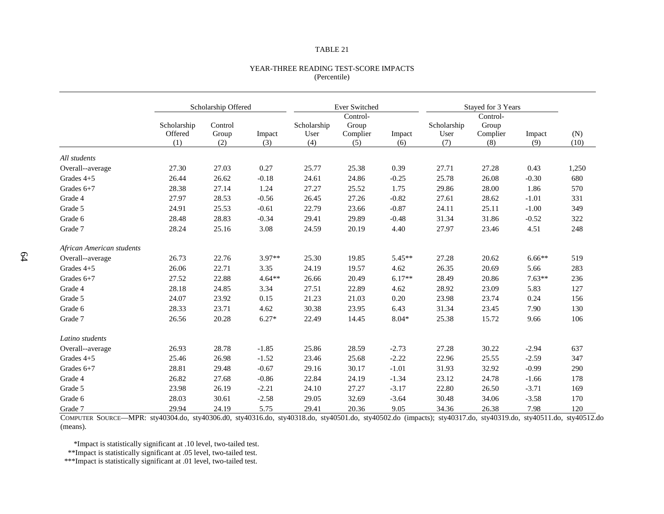#### YEAR-THREE READING TEST-SCORE IMPACTS (Percentile)

|                           |                               | Scholarship Offered     |               |                            | Ever Switched                        |               |                            | Stayed for 3 Years                   |               |             |
|---------------------------|-------------------------------|-------------------------|---------------|----------------------------|--------------------------------------|---------------|----------------------------|--------------------------------------|---------------|-------------|
|                           | Scholarship<br>Offered<br>(1) | Control<br>Group<br>(2) | Impact<br>(3) | Scholarship<br>User<br>(4) | Control-<br>Group<br>Complier<br>(5) | Impact<br>(6) | Scholarship<br>User<br>(7) | Control-<br>Group<br>Complier<br>(8) | Impact<br>(9) | (N)<br>(10) |
|                           |                               |                         |               |                            |                                      |               |                            |                                      |               |             |
| All students              |                               |                         |               |                            |                                      |               |                            |                                      |               |             |
| Overall--average          | 27.30                         | 27.03                   | 0.27          | 25.77                      | 25.38                                | 0.39          | 27.71                      | 27.28                                | 0.43          | 1,250       |
| Grades $4+5$              | 26.44                         | 26.62                   | $-0.18$       | 24.61                      | 24.86                                | $-0.25$       | 25.78                      | 26.08                                | $-0.30$       | 680         |
| Grades $6+7$              | 28.38                         | 27.14                   | 1.24          | 27.27                      | 25.52                                | 1.75          | 29.86                      | 28.00                                | 1.86          | 570         |
| Grade 4                   | 27.97                         | 28.53                   | $-0.56$       | 26.45                      | 27.26                                | $-0.82$       | 27.61                      | 28.62                                | $-1.01$       | 331         |
| Grade 5                   | 24.91                         | 25.53                   | $-0.61$       | 22.79                      | 23.66                                | $-0.87$       | 24.11                      | 25.11                                | $-1.00$       | 349         |
| Grade 6                   | 28.48                         | 28.83                   | $-0.34$       | 29.41                      | 29.89                                | $-0.48$       | 31.34                      | 31.86                                | $-0.52$       | 322         |
| Grade 7                   | 28.24                         | 25.16                   | 3.08          | 24.59                      | 20.19                                | 4.40          | 27.97                      | 23.46                                | 4.51          | 248         |
| African American students |                               |                         |               |                            |                                      |               |                            |                                      |               |             |
| Overall--average          | 26.73                         | 22.76                   | 3.97**        | 25.30                      | 19.85                                | 5.45**        | 27.28                      | 20.62                                | $6.66**$      | 519         |
| Grades 4+5                | 26.06                         | 22.71                   | 3.35          | 24.19                      | 19.57                                | 4.62          | 26.35                      | 20.69                                | 5.66          | 283         |
| Grades $6+7$              | 27.52                         | 22.88                   | $4.64**$      | 26.66                      | 20.49                                | $6.17**$      | 28.49                      | 20.86                                | $7.63**$      | 236         |
| Grade 4                   | 28.18                         | 24.85                   | 3.34          | 27.51                      | 22.89                                | 4.62          | 28.92                      | 23.09                                | 5.83          | 127         |
| Grade 5                   | 24.07                         | 23.92                   | 0.15          | 21.23                      | 21.03                                | 0.20          | 23.98                      | 23.74                                | 0.24          | 156         |
| Grade 6                   | 28.33                         | 23.71                   | 4.62          | 30.38                      | 23.95                                | 6.43          | 31.34                      | 23.45                                | 7.90          | 130         |
| Grade 7                   | 26.56                         | 20.28                   | $6.27*$       | 22.49                      | 14.45                                | $8.04*$       | 25.38                      | 15.72                                | 9.66          | 106         |
| Latino students           |                               |                         |               |                            |                                      |               |                            |                                      |               |             |
| Overall--average          | 26.93                         | 28.78                   | $-1.85$       | 25.86                      | 28.59                                | $-2.73$       | 27.28                      | 30.22                                | $-2.94$       | 637         |
| Grades $4+5$              | 25.46                         | 26.98                   | $-1.52$       | 23.46                      | 25.68                                | $-2.22$       | 22.96                      | 25.55                                | $-2.59$       | 347         |
| Grades 6+7                | 28.81                         | 29.48                   | $-0.67$       | 29.16                      | 30.17                                | $-1.01$       | 31.93                      | 32.92                                | $-0.99$       | 290         |
| Grade 4                   | 26.82                         | 27.68                   | $-0.86$       | 22.84                      | 24.19                                | $-1.34$       | 23.12                      | 24.78                                | $-1.66$       | 178         |
| Grade 5                   | 23.98                         | 26.19                   | $-2.21$       | 24.10                      | 27.27                                | $-3.17$       | 22.80                      | 26.50                                | $-3.71$       | 169         |
| Grade 6                   | 28.03                         | 30.61                   | $-2.58$       | 29.05                      | 32.69                                | $-3.64$       | 30.48                      | 34.06                                | $-3.58$       | 170         |
| Grade 7                   | 29.94                         | 24.19                   | 5.75          | 29.41                      | 20.36                                | 9.05          | 34.36                      | 26.38                                | 7.98          | 120         |

COMPUTER SOURCE—MPR: sty40304.do, sty40306.d0, sty40316.do, sty40318.do, sty40501.do, sty40502.do (impacts); sty40317.do, sty40319.do, sty40511.do, sty40512.do (means).

\*Impact is statistically significant at .10 level, two-tailed test.

\*\*Impact is statistically significant at .05 level, two-tailed test.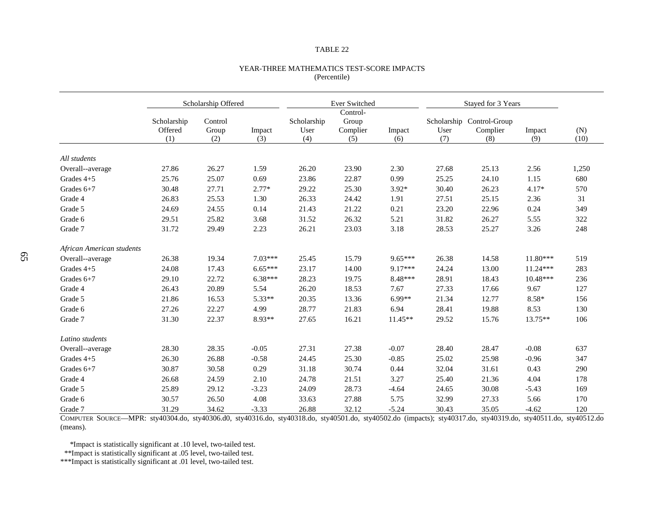#### YEAR-THREE MATHEMATICS TEST-SCORE IMPACTS (Percentile)

|                           |                               | Scholarship Offered     |               |                            | Ever Switched                        |               |             | Stayed for 3 Years                           |               |             |  |
|---------------------------|-------------------------------|-------------------------|---------------|----------------------------|--------------------------------------|---------------|-------------|----------------------------------------------|---------------|-------------|--|
|                           | Scholarship<br>Offered<br>(1) | Control<br>Group<br>(2) | Impact<br>(3) | Scholarship<br>User<br>(4) | Control-<br>Group<br>Complier<br>(5) | Impact<br>(6) | User<br>(7) | Scholarship Control-Group<br>Complier<br>(8) | Impact<br>(9) | (N)<br>(10) |  |
|                           |                               |                         |               |                            |                                      |               |             |                                              |               |             |  |
| All students              |                               |                         |               |                            |                                      |               |             |                                              |               |             |  |
| Overall--average          | 27.86                         | 26.27                   | 1.59          | 26.20                      | 23.90                                | 2.30          | 27.68       | 25.13                                        | 2.56          | 1,250       |  |
| Grades $4+5$              | 25.76                         | 25.07                   | 0.69          | 23.86                      | 22.87                                | 0.99          | 25.25       | 24.10                                        | 1.15          | 680         |  |
| Grades $6+7$              | 30.48                         | 27.71                   | $2.77*$       | 29.22                      | 25.30                                | $3.92*$       | 30.40       | 26.23                                        | 4.17*         | 570         |  |
| Grade 4                   | 26.83                         | 25.53                   | 1.30          | 26.33                      | 24.42                                | 1.91          | 27.51       | 25.15                                        | 2.36          | 31          |  |
| Grade 5                   | 24.69                         | 24.55                   | 0.14          | 21.43                      | 21.22                                | 0.21          | 23.20       | 22.96                                        | 0.24          | 349         |  |
| Grade 6                   | 29.51                         | 25.82                   | 3.68          | 31.52                      | 26.32                                | 5.21          | 31.82       | 26.27                                        | 5.55          | 322         |  |
| Grade 7                   | 31.72                         | 29.49                   | 2.23          | 26.21                      | 23.03                                | 3.18          | 28.53       | 25.27                                        | 3.26          | 248         |  |
| African American students |                               |                         |               |                            |                                      |               |             |                                              |               |             |  |
| Overall--average          | 26.38                         | 19.34                   | $7.03***$     | 25.45                      | 15.79                                | $9.65***$     | 26.38       | 14.58                                        | $11.80***$    | 519         |  |
| Grades $4+5$              | 24.08                         | 17.43                   | $6.65***$     | 23.17                      | 14.00                                | $9.17***$     | 24.24       | 13.00                                        | $11.24***$    | 283         |  |
| Grades $6+7$              | 29.10                         | 22.72                   | $6.38***$     | 28.23                      | 19.75                                | $8.48***$     | 28.91       | 18.43                                        | $10.48***$    | 236         |  |
| Grade 4                   | 26.43                         | 20.89                   | 5.54          | 26.20                      | 18.53                                | 7.67          | 27.33       | 17.66                                        | 9.67          | 127         |  |
| Grade 5                   | 21.86                         | 16.53                   | 5.33**        | 20.35                      | 13.36                                | 6.99**        | 21.34       | 12.77                                        | $8.58*$       | 156         |  |
| Grade 6                   | 27.26                         | 22.27                   | 4.99          | 28.77                      | 21.83                                | 6.94          | 28.41       | 19.88                                        | 8.53          | 130         |  |
| Grade 7                   | 31.30                         | 22.37                   | 8.93**        | 27.65                      | 16.21                                | $11.45**$     | 29.52       | 15.76                                        | $13.75**$     | 106         |  |
| Latino students           |                               |                         |               |                            |                                      |               |             |                                              |               |             |  |
| Overall--average          | 28.30                         | 28.35                   | $-0.05$       | 27.31                      | 27.38                                | $-0.07$       | 28.40       | 28.47                                        | $-0.08$       | 637         |  |
| Grades $4+5$              | 26.30                         | 26.88                   | $-0.58$       | 24.45                      | 25.30                                | $-0.85$       | 25.02       | 25.98                                        | $-0.96$       | 347         |  |
| Grades $6+7$              | 30.87                         | 30.58                   | 0.29          | 31.18                      | 30.74                                | 0.44          | 32.04       | 31.61                                        | 0.43          | 290         |  |
| Grade 4                   | 26.68                         | 24.59                   | 2.10          | 24.78                      | 21.51                                | 3.27          | 25.40       | 21.36                                        | 4.04          | 178         |  |
| Grade 5                   | 25.89                         | 29.12                   | $-3.23$       | 24.09                      | 28.73                                | $-4.64$       | 24.65       | 30.08                                        | $-5.43$       | 169         |  |
| Grade 6                   | 30.57                         | 26.50                   | 4.08          | 33.63                      | 27.88                                | 5.75          | 32.99       | 27.33                                        | 5.66          | 170         |  |
| Grade 7                   | 31.29                         | 34.62                   | $-3.33$       | 26.88                      | 32.12                                | $-5.24$       | 30.43       | 35.05                                        | $-4.62$       | 120         |  |

COMPUTER SOURCE—MPR: sty40304.do, sty40306.d0, sty40316.do, sty40318.do, sty40501.do, sty40502.do (impacts); sty40317.do, sty40319.do, sty40511.do, sty40512.do (means).

\*Impact is statistically significant at .10 level, two-tailed test.

\*\*Impact is statistically significant at .05 level, two-tailed test.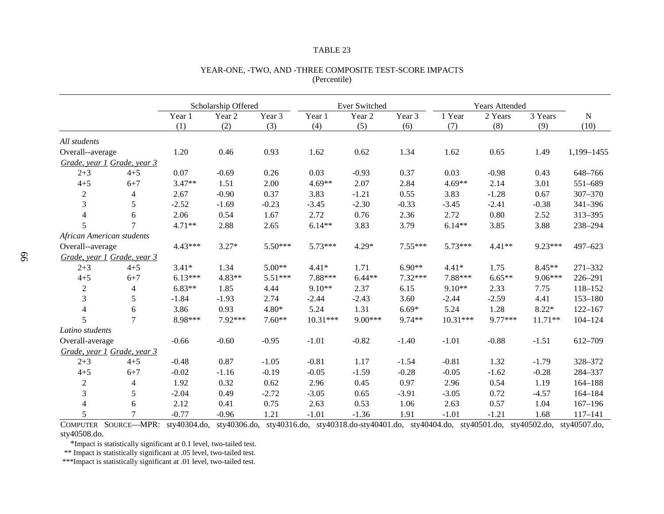|                             |                |           | Scholarship Offered |          |            | Ever Switched |           |            | <b>Years Attended</b> |           |             |
|-----------------------------|----------------|-----------|---------------------|----------|------------|---------------|-----------|------------|-----------------------|-----------|-------------|
|                             |                | Year 1    | Year 2              | Year 3   | Year 1     | Year 2        | Year 3    | 1 Year     | 2 Years               | 3 Years   | $\mathbf N$ |
|                             |                | (1)       | (2)                 | (3)      | (4)        | (5)           | (6)       | (7)        | (8)                   | (9)       | (10)        |
| All students                |                |           |                     |          |            |               |           |            |                       |           |             |
| Overall--average            |                | 1.20      | 0.46                | 0.93     | 1.62       | 0.62          | 1.34      | 1.62       | 0.65                  | 1.49      | 1,199-1455  |
| Grade, year 1 Grade, year 3 |                |           |                     |          |            |               |           |            |                       |           |             |
| $2 + 3$                     | $4 + 5$        | 0.07      | $-0.69$             | 0.26     | 0.03       | $-0.93$       | 0.37      | 0.03       | $-0.98$               | 0.43      | 648-766     |
| $4 + 5$                     | $6 + 7$        | $3.47**$  | 1.51                | 2.00     | $4.69**$   | 2.07          | 2.84      | $4.69**$   | 2.14                  | 3.01      | 551-689     |
| $\overline{2}$              | $\overline{4}$ | 2.67      | $-0.90$             | 0.37     | 3.83       | $-1.21$       | 0.55      | 3.83       | $-1.28$               | 0.67      | 307-370     |
| 3                           | 5              | $-2.52$   | $-1.69$             | $-0.23$  | $-3.45$    | $-2.30$       | $-0.33$   | $-3.45$    | $-2.41$               | $-0.38$   | 341-396     |
| $\overline{4}$              | 6              | 2.06      | 0.54                | 1.67     | 2.72       | 0.76          | 2.36      | 2.72       | 0.80                  | 2.52      | 313-395     |
| 5                           | $\tau$         | $4.71**$  | 2.88                | 2.65     | $6.14**$   | 3.83          | 3.79      | $6.14**$   | 3.85                  | 3.88      | 238-294     |
| African American students   |                |           |                     |          |            |               |           |            |                       |           |             |
| Overall--average            |                | 4.43***   | $3.27*$             | 5.50***  | $5.73***$  | $4.29*$       | $7.55***$ | $5.73***$  | $4.41**$              | $9.23***$ | $497 - 623$ |
| Grade, year 1 Grade, year 3 |                |           |                     |          |            |               |           |            |                       |           |             |
| $2 + 3$                     | $4 + 5$        | $3.41*$   | 1.34                | $5.00**$ | $4.41*$    | 1.71          | $6.90**$  | $4.41*$    | 1.75                  | $8.45**$  | 271-332     |
| $4 + 5$                     | $6 + 7$        | $6.13***$ | 4.83**              | 5.51***  | 7.88***    | $6.44**$      | 7.32***   | 7.88***    | $6.65**$              | 9.06***   | 226-291     |
| $\boldsymbol{2}$            | $\overline{4}$ | $6.83**$  | 1.85                | 4.44     | $9.10**$   | 2.37          | 6.15      | $9.10**$   | 2.33                  | 7.75      | 118-152     |
| 3                           | 5              | $-1.84$   | $-1.93$             | 2.74     | $-2.44$    | $-2.43$       | 3.60      | $-2.44$    | $-2.59$               | 4.41      | 153-180     |
| $\overline{4}$              | 6              | 3.86      | 0.93                | $4.80*$  | 5.24       | 1.31          | $6.69*$   | 5.24       | 1.28                  | $8.22*$   | $122 - 167$ |
| 5                           | $\overline{7}$ | 8.98***   | $7.92***$           | $7.60**$ | $10.31***$ | $9.00***$     | 9.74**    | $10.31***$ | $9.77***$             | $11.71**$ | $104 - 124$ |
| Latino students             |                |           |                     |          |            |               |           |            |                       |           |             |
| Overall-average             |                | $-0.66$   | $-0.60$             | $-0.95$  | $-1.01$    | $-0.82$       | $-1.40$   | $-1.01$    | $-0.88$               | $-1.51$   | 612-709     |
| Grade, year 1 Grade, year 3 |                |           |                     |          |            |               |           |            |                       |           |             |
| $2 + 3$                     | $4 + 5$        | $-0.48$   | 0.87                | $-1.05$  | $-0.81$    | 1.17          | $-1.54$   | $-0.81$    | 1.32                  | $-1.79$   | 328-372     |
| $4 + 5$                     | $6 + 7$        | $-0.02$   | $-1.16$             | $-0.19$  | $-0.05$    | $-1.59$       | $-0.28$   | $-0.05$    | $-1.62$               | $-0.28$   | 284-337     |
| $\boldsymbol{2}$            | $\overline{4}$ | 1.92      | 0.32                | 0.62     | 2.96       | 0.45          | 0.97      | 2.96       | 0.54                  | 1.19      | $164 - 188$ |
| 3                           | 5              | $-2.04$   | 0.49                | $-2.72$  | $-3.05$    | 0.65          | $-3.91$   | $-3.05$    | 0.72                  | $-4.57$   | 164-184     |
| $\overline{4}$              | 6              | 2.12      | 0.41                | 0.75     | 2.63       | 0.53          | 1.06      | 2.63       | 0.57                  | 1.04      | $167 - 196$ |
| 5                           | 7              | $-0.77$   | $-0.96$             | 1.21     | $-1.01$    | $-1.36$       | 1.91      | $-1.01$    | $-1.21$               | 1.68      | $117 - 141$ |

### YEAR-ONE, -TWO, AND -THREE COMPOSITE TEST-SCORE IMPACTS (Percentile)

COMPUTER SOURCE—MPR: sty40304.do, sty40306.do, sty40316.do, sty40318.do-sty40401.do, sty40404.do, sty40501.do, sty40502.do, sty40507.do, sty40508.do.

\*Impact is statistically significant at 0.1 level, two-tailed test.

\*\* Impact is statistically significant at .05 level, two-tailed test.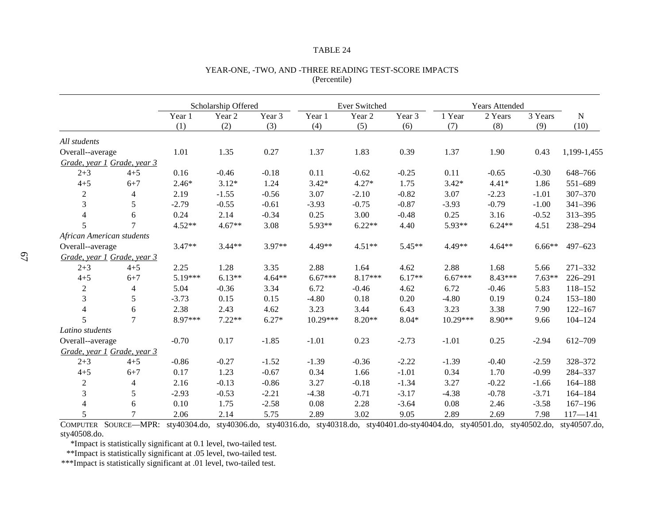|                             |                |          | Scholarship Offered |          |           | Ever Switched |          |           | <b>Years Attended</b> |          |             |
|-----------------------------|----------------|----------|---------------------|----------|-----------|---------------|----------|-----------|-----------------------|----------|-------------|
|                             |                | Year 1   | Year 2              | Year 3   | Year 1    | Year 2        | Year 3   | 1 Year    | 2 Years               | 3 Years  | N           |
|                             |                | (1)      | (2)                 | (3)      | (4)       | (5)           | (6)      | (7)       | (8)                   | (9)      | (10)        |
| All students                |                |          |                     |          |           |               |          |           |                       |          |             |
| Overall--average            |                | 1.01     | 1.35                | 0.27     | 1.37      | 1.83          | 0.39     | 1.37      | 1.90                  | 0.43     | 1,199-1,455 |
| Grade, year 1 Grade, year 3 |                |          |                     |          |           |               |          |           |                       |          |             |
| $2 + 3$                     | $4 + 5$        | 0.16     | $-0.46$             | $-0.18$  | 0.11      | $-0.62$       | $-0.25$  | 0.11      | $-0.65$               | $-0.30$  | 648-766     |
| $4 + 5$                     | $6 + 7$        | $2.46*$  | $3.12*$             | 1.24     | $3.42*$   | $4.27*$       | 1.75     | $3.42*$   | $4.41*$               | 1.86     | 551-689     |
| $\boldsymbol{2}$            | 4              | 2.19     | $-1.55$             | $-0.56$  | 3.07      | $-2.10$       | $-0.82$  | 3.07      | $-2.23$               | $-1.01$  | $307 - 370$ |
| 3                           | 5              | $-2.79$  | $-0.55$             | $-0.61$  | $-3.93$   | $-0.75$       | $-0.87$  | $-3.93$   | $-0.79$               | $-1.00$  | 341-396     |
| 4                           | 6              | 0.24     | 2.14                | $-0.34$  | 0.25      | 3.00          | $-0.48$  | 0.25      | 3.16                  | $-0.52$  | 313-395     |
| 5                           | $\overline{7}$ | $4.52**$ | $4.67**$            | 3.08     | 5.93**    | $6.22**$      | 4.40     | 5.93**    | $6.24**$              | 4.51     | 238-294     |
| African American students   |                |          |                     |          |           |               |          |           |                       |          |             |
| Overall--average            |                | $3.47**$ | $3.44**$            | 3.97**   | $4.49**$  | $4.51**$      | $5.45**$ | 4.49**    | $4.64**$              | $6.66**$ | $497 - 623$ |
| Grade, year 1 Grade, year 3 |                |          |                     |          |           |               |          |           |                       |          |             |
| $2 + 3$                     | $4 + 5$        | 2.25     | 1.28                | 3.35     | 2.88      | 1.64          | 4.62     | 2.88      | 1.68                  | 5.66     | 271-332     |
| $4 + 5$                     | $6 + 7$        | 5.19***  | $6.13**$            | $4.64**$ | $6.67***$ | 8.17***       | $6.17**$ | $6.67***$ | 8.43***               | $7.63**$ | 226-291     |
| $\overline{c}$              | $\overline{4}$ | 5.04     | $-0.36$             | 3.34     | 6.72      | $-0.46$       | 4.62     | 6.72      | $-0.46$               | 5.83     | 118-152     |
| 3                           | 5              | $-3.73$  | 0.15                | 0.15     | $-4.80$   | 0.18          | 0.20     | $-4.80$   | 0.19                  | 0.24     | $153 - 180$ |
| $\overline{4}$              | 6              | 2.38     | 2.43                | 4.62     | 3.23      | 3.44          | 6.43     | 3.23      | 3.38                  | 7.90     | $122 - 167$ |
| 5                           | $\overline{7}$ | 8.97***  | $7.22**$            | $6.27*$  | 10.29***  | $8.20**$      | $8.04*$  | 10.29***  | 8.90**                | 9.66     | $104 - 124$ |
| Latino students             |                |          |                     |          |           |               |          |           |                       |          |             |
| Overall--average            |                | $-0.70$  | 0.17                | $-1.85$  | $-1.01$   | 0.23          | $-2.73$  | $-1.01$   | 0.25                  | $-2.94$  | 612-709     |
| Grade, year 1 Grade, year 3 |                |          |                     |          |           |               |          |           |                       |          |             |
| $2 + 3$                     | $4 + 5$        | $-0.86$  | $-0.27$             | $-1.52$  | $-1.39$   | $-0.36$       | $-2.22$  | $-1.39$   | $-0.40$               | $-2.59$  | 328-372     |
| $4 + 5$                     | $6 + 7$        | 0.17     | 1.23                | $-0.67$  | 0.34      | 1.66          | $-1.01$  | 0.34      | 1.70                  | $-0.99$  | 284-337     |
| $\overline{c}$              | $\overline{4}$ | 2.16     | $-0.13$             | $-0.86$  | 3.27      | $-0.18$       | $-1.34$  | 3.27      | $-0.22$               | $-1.66$  | $164 - 188$ |
| 3                           | 5              | $-2.93$  | $-0.53$             | $-2.21$  | $-4.38$   | $-0.71$       | $-3.17$  | $-4.38$   | $-0.78$               | $-3.71$  | $164 - 184$ |
| $\overline{4}$              | 6              | 0.10     | 1.75                | $-2.58$  | 0.08      | 2.28          | $-3.64$  | 0.08      | 2.46                  | $-3.58$  | $167 - 196$ |
| 5                           | 7              | 2.06     | 2.14                | 5.75     | 2.89      | 3.02          | 9.05     | 2.89      | 2.69                  | 7.98     | $117 - 141$ |

### YEAR-ONE, -TWO, AND -THREE READING TEST-SCORE IMPACTS (Percentile)

COMPUTER SOURCE—MPR: sty40304.do, sty40306.do, sty40316.do, sty40318.do, sty40401.do-sty40404.do, sty40501.do, sty40502.do, sty40507.do, sty40508.do.

\*Impact is statistically significant at 0.1 level, two-tailed test.

\*\*Impact is statistically significant at .05 level, two-tailed test.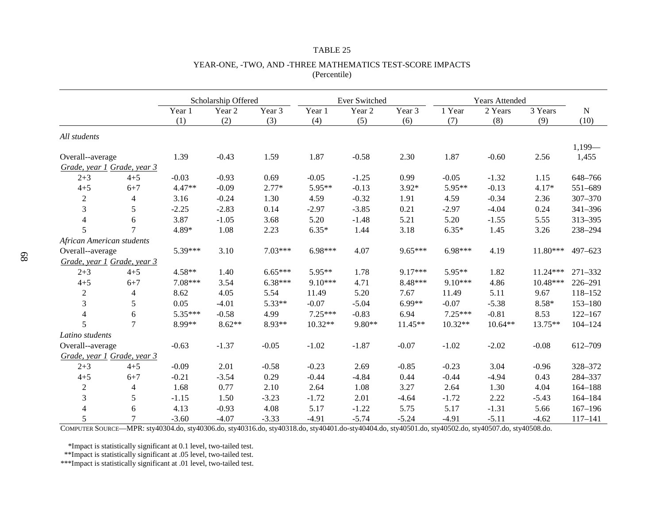|                             |                          |          | Scholarship Offered |           |           | <b>Ever Switched</b> |           |           | <b>Years Attended</b> |          |                   |
|-----------------------------|--------------------------|----------|---------------------|-----------|-----------|----------------------|-----------|-----------|-----------------------|----------|-------------------|
|                             |                          | Year 1   | Year 2              | Year 3    | Year 1    | Year 2               | Year 3    | 1 Year    | 2 Years               | 3 Years  | $\mathbf N$       |
|                             |                          | (1)      | (2)                 | (3)       | (4)       | (5)                  | (6)       | (7)       | (8)                   | (9)      | (10)              |
| All students                |                          |          |                     |           |           |                      |           |           |                       |          |                   |
| Overall--average            |                          | 1.39     | $-0.43$             | 1.59      | 1.87      | $-0.58$              | 2.30      | 1.87      | $-0.60$               | 2.56     | $1,199-$<br>1,455 |
| Grade, year 1 Grade, year 3 |                          |          |                     |           |           |                      |           |           |                       |          |                   |
| $2 + 3$                     | $4 + 5$                  | $-0.03$  | $-0.93$             | 0.69      | $-0.05$   | $-1.25$              | 0.99      | $-0.05$   | $-1.32$               | 1.15     | 648-766           |
| $4 + 5$                     | $6 + 7$                  | $4.47**$ | $-0.09$             | $2.77*$   | 5.95**    | $-0.13$              | $3.92*$   | 5.95**    | $-0.13$               | $4.17*$  | 551-689           |
| $\overline{c}$              | $\overline{\mathcal{L}}$ | 3.16     | $-0.24$             | 1.30      | 4.59      | $-0.32$              | 1.91      | 4.59      | $-0.34$               | 2.36     | 307-370           |
| $\mathfrak{Z}$              | 5                        | $-2.25$  | $-2.83$             | 0.14      | $-2.97$   | $-3.85$              | 0.21      | $-2.97$   | $-4.04$               | 0.24     | 341-396           |
| $\overline{4}$              | 6                        | 3.87     | $-1.05$             | 3.68      | 5.20      | $-1.48$              | 5.21      | 5.20      | $-1.55$               | 5.55     | 313-395           |
| 5                           | $\overline{7}$           | 4.89*    | 1.08                | 2.23      | $6.35*$   | 1.44                 | 3.18      | $6.35*$   | 1.45                  | 3.26     | 238-294           |
| African American students   |                          |          |                     |           |           |                      |           |           |                       |          |                   |
| Overall--average            |                          | 5.39***  | 3.10                | $7.03***$ | $6.98***$ | 4.07                 | $9.65***$ | $6.98***$ | 4.19                  | 11.80*** | $497 - 623$       |
| Grade, year 1 Grade, year 3 |                          |          |                     |           |           |                      |           |           |                       |          |                   |
| $2 + 3$                     | $4 + 5$                  | 4.58**   | 1.40                | $6.65***$ | 5.95**    | 1.78                 | $9.17***$ | 5.95**    | 1.82                  | 11.24*** | 271-332           |
| $4 + 5$                     | $6 + 7$                  | 7.08***  | 3.54                | $6.38***$ | 9.10***   | 4.71                 | 8.48***   | $9.10***$ | 4.86                  | 10.48*** | 226-291           |
| $\boldsymbol{2}$            | $\overline{4}$           | 8.62     | 4.05                | 5.54      | 11.49     | 5.20                 | 7.67      | 11.49     | 5.11                  | 9.67     | 118-152           |
| 3                           | 5                        | 0.05     | $-4.01$             | 5.33**    | $-0.07$   | $-5.04$              | $6.99**$  | $-0.07$   | $-5.38$               | $8.58*$  | $153 - 180$       |
| $\overline{4}$              | 6                        | 5.35***  | $-0.58$             | 4.99      | $7.25***$ | $-0.83$              | 6.94      | $7.25***$ | $-0.81$               | 8.53     | $122 - 167$       |
| 5                           | $\overline{7}$           | 8.99**   | $8.62**$            | 8.93**    | $10.32**$ | 9.80**               | 11.45**   | $10.32**$ | $10.64**$             | 13.75**  | $104 - 124$       |
| Latino students             |                          |          |                     |           |           |                      |           |           |                       |          |                   |
| Overall--average            |                          | $-0.63$  | $-1.37$             | $-0.05$   | $-1.02$   | $-1.87$              | $-0.07$   | $-1.02$   | $-2.02$               | $-0.08$  | 612-709           |
| Grade, year 1 Grade, year 3 |                          |          |                     |           |           |                      |           |           |                       |          |                   |
| $2 + 3$                     | $4 + 5$                  | $-0.09$  | 2.01                | $-0.58$   | $-0.23$   | 2.69                 | $-0.85$   | $-0.23$   | 3.04                  | $-0.96$  | 328-372           |
| $4 + 5$                     | $6 + 7$                  | $-0.21$  | $-3.54$             | 0.29      | $-0.44$   | $-4.84$              | 0.44      | $-0.44$   | $-4.94$               | 0.43     | 284-337           |
| $\boldsymbol{2}$            | $\overline{\mathbf{4}}$  | 1.68     | 0.77                | 2.10      | 2.64      | 1.08                 | 3.27      | 2.64      | 1.30                  | 4.04     | $164 - 188$       |
| $\mathfrak{Z}$              | 5                        | $-1.15$  | 1.50                | $-3.23$   | $-1.72$   | 2.01                 | $-4.64$   | $-1.72$   | 2.22                  | $-5.43$  | $164 - 184$       |
| $\overline{4}$              | 6                        | 4.13     | $-0.93$             | 4.08      | 5.17      | $-1.22$              | 5.75      | 5.17      | $-1.31$               | 5.66     | $167 - 196$       |
| 5                           | $\overline{7}$           | $-3.60$  | $-4.07$             | $-3.33$   | $-4.91$   | $-5.74$              | $-5.24$   | $-4.91$   | $-5.11$               | $-4.62$  | $117 - 141$       |

### YEAR-ONE, -TWO, AND -THREE MATHEMATICS TEST-SCORE IMPACTS (Percentile)

COMPUTER SOURCE—MPR: sty40304.do, sty40306.do, sty40316.do, sty40318.do, sty40401.do-sty40404.do, sty40501.do, sty40502.do, sty40507.do, sty40508.do.

\*Impact is statistically significant at 0.1 level, two-tailed test.

\*\*Impact is statistically significant at .05 level, two-tailed test.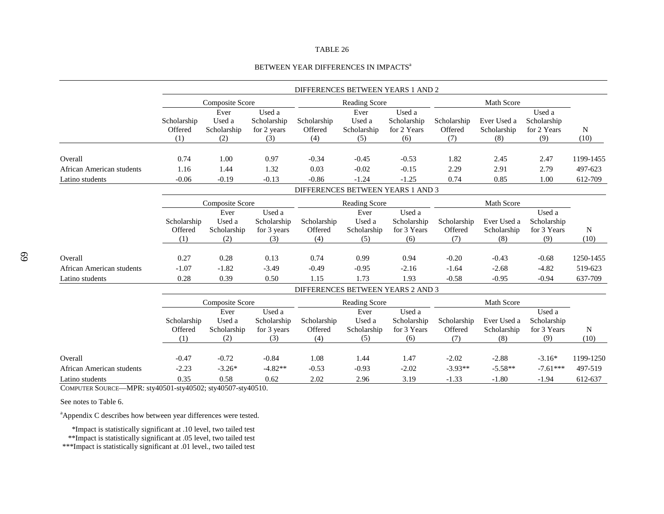### BETWEEN YEAR DIFFERENCES IN IMPACTS<sup>a</sup>

|                                                                                  |                               |                                      |                                             |                                                    | DIFFERENCES BETWEEN YEARS 1 AND 2    |                                             |                               |                                   |                                             |                      |
|----------------------------------------------------------------------------------|-------------------------------|--------------------------------------|---------------------------------------------|----------------------------------------------------|--------------------------------------|---------------------------------------------|-------------------------------|-----------------------------------|---------------------------------------------|----------------------|
|                                                                                  |                               | Composite Score                      |                                             |                                                    | <b>Reading Score</b>                 |                                             |                               | Math Score                        |                                             |                      |
|                                                                                  | Scholarship<br>Offered<br>(1) | Ever<br>Used a<br>Scholarship<br>(2) | Used a<br>Scholarship<br>for 2 years<br>(3) | Scholarship<br>Offered<br>(4)                      | Ever<br>Used a<br>Scholarship<br>(5) | Used a<br>Scholarship<br>for 2 Years<br>(6) | Scholarship<br>Offered<br>(7) | Ever Used a<br>Scholarship<br>(8) | Used a<br>Scholarship<br>for 2 Years<br>(9) | N<br>(10)            |
| Overall                                                                          | 0.74                          | 1.00                                 | 0.97                                        | $-0.34$                                            | $-0.45$                              | $-0.53$                                     | 1.82                          | 2.45                              | 2.47                                        | 1199-1455            |
| African American students                                                        | 1.16                          | 1.44                                 | 1.32                                        | 0.03                                               | $-0.02$                              | $-0.15$                                     | 2.29                          | 2.91                              | 2.79                                        | 497-623              |
| Latino students                                                                  | $-0.06$                       | $-0.19$                              | $-0.13$                                     | $-0.86$                                            | $-1.24$                              | $-1.25$                                     | 0.74                          | 0.85                              | 1.00                                        | 612-709              |
|                                                                                  |                               |                                      |                                             |                                                    | DIFFERENCES BETWEEN YEARS 1 AND 3    |                                             |                               |                                   |                                             |                      |
|                                                                                  |                               |                                      |                                             |                                                    |                                      |                                             |                               |                                   |                                             |                      |
|                                                                                  |                               | Composite Score                      |                                             |                                                    | Reading Score                        |                                             |                               | Math Score                        |                                             |                      |
|                                                                                  | Scholarship<br>Offered        | Ever<br>Used a<br>Scholarship        | Used a<br>Scholarship<br>for 3 years        | Scholarship<br>Offered                             | Ever<br>Used a<br>Scholarship        | Used a<br>Scholarship<br>for 3 Years        | Scholarship<br>Offered        | Ever Used a<br>Scholarship        | Used a<br>Scholarship<br>for 3 Years        | N                    |
|                                                                                  | (1)                           | (2)                                  | (3)                                         | (4)                                                | (5)                                  | (6)                                         | (7)                           | (8)                               | (9)                                         | (10)                 |
| Overall<br>African American students                                             | 0.27<br>$-1.07$               | 0.28<br>$-1.82$                      | 0.13<br>$-3.49$                             | 0.74<br>$-0.49$                                    | 0.99<br>$-0.95$                      | 0.94<br>$-2.16$                             | $-0.20$<br>$-1.64$            | $-0.43$<br>$-2.68$                | $-0.68$<br>$-4.82$                          | 1250-1455<br>519-623 |
| Latino students                                                                  | 0.28                          | 0.39                                 | 0.50                                        | 1.15                                               | 1.73                                 | 1.93                                        | $-0.58$                       | $-0.95$                           | $-0.94$                                     | 637-709              |
|                                                                                  |                               |                                      |                                             |                                                    |                                      |                                             |                               |                                   |                                             |                      |
|                                                                                  |                               | Composite Score                      |                                             | DIFFERENCES BETWEEN YEARS 2 AND 3<br>Reading Score |                                      |                                             | Math Score                    |                                   |                                             |                      |
|                                                                                  | Scholarship<br>Offered<br>(1) | Ever<br>Used a<br>Scholarship<br>(2) | Used a<br>Scholarship<br>for 3 years<br>(3) | Scholarship<br>Offered<br>(4)                      | Ever<br>Used a<br>Scholarship<br>(5) | Used a<br>Scholarship<br>for 3 Years<br>(6) | Scholarship<br>Offered<br>(7) | Ever Used a<br>Scholarship<br>(8) | Used a<br>Scholarship<br>for 3 Years<br>(9) | N<br>(10)            |
| Overall                                                                          | $-0.47$                       | $-0.72$                              | $-0.84$                                     | 1.08                                               | 1.44                                 | 1.47                                        | $-2.02$                       | $-2.88$                           | $-3.16*$                                    | 1199-1250            |
| African American students                                                        | $-2.23$                       | $-3.26*$                             | $-4.82**$                                   | $-0.53$                                            | $-0.93$                              | $-2.02$                                     | $-3.93**$                     | $-5.58**$                         | $-7.61***$                                  | 497-519              |
| Latino students                                                                  | 0.35                          | 0.58                                 | 0.62                                        | 2.02                                               | 2.96                                 | 3.19                                        | $-1.33$                       | $-1.80$                           | $-1.94$                                     | 612-637              |
| $C_{21}$ m wind $C_{21}$ m on $MDD_{11}$ + $10501$ + $10502$ + $10507$ + $10510$ |                               |                                      |                                             |                                                    |                                      |                                             |                               |                                   |                                             |                      |

COMPUTER SOURCE—MPR: sty40501-sty40502; sty40507-sty40510.

See notes to Table 6.

<sup>a</sup>Appendix C describes how between year differences were tested.

\*Impact is statistically significant at .10 level, two tailed test

\*\*Impact is statistically significant at .05 level, two tailed test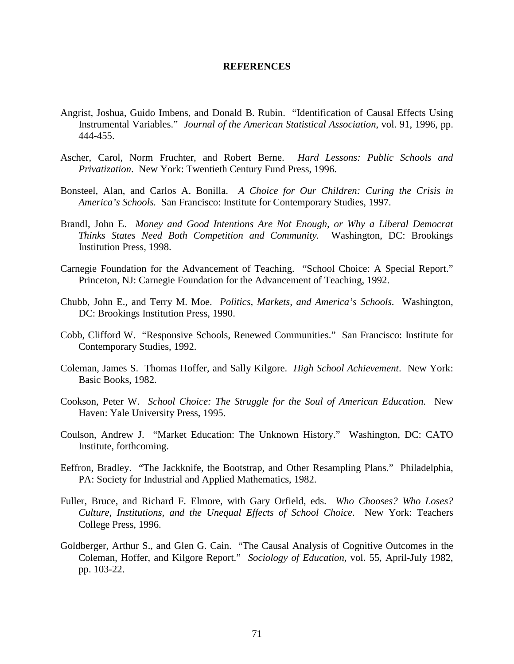### **REFERENCES**

- Angrist, Joshua, Guido Imbens, and Donald B. Rubin. "Identification of Causal Effects Using Instrumental Variables." *Journal of the American Statistical Association*, vol. 91, 1996, pp. 444-455.
- Ascher, Carol, Norm Fruchter, and Robert Berne. *Hard Lessons: Public Schools and Privatization*. New York: Twentieth Century Fund Press, 1996.
- Bonsteel, Alan, and Carlos A. Bonilla. *A Choice for Our Children: Curing the Crisis in America's Schools.* San Francisco: Institute for Contemporary Studies, 1997.
- Brandl, John E. *Money and Good Intentions Are Not Enough, or Why a Liberal Democrat Thinks States Need Both Competition and Community.* Washington, DC: Brookings Institution Press, 1998.
- Carnegie Foundation for the Advancement of Teaching. "School Choice: A Special Report." Princeton, NJ: Carnegie Foundation for the Advancement of Teaching, 1992.
- Chubb, John E., and Terry M. Moe. *Politics, Markets, and America's Schools.* Washington, DC: Brookings Institution Press, 1990.
- Cobb, Clifford W. "Responsive Schools, Renewed Communities." San Francisco: Institute for Contemporary Studies, 1992.
- Coleman, James S. Thomas Hoffer, and Sally Kilgore. *High School Achievement*. New York: Basic Books, 1982.
- Cookson, Peter W. *School Choice: The Struggle for the Soul of American Education.* New Haven: Yale University Press, 1995.
- Coulson, Andrew J. "Market Education: The Unknown History." Washington, DC: CATO Institute, forthcoming.
- Eeffron, Bradley. "The Jackknife, the Bootstrap, and Other Resampling Plans." Philadelphia, PA: Society for Industrial and Applied Mathematics, 1982.
- Fuller, Bruce, and Richard F. Elmore, with Gary Orfield, eds. *Who Chooses? Who Loses? Culture, Institutions, and the Unequal Effects of School Choice*. New York: Teachers College Press, 1996.
- Goldberger, Arthur S., and Glen G. Cain. "The Causal Analysis of Cognitive Outcomes in the Coleman, Hoffer, and Kilgore Report." *Sociology of Education*, vol. 55, April-July 1982, pp. 103-22.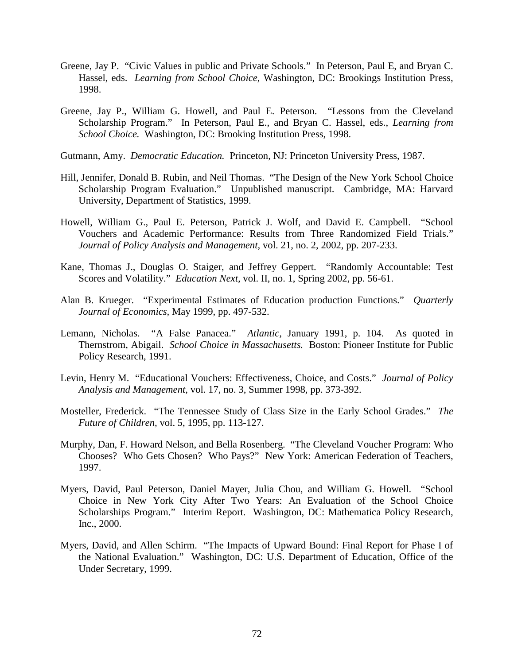- Greene, Jay P. "Civic Values in public and Private Schools." In Peterson, Paul E, and Bryan C. Hassel, eds. *Learning from School Choice*, Washington, DC: Brookings Institution Press, 1998.
- Greene, Jay P., William G. Howell, and Paul E. Peterson. "Lessons from the Cleveland Scholarship Program." In Peterson, Paul E., and Bryan C. Hassel, eds., *Learning from School Choice.* Washington, DC: Brooking Institution Press, 1998.
- Gutmann, Amy. *Democratic Education.* Princeton, NJ: Princeton University Press, 1987.
- Hill, Jennifer, Donald B. Rubin, and Neil Thomas. "The Design of the New York School Choice Scholarship Program Evaluation." Unpublished manuscript. Cambridge, MA: Harvard University, Department of Statistics, 1999.
- Howell, William G., Paul E. Peterson, Patrick J. Wolf, and David E. Campbell. "School Vouchers and Academic Performance: Results from Three Randomized Field Trials." *Journal of Policy Analysis and Management,* vol. 21, no. 2, 2002, pp. 207-233.
- Kane, Thomas J., Douglas O. Staiger, and Jeffrey Geppert. "Randomly Accountable: Test Scores and Volatility." *Education Next,* vol. II, no. 1, Spring 2002, pp. 56-61.
- Alan B. Krueger. "Experimental Estimates of Education production Functions." *Quarterly Journal of Economics,* May 1999, pp. 497-532.
- Lemann, Nicholas. "A False Panacea." *Atlantic,* January 1991, p. 104. As quoted in Thernstrom, Abigail. *School Choice in Massachusetts.* Boston: Pioneer Institute for Public Policy Research, 1991.
- Levin, Henry M. "Educational Vouchers: Effectiveness, Choice, and Costs." *Journal of Policy Analysis and Management,* vol. 17, no. 3, Summer 1998, pp. 373-392.
- Mosteller, Frederick. "The Tennessee Study of Class Size in the Early School Grades." *The Future of Children,* vol. 5, 1995, pp. 113-127.
- Murphy, Dan, F. Howard Nelson, and Bella Rosenberg. "The Cleveland Voucher Program: Who Chooses? Who Gets Chosen? Who Pays?" New York: American Federation of Teachers, 1997.
- Myers, David, Paul Peterson, Daniel Mayer, Julia Chou, and William G. Howell. "School Choice in New York City After Two Years: An Evaluation of the School Choice Scholarships Program." Interim Report. Washington, DC: Mathematica Policy Research, Inc., 2000.
- Myers, David, and Allen Schirm. "The Impacts of Upward Bound: Final Report for Phase I of the National Evaluation." Washington, DC: U.S. Department of Education, Office of the Under Secretary, 1999.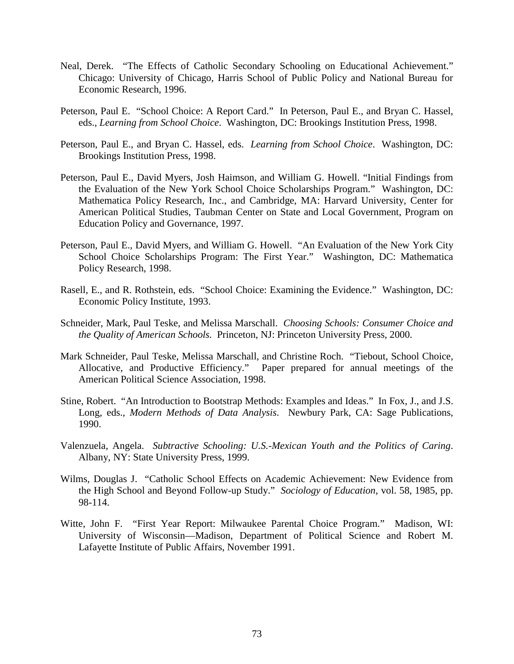- Neal, Derek. "The Effects of Catholic Secondary Schooling on Educational Achievement." Chicago: University of Chicago, Harris School of Public Policy and National Bureau for Economic Research, 1996.
- Peterson, Paul E. "School Choice: A Report Card." In Peterson, Paul E., and Bryan C. Hassel, eds., *Learning from School Choice*. Washington, DC: Brookings Institution Press, 1998.
- Peterson, Paul E., and Bryan C. Hassel, eds. *Learning from School Choice*. Washington, DC: Brookings Institution Press, 1998.
- Peterson, Paul E., David Myers, Josh Haimson, and William G. Howell. "Initial Findings from the Evaluation of the New York School Choice Scholarships Program." Washington, DC: Mathematica Policy Research, Inc., and Cambridge, MA: Harvard University, Center for American Political Studies, Taubman Center on State and Local Government, Program on Education Policy and Governance, 1997.
- Peterson, Paul E., David Myers, and William G. Howell. "An Evaluation of the New York City School Choice Scholarships Program: The First Year." Washington, DC: Mathematica Policy Research, 1998.
- Rasell, E., and R. Rothstein, eds. "School Choice: Examining the Evidence." Washington, DC: Economic Policy Institute, 1993.
- Schneider, Mark, Paul Teske, and Melissa Marschall. *Choosing Schools: Consumer Choice and the Quality of American Schools.* Princeton, NJ: Princeton University Press, 2000.
- Mark Schneider, Paul Teske, Melissa Marschall, and Christine Roch. "Tiebout, School Choice, Allocative, and Productive Efficiency." Paper prepared for annual meetings of the American Political Science Association, 1998.
- Stine, Robert. "An Introduction to Bootstrap Methods: Examples and Ideas." In Fox, J., and J.S. Long, eds., *Modern Methods of Data Analysis*. Newbury Park, CA: Sage Publications, 1990.
- Valenzuela, Angela. *Subtractive Schooling: U.S.-Mexican Youth and the Politics of Caring*. Albany, NY: State University Press, 1999.
- Wilms, Douglas J. "Catholic School Effects on Academic Achievement: New Evidence from the High School and Beyond Follow-up Study." *Sociology of Education*, vol. 58, 1985, pp. 98-114.
- Witte, John F. "First Year Report: Milwaukee Parental Choice Program." Madison, WI: University of Wisconsin—Madison, Department of Political Science and Robert M. Lafayette Institute of Public Affairs, November 1991.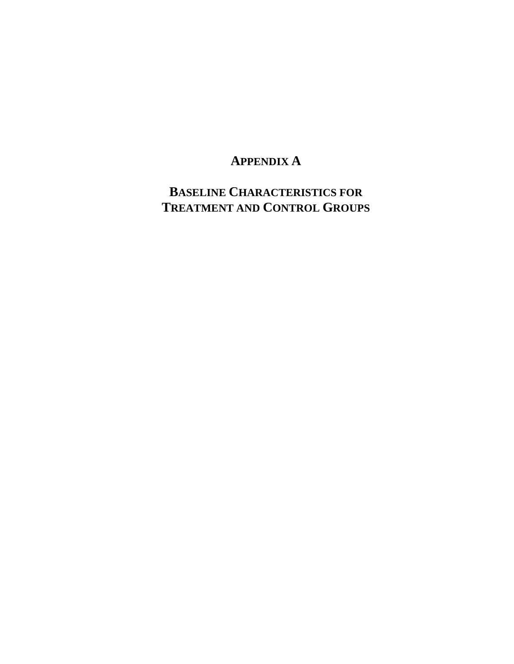# **APPENDIX A**

**BASELINE CHARACTERISTICS FOR TREATMENT AND CONTROL GROUPS**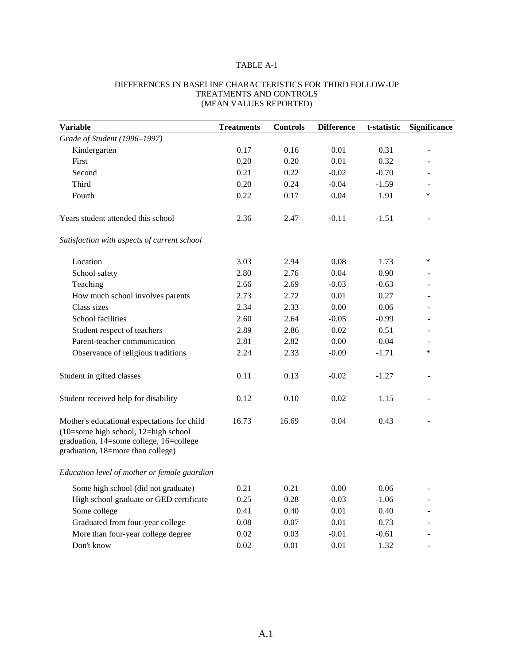## TABLE A-1

| <b>Variable</b>                                                                                                                                                     | <b>Treatments</b> | <b>Controls</b> | <b>Difference</b> | t-statistic | <b>Significance</b> |
|---------------------------------------------------------------------------------------------------------------------------------------------------------------------|-------------------|-----------------|-------------------|-------------|---------------------|
| Grade of Student (1996-1997)                                                                                                                                        |                   |                 |                   |             |                     |
| Kindergarten                                                                                                                                                        | 0.17              | 0.16            | 0.01              | 0.31        |                     |
| First                                                                                                                                                               | 0.20              | 0.20            | 0.01              | 0.32        |                     |
| Second                                                                                                                                                              | 0.21              | 0.22            | $-0.02$           | $-0.70$     |                     |
| Third                                                                                                                                                               | 0.20              | 0.24            | $-0.04$           | $-1.59$     |                     |
| Fourth                                                                                                                                                              | 0.22              | 0.17            | 0.04              | 1.91        | $\ast$              |
| Years student attended this school                                                                                                                                  | 2.36              | 2.47            | $-0.11$           | $-1.51$     |                     |
| Satisfaction with aspects of current school                                                                                                                         |                   |                 |                   |             |                     |
| Location                                                                                                                                                            | 3.03              | 2.94            | 0.08              | 1.73        | $\ast$              |
| School safety                                                                                                                                                       | 2.80              | 2.76            | 0.04              | 0.90        |                     |
| Teaching                                                                                                                                                            | 2.66              | 2.69            | $-0.03$           | $-0.63$     |                     |
| How much school involves parents                                                                                                                                    | 2.73              | 2.72            | 0.01              | 0.27        |                     |
| Class sizes                                                                                                                                                         | 2.34              | 2.33            | 0.00              | 0.06        |                     |
| School facilities                                                                                                                                                   | 2.60              | 2.64            | $-0.05$           | $-0.99$     |                     |
| Student respect of teachers                                                                                                                                         | 2.89              | 2.86            | 0.02              | 0.51        |                     |
| Parent-teacher communication                                                                                                                                        | 2.81              | 2.82            | 0.00              | $-0.04$     |                     |
| Observance of religious traditions                                                                                                                                  | 2.24              | 2.33            | $-0.09$           | $-1.71$     | *                   |
| Student in gifted classes                                                                                                                                           | 0.11              | 0.13            | $-0.02$           | $-1.27$     |                     |
| Student received help for disability                                                                                                                                | 0.12              | 0.10            | 0.02              | 1.15        |                     |
| Mother's educational expectations for child<br>(10=some high school, 12=high school<br>graduation, 14=some college, 16=college<br>graduation, 18=more than college) | 16.73             | 16.69           | 0.04              | 0.43        |                     |
| Education level of mother or female guardian                                                                                                                        |                   |                 |                   |             |                     |
| Some high school (did not graduate)                                                                                                                                 | 0.21              | 0.21            | 0.00              | 0.06        |                     |
| High school graduate or GED certificate                                                                                                                             | 0.25              | 0.28            | $-0.03$           | $-1.06$     |                     |
| Some college                                                                                                                                                        | 0.41              | 0.40            | 0.01              | 0.40        |                     |
| Graduated from four-year college                                                                                                                                    | 0.08              | 0.07            | 0.01              | 0.73        |                     |
| More than four-year college degree                                                                                                                                  | 0.02              | 0.03            | $-0.01$           | $-0.61$     |                     |
| Don't know                                                                                                                                                          | 0.02              | 0.01            | 0.01              | 1.32        |                     |

### DIFFERENCES IN BASELINE CHARACTERISTICS FOR THIRD FOLLOW-UP TREATMENTS AND CONTROLS (MEAN VALUES REPORTED)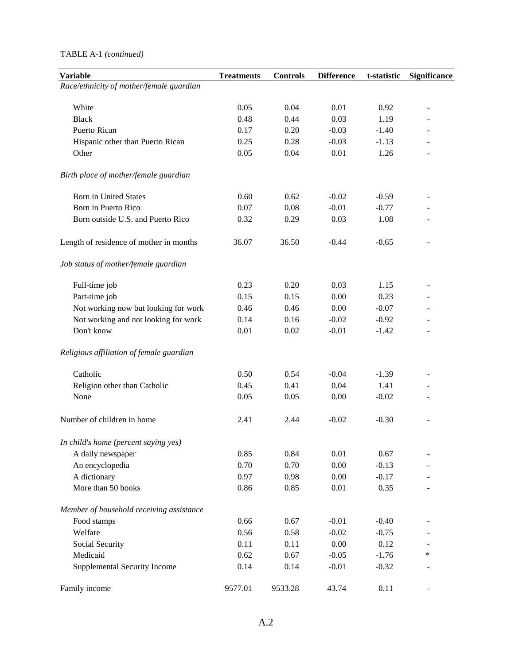### TABLE A-1 *(continued)*

| <b>Variable</b>                          | <b>Treatments</b> | <b>Controls</b> | <b>Difference</b> | t-statistic | <b>Significance</b>      |
|------------------------------------------|-------------------|-----------------|-------------------|-------------|--------------------------|
| Race/ethnicity of mother/female guardian |                   |                 |                   |             |                          |
|                                          |                   |                 |                   |             |                          |
| White                                    | 0.05              | 0.04            | 0.01              | 0.92        | $\overline{\phantom{a}}$ |
| <b>Black</b>                             | 0.48              | 0.44            | 0.03              | 1.19        |                          |
| <b>Puerto Rican</b>                      | 0.17              | 0.20            | $-0.03$           | $-1.40$     |                          |
| Hispanic other than Puerto Rican         | 0.25              | 0.28            | $-0.03$           | $-1.13$     |                          |
| Other                                    | 0.05              | 0.04            | 0.01              | 1.26        |                          |
| Birth place of mother/female guardian    |                   |                 |                   |             |                          |
| <b>Born in United States</b>             | 0.60              | 0.62            | $-0.02$           | $-0.59$     |                          |
| Born in Puerto Rico                      | 0.07              | $0.08\,$        | $-0.01$           | $-0.77$     |                          |
| Born outside U.S. and Puerto Rico        | 0.32              | 0.29            | 0.03              | 1.08        |                          |
| Length of residence of mother in months  | 36.07             | 36.50           | $-0.44$           | $-0.65$     |                          |
| Job status of mother/female guardian     |                   |                 |                   |             |                          |
| Full-time job                            | 0.23              | 0.20            | 0.03              | 1.15        |                          |
| Part-time job                            | 0.15              | 0.15            | 0.00              | 0.23        |                          |
| Not working now but looking for work     | 0.46              | 0.46            | 0.00              | $-0.07$     |                          |
| Not working and not looking for work     | 0.14              | 0.16            | $-0.02$           | $-0.92$     |                          |
| Don't know                               | 0.01              | $0.02\,$        | $-0.01$           | $-1.42$     |                          |
| Religious affiliation of female guardian |                   |                 |                   |             |                          |
| Catholic                                 | 0.50              | 0.54            | $-0.04$           | $-1.39$     |                          |
| Religion other than Catholic             | 0.45              | 0.41            | 0.04              | 1.41        |                          |
| None                                     | 0.05              | 0.05            | 0.00              | $-0.02$     |                          |
| Number of children in home               | 2.41              | 2.44            | $-0.02$           | $-0.30$     |                          |
| In child's home (percent saying yes)     |                   |                 |                   |             |                          |
| A daily newspaper                        | 0.85              | 0.84            | 0.01              | 0.67        |                          |
| An encyclopedia                          | 0.70              | 0.70            | 0.00              | $-0.13$     |                          |
| A dictionary                             | 0.97              | 0.98            | 0.00              | $-0.17$     |                          |
| More than 50 books                       | 0.86              | 0.85            | $0.01\,$          | 0.35        |                          |
| Member of household receiving assistance |                   |                 |                   |             |                          |
| Food stamps                              | 0.66              | 0.67            | $-0.01$           | $-0.40$     |                          |
| Welfare                                  | 0.56              | 0.58            | $-0.02$           | $-0.75$     |                          |
| Social Security                          | 0.11              | 0.11            | 0.00              | 0.12        |                          |
| Medicaid                                 | 0.62              | 0.67            | $-0.05$           | $-1.76$     | *                        |
| Supplemental Security Income             | 0.14              | 0.14            | $-0.01$           | $-0.32$     |                          |
| Family income                            | 9577.01           | 9533.28         | 43.74             | 0.11        |                          |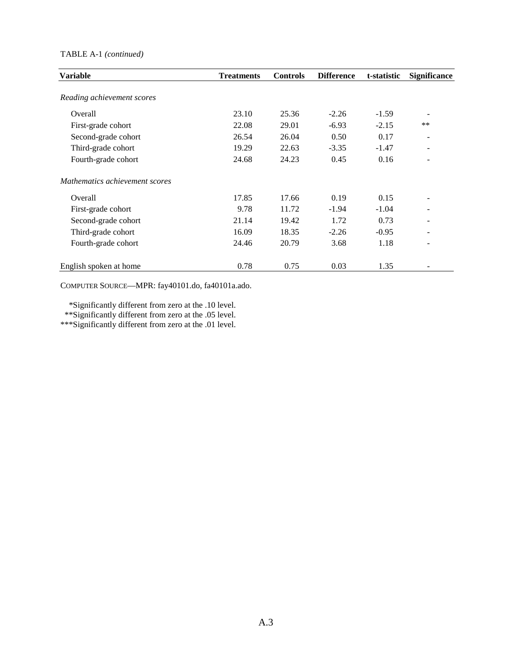### TABLE A-1 *(continued)*

| <b>Variable</b>                | <b>Treatments</b> | <b>Controls</b> | <b>Difference</b> | t-statistic | <b>Significance</b> |
|--------------------------------|-------------------|-----------------|-------------------|-------------|---------------------|
| Reading achievement scores     |                   |                 |                   |             |                     |
| Overall                        | 23.10             | 25.36           | $-2.26$           | $-1.59$     |                     |
| First-grade cohort             | 22.08             | 29.01           | $-6.93$           | $-2.15$     | **                  |
| Second-grade cohort            | 26.54             | 26.04           | 0.50              | 0.17        |                     |
| Third-grade cohort             | 19.29             | 22.63           | $-3.35$           | $-1.47$     | ۰                   |
| Fourth-grade cohort            | 24.68             | 24.23           | 0.45              | 0.16        | ۰                   |
| Mathematics achievement scores |                   |                 |                   |             |                     |
| Overall                        | 17.85             | 17.66           | 0.19              | 0.15        |                     |
| First-grade cohort             | 9.78              | 11.72           | $-1.94$           | $-1.04$     |                     |
| Second-grade cohort            | 21.14             | 19.42           | 1.72              | 0.73        |                     |
| Third-grade cohort             | 16.09             | 18.35           | $-2.26$           | $-0.95$     | ۰                   |
| Fourth-grade cohort            | 24.46             | 20.79           | 3.68              | 1.18        | $\qquad \qquad -$   |
| English spoken at home         | 0.78              | 0.75            | 0.03              | 1.35        |                     |

COMPUTER SOURCE—MPR: fay40101.do, fa40101a.ado.

 \*Significantly different from zero at the .10 level. \*\*Significantly different from zero at the .05 level.

\*\*\*Significantly different from zero at the .01 level.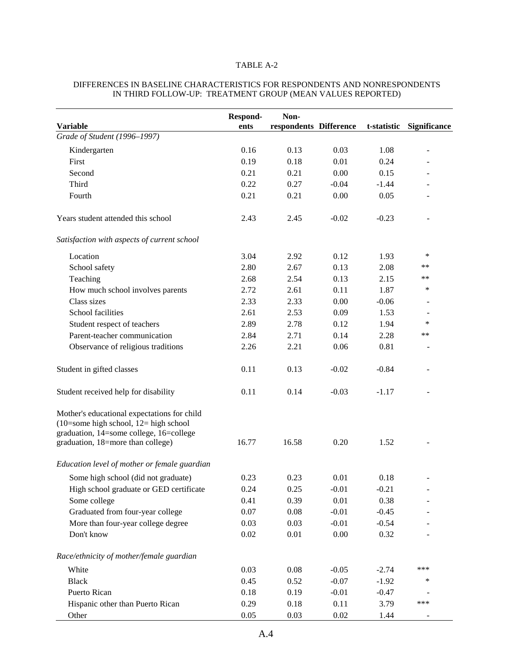## TABLE A-2

|                                                                                                                                                                           | Respond- | Non-                   |         |         |                          |
|---------------------------------------------------------------------------------------------------------------------------------------------------------------------------|----------|------------------------|---------|---------|--------------------------|
| <b>Variable</b>                                                                                                                                                           | ents     | respondents Difference |         |         | t-statistic Significance |
| Grade of Student (1996-1997)                                                                                                                                              |          |                        |         |         |                          |
| Kindergarten                                                                                                                                                              | 0.16     | 0.13                   | 0.03    | 1.08    |                          |
| First                                                                                                                                                                     | 0.19     | 0.18                   | 0.01    | 0.24    |                          |
| Second                                                                                                                                                                    | 0.21     | 0.21                   | 0.00    | 0.15    |                          |
| Third                                                                                                                                                                     | 0.22     | 0.27                   | $-0.04$ | $-1.44$ |                          |
| Fourth                                                                                                                                                                    | 0.21     | 0.21                   | 0.00    | 0.05    |                          |
| Years student attended this school                                                                                                                                        | 2.43     | 2.45                   | $-0.02$ | $-0.23$ |                          |
| Satisfaction with aspects of current school                                                                                                                               |          |                        |         |         |                          |
| Location                                                                                                                                                                  | 3.04     | 2.92                   | 0.12    | 1.93    | *                        |
| School safety                                                                                                                                                             | 2.80     | 2.67                   | 0.13    | 2.08    | **                       |
| Teaching                                                                                                                                                                  | 2.68     | 2.54                   | 0.13    | 2.15    | **                       |
| How much school involves parents                                                                                                                                          | 2.72     | 2.61                   | 0.11    | 1.87    | *                        |
| Class sizes                                                                                                                                                               | 2.33     | 2.33                   | 0.00    | $-0.06$ |                          |
| School facilities                                                                                                                                                         | 2.61     | 2.53                   | 0.09    | 1.53    | ÷                        |
| Student respect of teachers                                                                                                                                               | 2.89     | 2.78                   | 0.12    | 1.94    | *                        |
| Parent-teacher communication                                                                                                                                              | 2.84     | 2.71                   | 0.14    | 2.28    | **                       |
| Observance of religious traditions                                                                                                                                        | 2.26     | 2.21                   | 0.06    | 0.81    |                          |
| Student in gifted classes                                                                                                                                                 | 0.11     | 0.13                   | $-0.02$ | $-0.84$ | L,                       |
| Student received help for disability                                                                                                                                      | 0.11     | 0.14                   | $-0.03$ | $-1.17$ |                          |
| Mother's educational expectations for child<br>$(10=$ some high school, $12=$ high school<br>graduation, 14=some college, 16=college<br>graduation, 18=more than college) | 16.77    | 16.58                  | 0.20    | 1.52    |                          |
| Education level of mother or female guardian                                                                                                                              |          |                        |         |         |                          |
| Some high school (did not graduate)                                                                                                                                       | 0.23     | 0.23                   | 0.01    | 0.18    |                          |
| High school graduate or GED certificate                                                                                                                                   | 0.24     | 0.25                   | $-0.01$ | $-0.21$ |                          |
| Some college                                                                                                                                                              | 0.41     | 0.39                   | 0.01    | 0.38    |                          |
| Graduated from four-year college                                                                                                                                          | 0.07     | 0.08                   | $-0.01$ | $-0.45$ |                          |
| More than four-year college degree                                                                                                                                        | 0.03     | 0.03                   | $-0.01$ | $-0.54$ |                          |
| Don't know                                                                                                                                                                | 0.02     | 0.01                   | 0.00    | 0.32    |                          |
| Race/ethnicity of mother/female guardian                                                                                                                                  |          |                        |         |         |                          |
| White                                                                                                                                                                     | 0.03     | 0.08                   | $-0.05$ | $-2.74$ | ***                      |
| <b>Black</b>                                                                                                                                                              | 0.45     | 0.52                   | $-0.07$ | $-1.92$ | *                        |
| Puerto Rican                                                                                                                                                              | 0.18     | 0.19                   | $-0.01$ | $-0.47$ |                          |
| Hispanic other than Puerto Rican                                                                                                                                          | 0.29     | 0.18                   | 0.11    | 3.79    | ***                      |
| Other                                                                                                                                                                     | 0.05     | 0.03                   | 0.02    | 1.44    |                          |

### DIFFERENCES IN BASELINE CHARACTERISTICS FOR RESPONDENTS AND NONRESPONDENTS IN THIRD FOLLOW-UP: TREATMENT GROUP (MEAN VALUES REPORTED)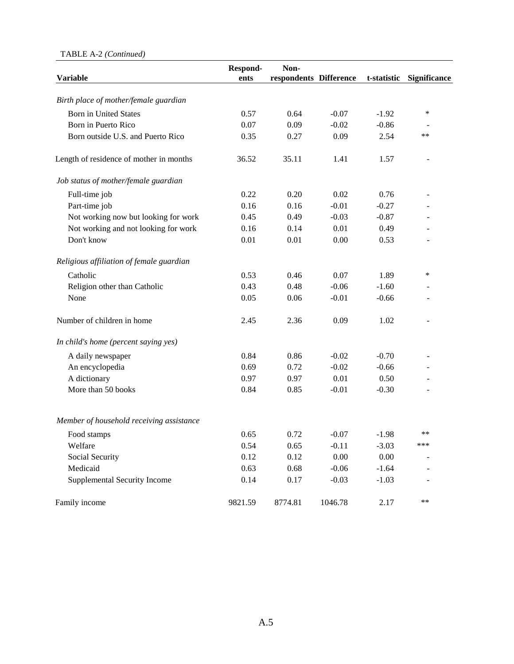### TABLE A-2 *(Continued)*

|                                          | Respond- | Non-                   |         |             |                     |
|------------------------------------------|----------|------------------------|---------|-------------|---------------------|
| Variable                                 | ents     | respondents Difference |         | t-statistic | <b>Significance</b> |
| Birth place of mother/female guardian    |          |                        |         |             |                     |
| <b>Born in United States</b>             | 0.57     | 0.64                   | $-0.07$ | $-1.92$     | ∗                   |
| Born in Puerto Rico                      | 0.07     | 0.09                   | $-0.02$ | $-0.86$     |                     |
| Born outside U.S. and Puerto Rico        | 0.35     | 0.27                   | 0.09    | 2.54        | $***$               |
| Length of residence of mother in months  | 36.52    | 35.11                  | 1.41    | 1.57        |                     |
| Job status of mother/female guardian     |          |                        |         |             |                     |
| Full-time job                            | 0.22     | 0.20                   | 0.02    | 0.76        |                     |
| Part-time job                            | 0.16     | 0.16                   | $-0.01$ | $-0.27$     |                     |
| Not working now but looking for work     | 0.45     | 0.49                   | $-0.03$ | $-0.87$     |                     |
| Not working and not looking for work     | 0.16     | 0.14                   | 0.01    | 0.49        |                     |
| Don't know                               | 0.01     | 0.01                   | 0.00    | 0.53        |                     |
| Religious affiliation of female guardian |          |                        |         |             |                     |
| Catholic                                 | 0.53     | 0.46                   | 0.07    | 1.89        | $\ast$              |
| Religion other than Catholic             | 0.43     | 0.48                   | $-0.06$ | $-1.60$     |                     |
| None                                     | 0.05     | 0.06                   | $-0.01$ | $-0.66$     |                     |
| Number of children in home               | 2.45     | 2.36                   | 0.09    | 1.02        | $\overline{a}$      |
| In child's home (percent saying yes)     |          |                        |         |             |                     |
| A daily newspaper                        | 0.84     | 0.86                   | $-0.02$ | $-0.70$     |                     |
| An encyclopedia                          | 0.69     | 0.72                   | $-0.02$ | $-0.66$     |                     |
| A dictionary                             | 0.97     | 0.97                   | 0.01    | 0.50        |                     |
| More than 50 books                       | 0.84     | 0.85                   | $-0.01$ | $-0.30$     |                     |
| Member of household receiving assistance |          |                        |         |             |                     |
| Food stamps                              | 0.65     | 0.72                   | $-0.07$ | $-1.98$     | **                  |
| Welfare                                  | 0.54     | 0.65                   | $-0.11$ | $-3.03$     | ***                 |
| Social Security                          | 0.12     | 0.12                   | 0.00    | 0.00        |                     |
| Medicaid                                 | 0.63     | 0.68                   | $-0.06$ | $-1.64$     |                     |
| Supplemental Security Income             | 0.14     | 0.17                   | $-0.03$ | $-1.03$     |                     |
| Family income                            | 9821.59  | 8774.81                | 1046.78 | 2.17        | **                  |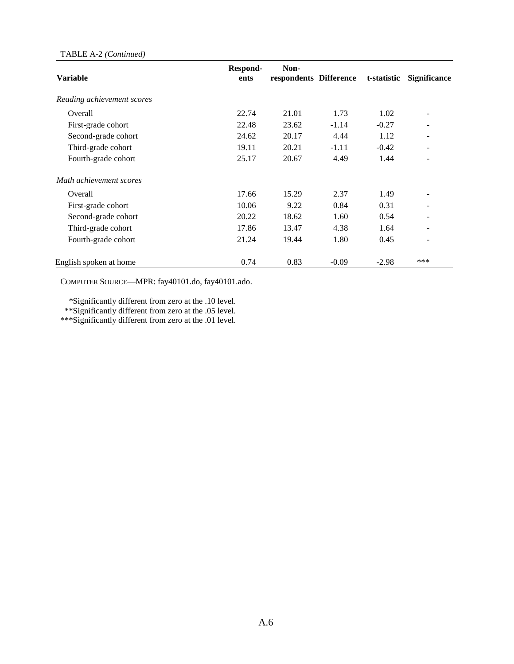### TABLE A-2 *(Continued)*

| <b>Variable</b>            | Respond-<br>ents | Non-<br>respondents Difference |         | t-statistic | <b>Significance</b> |
|----------------------------|------------------|--------------------------------|---------|-------------|---------------------|
|                            |                  |                                |         |             |                     |
| Reading achievement scores |                  |                                |         |             |                     |
| Overall                    | 22.74            | 21.01                          | 1.73    | 1.02        |                     |
| First-grade cohort         | 22.48            | 23.62                          | $-1.14$ | $-0.27$     |                     |
| Second-grade cohort        | 24.62            | 20.17                          | 4.44    | 1.12        |                     |
| Third-grade cohort         | 19.11            | 20.21                          | $-1.11$ | $-0.42$     |                     |
| Fourth-grade cohort        | 25.17            | 20.67                          | 4.49    | 1.44        |                     |
| Math achievement scores    |                  |                                |         |             |                     |
| Overall                    | 17.66            | 15.29                          | 2.37    | 1.49        |                     |
| First-grade cohort         | 10.06            | 9.22                           | 0.84    | 0.31        |                     |
| Second-grade cohort        | 20.22            | 18.62                          | 1.60    | 0.54        |                     |
| Third-grade cohort         | 17.86            | 13.47                          | 4.38    | 1.64        |                     |
| Fourth-grade cohort        | 21.24            | 19.44                          | 1.80    | 0.45        |                     |
| English spoken at home     | 0.74             | 0.83                           | $-0.09$ | $-2.98$     | ***                 |

COMPUTER SOURCE—MPR: fay40101.do, fay40101.ado.

 \*Significantly different from zero at the .10 level. \*\*Significantly different from zero at the .05 level. \*\*\*Significantly different from zero at the .01 level.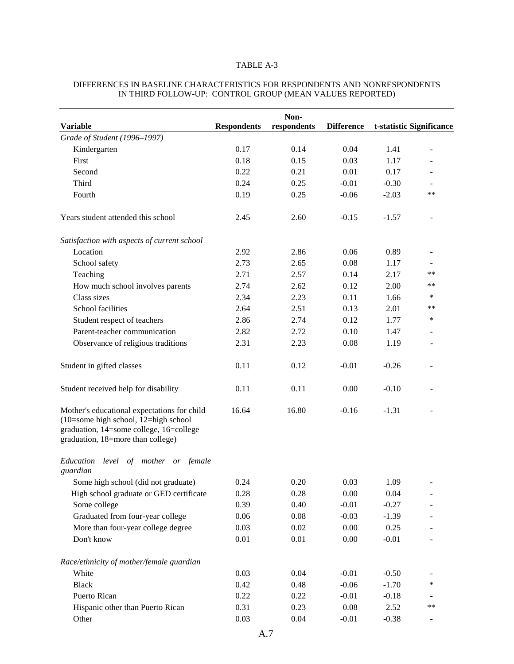### TABLE A-3

|                                                                                                                                                                           |                    | Non-        |                   |         |                          |
|---------------------------------------------------------------------------------------------------------------------------------------------------------------------------|--------------------|-------------|-------------------|---------|--------------------------|
| <b>Variable</b>                                                                                                                                                           | <b>Respondents</b> | respondents | <b>Difference</b> |         | t-statistic Significance |
| Grade of Student (1996-1997)                                                                                                                                              |                    |             |                   |         |                          |
| Kindergarten                                                                                                                                                              | 0.17               | 0.14        | 0.04              | 1.41    | ÷                        |
| First                                                                                                                                                                     | 0.18               | 0.15        | 0.03              | 1.17    |                          |
| Second                                                                                                                                                                    | 0.22               | 0.21        | 0.01              | 0.17    |                          |
| Third                                                                                                                                                                     | 0.24               | 0.25        | $-0.01$           | $-0.30$ |                          |
| Fourth                                                                                                                                                                    | 0.19               | 0.25        | $-0.06$           | $-2.03$ | $**$                     |
| Years student attended this school                                                                                                                                        | 2.45               | 2.60        | $-0.15$           | $-1.57$ |                          |
| Satisfaction with aspects of current school                                                                                                                               |                    |             |                   |         |                          |
| Location                                                                                                                                                                  | 2.92               | 2.86        | 0.06              | 0.89    |                          |
| School safety                                                                                                                                                             | 2.73               | 2.65        | 0.08              | 1.17    |                          |
| Teaching                                                                                                                                                                  | 2.71               | 2.57        | 0.14              | 2.17    | $***$                    |
| How much school involves parents                                                                                                                                          | 2.74               | 2.62        | 0.12              | 2.00    | **                       |
| Class sizes                                                                                                                                                               | 2.34               | 2.23        | 0.11              | 1.66    | ∗                        |
| School facilities                                                                                                                                                         | 2.64               | 2.51        | 0.13              | 2.01    | $***$                    |
| Student respect of teachers                                                                                                                                               | 2.86               | 2.74        | 0.12              | 1.77    | ∗                        |
| Parent-teacher communication                                                                                                                                              | 2.82               | 2.72        | 0.10              | 1.47    |                          |
| Observance of religious traditions                                                                                                                                        | 2.31               | 2.23        | 0.08              | 1.19    |                          |
| Student in gifted classes                                                                                                                                                 | 0.11               | 0.12        | $-0.01$           | $-0.26$ |                          |
| Student received help for disability                                                                                                                                      | 0.11               | 0.11        | 0.00              | $-0.10$ |                          |
| Mother's educational expectations for child<br>$(10=$ some high school, $12=$ high school<br>graduation, 14=some college, 16=college<br>graduation, 18=more than college) | 16.64              | 16.80       | $-0.16$           | $-1.31$ |                          |
| Education<br>level of mother or female<br>guardian                                                                                                                        |                    |             |                   |         |                          |
| Some high school (did not graduate)                                                                                                                                       | 0.24               | 0.20        | 0.03              | 1.09    |                          |
| High school graduate or GED certificate                                                                                                                                   | 0.28               | 0.28        | 0.00              | 0.04    |                          |
| Some college                                                                                                                                                              | 0.39               | 0.40        | $-0.01$           | $-0.27$ |                          |
| Graduated from four-year college                                                                                                                                          | 0.06               | 0.08        | $-0.03$           | $-1.39$ |                          |
| More than four-year college degree                                                                                                                                        | 0.03               | 0.02        | $0.00\,$          | 0.25    |                          |
| Don't know                                                                                                                                                                | 0.01               | 0.01        | 0.00              | $-0.01$ |                          |
| Race/ethnicity of mother/female guardian                                                                                                                                  |                    |             |                   |         |                          |
| White                                                                                                                                                                     | 0.03               | 0.04        | $-0.01$           | $-0.50$ |                          |
| <b>Black</b>                                                                                                                                                              | 0.42               | 0.48        | $-0.06$           | $-1.70$ | $\ast$                   |
| Puerto Rican                                                                                                                                                              | 0.22               | 0.22        | $-0.01$           | $-0.18$ |                          |
| Hispanic other than Puerto Rican                                                                                                                                          | 0.31               | 0.23        | 0.08              | 2.52    | $***$                    |
| Other                                                                                                                                                                     | 0.03               | 0.04        | $-0.01$           | $-0.38$ | $\overline{\phantom{a}}$ |

### DIFFERENCES IN BASELINE CHARACTERISTICS FOR RESPONDENTS AND NONRESPONDENTS IN THIRD FOLLOW-UP: CONTROL GROUP (MEAN VALUES REPORTED)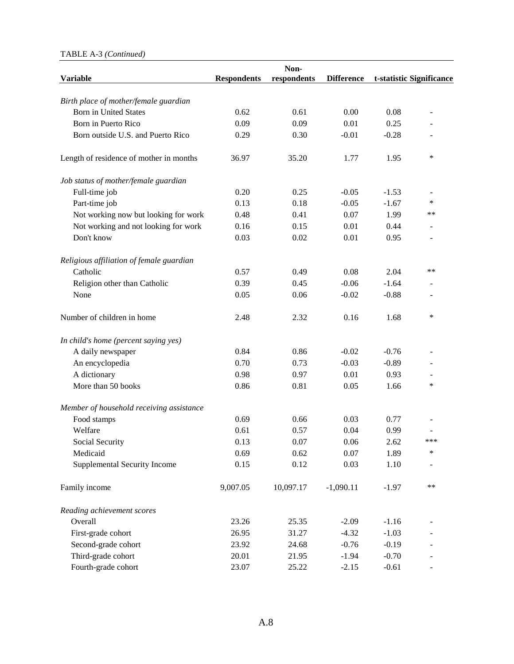### TABLE A-3 *(Continued)*

| <b>Variable</b>                          | <b>Respondents</b> | Non-<br>respondents | <b>Difference</b> |         | t-statistic Significance |
|------------------------------------------|--------------------|---------------------|-------------------|---------|--------------------------|
|                                          |                    |                     |                   |         |                          |
| Birth place of mother/female guardian    |                    |                     |                   |         |                          |
| <b>Born in United States</b>             | 0.62               | 0.61                | 0.00              | 0.08    |                          |
| Born in Puerto Rico                      | 0.09               | 0.09                | 0.01              | 0.25    |                          |
| Born outside U.S. and Puerto Rico        | 0.29               | 0.30                | $-0.01$           | $-0.28$ |                          |
| Length of residence of mother in months  | 36.97              | 35.20               | 1.77              | 1.95    | ∗                        |
| Job status of mother/female guardian     |                    |                     |                   |         |                          |
| Full-time job                            | 0.20               | 0.25                | $-0.05$           | $-1.53$ |                          |
| Part-time job                            | 0.13               | 0.18                | $-0.05$           | $-1.67$ | *                        |
| Not working now but looking for work     | 0.48               | 0.41                | 0.07              | 1.99    | **                       |
| Not working and not looking for work     | 0.16               | 0.15                | 0.01              | 0.44    |                          |
| Don't know                               | 0.03               | 0.02                | 0.01              | 0.95    |                          |
| Religious affiliation of female guardian |                    |                     |                   |         |                          |
| Catholic                                 | 0.57               | 0.49                | 0.08              | 2.04    | $**$                     |
| Religion other than Catholic             | 0.39               | 0.45                | $-0.06$           | $-1.64$ |                          |
| None                                     | 0.05               | 0.06                | $-0.02$           | $-0.88$ |                          |
| Number of children in home               | 2.48               | 2.32                | 0.16              | 1.68    | ∗                        |
| In child's home (percent saying yes)     |                    |                     |                   |         |                          |
| A daily newspaper                        | 0.84               | 0.86                | $-0.02$           | $-0.76$ |                          |
| An encyclopedia                          | 0.70               | 0.73                | $-0.03$           | $-0.89$ |                          |
| A dictionary                             | 0.98               | 0.97                | 0.01              | 0.93    |                          |
| More than 50 books                       | 0.86               | 0.81                | 0.05              | 1.66    | ∗                        |
| Member of household receiving assistance |                    |                     |                   |         |                          |
| Food stamps                              | 0.69               | 0.66                | 0.03              | 0.77    |                          |
| Welfare                                  | 0.61               | 0.57                | 0.04              | 0.99    |                          |
| Social Security                          | 0.13               | 0.07                | 0.06              | 2.62    | ***                      |
| Medicaid                                 | 0.69               | 0.62                | 0.07              | 1.89    | $\ast$                   |
| Supplemental Security Income             | 0.15               | 0.12                | 0.03              | 1.10    |                          |
| Family income                            | 9,007.05           | 10,097.17           | $-1,090.11$       | $-1.97$ | $**$                     |
| Reading achievement scores               |                    |                     |                   |         |                          |
| Overall                                  | 23.26              | 25.35               | $-2.09$           | $-1.16$ |                          |
| First-grade cohort                       | 26.95              | 31.27               | $-4.32$           | $-1.03$ |                          |
| Second-grade cohort                      | 23.92              | 24.68               | $-0.76$           | $-0.19$ |                          |
| Third-grade cohort                       | 20.01              | 21.95               | $-1.94$           | $-0.70$ |                          |
| Fourth-grade cohort                      | 23.07              | 25.22               | $-2.15$           | $-0.61$ |                          |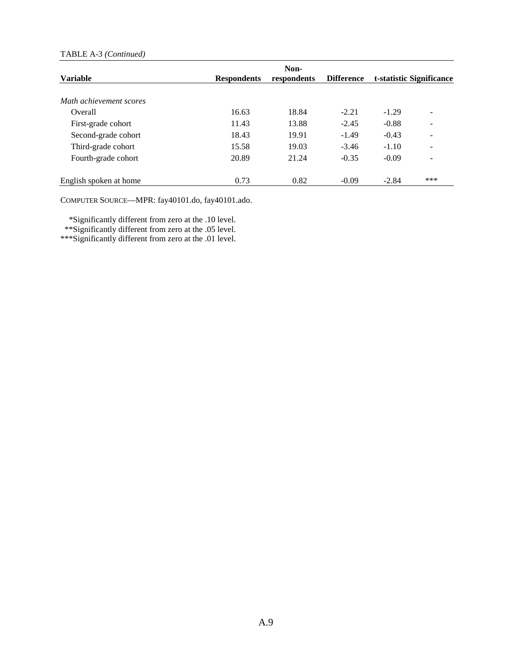### TABLE A-3 *(Continued)*

|                         |                    | Non-        |                   |                          |                              |
|-------------------------|--------------------|-------------|-------------------|--------------------------|------------------------------|
| <b>Variable</b>         | <b>Respondents</b> | respondents | <b>Difference</b> | t-statistic Significance |                              |
|                         |                    |             |                   |                          |                              |
| Math achievement scores |                    |             |                   |                          |                              |
| Overall                 | 16.63              | 18.84       | $-2.21$           | $-1.29$                  | $\qquad \qquad \blacksquare$ |
| First-grade cohort      | 11.43              | 13.88       | $-2.45$           | $-0.88$                  | $\qquad \qquad \blacksquare$ |
| Second-grade cohort     | 18.43              | 19.91       | $-1.49$           | $-0.43$                  |                              |
| Third-grade cohort      | 15.58              | 19.03       | $-3.46$           | $-1.10$                  | $\overline{\phantom{a}}$     |
| Fourth-grade cohort     | 20.89              | 21.24       | $-0.35$           | $-0.09$                  | $\overline{\phantom{a}}$     |
| English spoken at home  | 0.73               | 0.82        | $-0.09$           | $-2.84$                  | ***                          |

COMPUTER SOURCE—MPR: fay40101.do, fay40101.ado.

\*Significantly different from zero at the .10 level.

\*\*Significantly different from zero at the .05 level.

\*\*\*Significantly different from zero at the .01 level.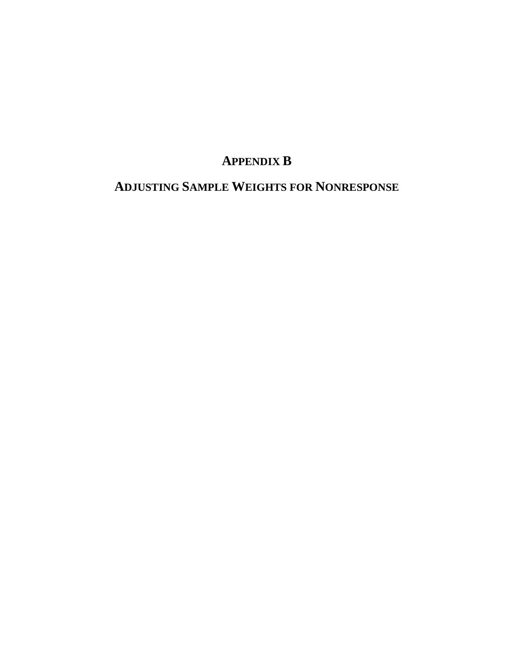# **APPENDIX B**

# **ADJUSTING SAMPLE WEIGHTS FOR NONRESPONSE**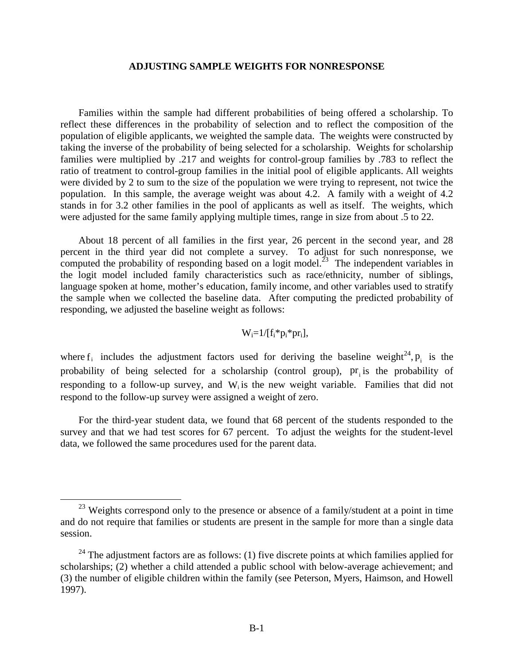### **ADJUSTING SAMPLE WEIGHTS FOR NONRESPONSE**

Families within the sample had different probabilities of being offered a scholarship. To reflect these differences in the probability of selection and to reflect the composition of the population of eligible applicants, we weighted the sample data. The weights were constructed by taking the inverse of the probability of being selected for a scholarship. Weights for scholarship families were multiplied by .217 and weights for control-group families by .783 to reflect the ratio of treatment to control-group families in the initial pool of eligible applicants. All weights were divided by 2 to sum to the size of the population we were trying to represent, not twice the population. In this sample, the average weight was about 4.2. A family with a weight of 4.2 stands in for 3.2 other families in the pool of applicants as well as itself. The weights, which were adjusted for the same family applying multiple times, range in size from about .5 to 22.

About 18 percent of all families in the first year, 26 percent in the second year, and 28 percent in the third year did not complete a survey. To adjust for such nonresponse, we computed the probability of responding based on a logit model.<sup>23</sup> The independent variables in the logit model included family characteristics such as race/ethnicity, number of siblings, language spoken at home, mother's education, family income, and other variables used to stratify the sample when we collected the baseline data. After computing the predicted probability of responding, we adjusted the baseline weight as follows:

$$
W_i=1/[f_i*p_i*pr_i],
$$

where  $f_i$  includes the adjustment factors used for deriving the baseline weight<sup>24</sup>,  $p_i$  is the probability of being selected for a scholarship (control group),  $pr_i$  is the probability of responding to a follow-up survey, and W<sub>i</sub> is the new weight variable. Families that did not respond to the follow-up survey were assigned a weight of zero.

For the third-year student data, we found that 68 percent of the students responded to the survey and that we had test scores for 67 percent. To adjust the weights for the student-level data, we followed the same procedures used for the parent data.

 $23$  Weights correspond only to the presence or absence of a family/student at a point in time and do not require that families or students are present in the sample for more than a single data session.

 $24$  The adjustment factors are as follows: (1) five discrete points at which families applied for scholarships; (2) whether a child attended a public school with below-average achievement; and (3) the number of eligible children within the family (see Peterson, Myers, Haimson, and Howell 1997).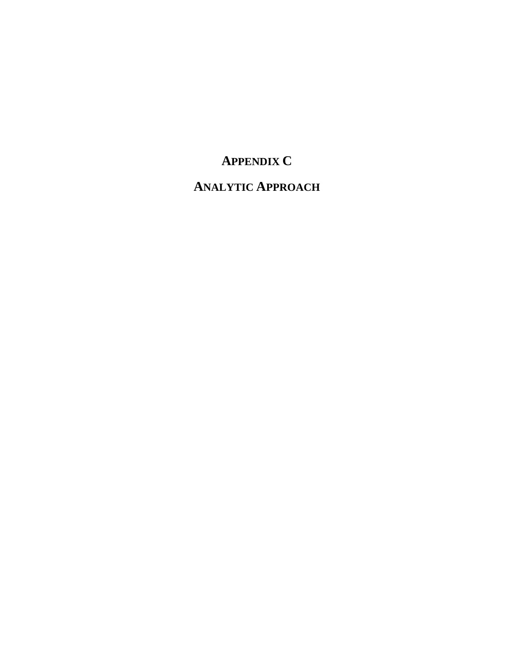# **APPENDIX C**

## **ANALYTIC APPROACH**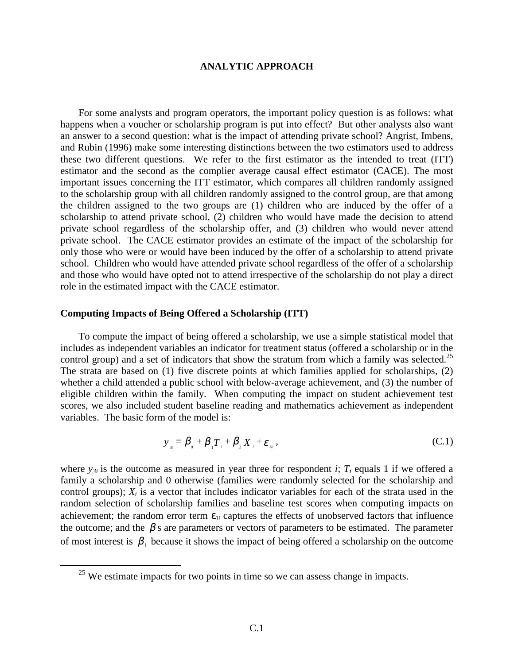### **ANALYTIC APPROACH**

For some analysts and program operators, the important policy question is as follows: what happens when a voucher or scholarship program is put into effect? But other analysts also want an answer to a second question: what is the impact of attending private school? Angrist, Imbens, and Rubin (1996) make some interesting distinctions between the two estimators used to address these two different questions. We refer to the first estimator as the intended to treat (ITT) estimator and the second as the complier average causal effect estimator (CACE). The most important issues concerning the ITT estimator, which compares all children randomly assigned to the scholarship group with all children randomly assigned to the control group, are that among the children assigned to the two groups are (1) children who are induced by the offer of a scholarship to attend private school, (2) children who would have made the decision to attend private school regardless of the scholarship offer, and (3) children who would never attend private school. The CACE estimator provides an estimate of the impact of the scholarship for only those who were or would have been induced by the offer of a scholarship to attend private school. Children who would have attended private school regardless of the offer of a scholarship and those who would have opted not to attend irrespective of the scholarship do not play a direct role in the estimated impact with the CACE estimator.

### **Computing Impacts of Being Offered a Scholarship (ITT)**

To compute the impact of being offered a scholarship, we use a simple statistical model that includes as independent variables an indicator for treatment status (offered a scholarship or in the control group) and a set of indicators that show the stratum from which a family was selected.<sup>25</sup> The strata are based on (1) five discrete points at which families applied for scholarships, (2) whether a child attended a public school with below-average achievement, and (3) the number of eligible children within the family. When computing the impact on student achievement test scores, we also included student baseline reading and mathematics achievement as independent variables. The basic form of the model is:

$$
y_{\mathbf{a}_i} = \boldsymbol{\beta}_{\mathbf{a}} + \boldsymbol{\beta}_{\mathbf{a}} \boldsymbol{T}_{\mathbf{a}} + \boldsymbol{\beta}_{\mathbf{a}} \boldsymbol{X}_{\mathbf{a}} + \boldsymbol{\varepsilon}_{\mathbf{a}_i}, \qquad (C.1)
$$

where  $y_{3i}$  is the outcome as measured in year three for respondent *i*;  $T_i$  equals 1 if we offered a family a scholarship and 0 otherwise (families were randomly selected for the scholarship and control groups);  $X_i$  is a vector that includes indicator variables for each of the strata used in the random selection of scholarship families and baseline test scores when computing impacts on achievement; the random error term  $\varepsilon_{3i}$  captures the effects of unobserved factors that influence the outcome; and the  $\beta$  s are parameters or vectors of parameters to be estimated. The parameter of most interest is  $\beta_1$  because it shows the impact of being offered a scholarship on the outcome

<sup>&</sup>lt;sup>25</sup> We estimate impacts for two points in time so we can assess change in impacts.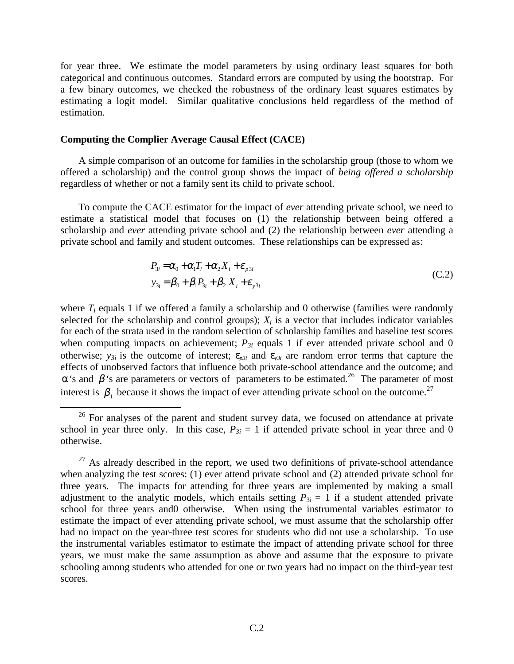for year three. We estimate the model parameters by using ordinary least squares for both categorical and continuous outcomes. Standard errors are computed by using the bootstrap. For a few binary outcomes, we checked the robustness of the ordinary least squares estimates by estimating a logit model. Similar qualitative conclusions held regardless of the method of estimation.

### **Computing the Complier Average Causal Effect (CACE)**

A simple comparison of an outcome for families in the scholarship group (those to whom we offered a scholarship) and the control group shows the impact of *being offered a scholarship* regardless of whether or not a family sent its child to private school.

To compute the CACE estimator for the impact of *ever* attending private school, we need to estimate a statistical model that focuses on (1) the relationship between being offered a scholarship and *ever* attending private school and (2) the relationship between *ever* attending a private school and family and student outcomes. These relationships can be expressed as:

$$
P_{3i} = \alpha_0 + \alpha_1 T_i + \alpha_2 X_i + \varepsilon_{p3i}
$$
  
\n
$$
y_{3i} = \beta_0 + \beta_1 P_{3i} + \beta_2 X_i + \varepsilon_{y3i}
$$
 (C.2)

where  $T_i$  equals 1 if we offered a family a scholarship and 0 otherwise (families were randomly selected for the scholarship and control groups);  $X_i$  is a vector that includes indicator variables for each of the strata used in the random selection of scholarship families and baseline test scores when computing impacts on achievement;  $P_{3i}$  equals 1 if ever attended private school and 0 otherwise;  $y_{3i}$  is the outcome of interest;  $\varepsilon_{p3i}$  and  $\varepsilon_{y3i}$  are random error terms that capture the effects of unobserved factors that influence both private-school attendance and the outcome; and  $α'$ 's and  $β'$ 's are parameters or vectors of parameters to be estimated.<sup>26</sup> The parameter of most interest is  $\beta_1$  because it shows the impact of ever attending private school on the outcome.<sup>27</sup>

<sup>&</sup>lt;sup>26</sup> For analyses of the parent and student survey data, we focused on attendance at private school in year three only. In this case,  $P_{3i} = 1$  if attended private school in year three and 0 otherwise.

 $27$  As already described in the report, we used two definitions of private-school attendance when analyzing the test scores: (1) ever attend private school and (2) attended private school for three years. The impacts for attending for three years are implemented by making a small adjustment to the analytic models, which entails setting  $P_{3i} = 1$  if a student attended private school for three years and0 otherwise. When using the instrumental variables estimator to estimate the impact of ever attending private school, we must assume that the scholarship offer had no impact on the year-three test scores for students who did not use a scholarship. To use the instrumental variables estimator to estimate the impact of attending private school for three years, we must make the same assumption as above and assume that the exposure to private schooling among students who attended for one or two years had no impact on the third-year test scores.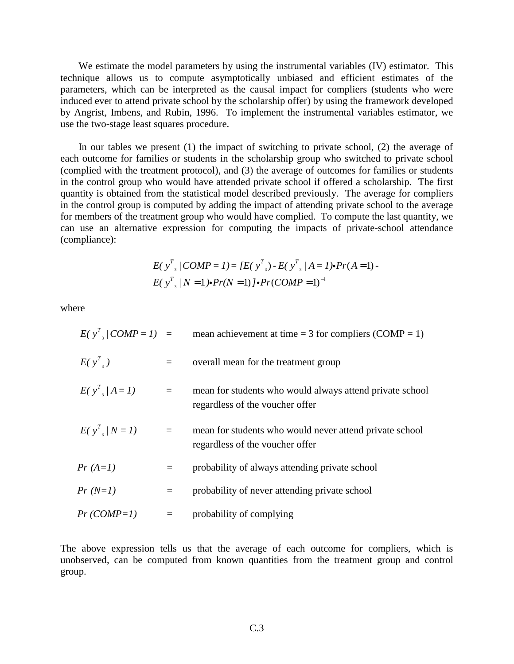We estimate the model parameters by using the instrumental variables (IV) estimator. This technique allows us to compute asymptotically unbiased and efficient estimates of the parameters, which can be interpreted as the causal impact for compliers (students who were induced ever to attend private school by the scholarship offer) by using the framework developed by Angrist, Imbens, and Rubin, 1996. To implement the instrumental variables estimator, we use the two-stage least squares procedure.

In our tables we present (1) the impact of switching to private school, (2) the average of each outcome for families or students in the scholarship group who switched to private school (complied with the treatment protocol), and (3) the average of outcomes for families or students in the control group who would have attended private school if offered a scholarship. The first quantity is obtained from the statistical model described previously. The average for compliers in the control group is computed by adding the impact of attending private school to the average for members of the treatment group who would have complied. To compute the last quantity, we can use an alternative expression for computing the impacts of private-school attendance (compliance):

$$
E(\mathbf{y}_{s}^{T}/COMP=1) = [E(\mathbf{y}_{s}^{T}) - E(\mathbf{y}_{s}^{T}/A=1) \cdot Pr(A=1) - E(\mathbf{y}_{s}^{T}/N=1) \cdot Pr(N=1) \cdot Pr(COMP=1)^{-1}
$$

where

|              |          | $E(y^T)/COMP=1$ = mean achievement at time = 3 for compliers (COMP = 1)                     |
|--------------|----------|---------------------------------------------------------------------------------------------|
| $E(y^T)$     | $=$      | overall mean for the treatment group                                                        |
| $E(y^T)/A=1$ | $\equiv$ | mean for students who would always attend private school<br>regardless of the voucher offer |
| $E(y^T)/N=1$ | $\equiv$ | mean for students who would never attend private school<br>regardless of the voucher offer  |
| $Pr(A=1)$    | $=$      | probability of always attending private school                                              |
| $Pr(N=1)$    | $=$      | probability of never attending private school                                               |
| $Pr(COMP=1)$ | $\equiv$ | probability of complying                                                                    |

The above expression tells us that the average of each outcome for compliers, which is unobserved, can be computed from known quantities from the treatment group and control group.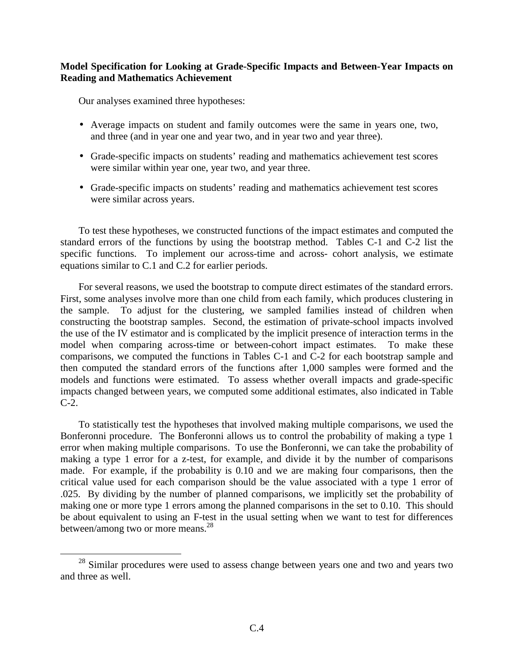## **Model Specification for Looking at Grade-Specific Impacts and Between-Year Impacts on Reading and Mathematics Achievement**

Our analyses examined three hypotheses:

- Average impacts on student and family outcomes were the same in years one, two, and three (and in year one and year two, and in year two and year three).
- Grade-specific impacts on students' reading and mathematics achievement test scores were similar within year one, year two, and year three.
- Grade-specific impacts on students' reading and mathematics achievement test scores were similar across years.

To test these hypotheses, we constructed functions of the impact estimates and computed the standard errors of the functions by using the bootstrap method. Tables C-1 and C-2 list the specific functions. To implement our across-time and across- cohort analysis, we estimate equations similar to C.1 and C.2 for earlier periods.

For several reasons, we used the bootstrap to compute direct estimates of the standard errors. First, some analyses involve more than one child from each family, which produces clustering in the sample. To adjust for the clustering, we sampled families instead of children when constructing the bootstrap samples. Second, the estimation of private-school impacts involved the use of the IV estimator and is complicated by the implicit presence of interaction terms in the model when comparing across-time or between-cohort impact estimates. To make these comparisons, we computed the functions in Tables C-1 and C-2 for each bootstrap sample and then computed the standard errors of the functions after 1,000 samples were formed and the models and functions were estimated. To assess whether overall impacts and grade-specific impacts changed between years, we computed some additional estimates, also indicated in Table  $C-2$ .

To statistically test the hypotheses that involved making multiple comparisons, we used the Bonferonni procedure. The Bonferonni allows us to control the probability of making a type 1 error when making multiple comparisons. To use the Bonferonni, we can take the probability of making a type 1 error for a z-test, for example, and divide it by the number of comparisons made. For example, if the probability is 0.10 and we are making four comparisons, then the critical value used for each comparison should be the value associated with a type 1 error of .025. By dividing by the number of planned comparisons, we implicitly set the probability of making one or more type 1 errors among the planned comparisons in the set to 0.10. This should be about equivalent to using an F-test in the usual setting when we want to test for differences between/among two or more means.<sup>28</sup>

<sup>&</sup>lt;sup>28</sup> Similar procedures were used to assess change between years one and two and years two and three as well.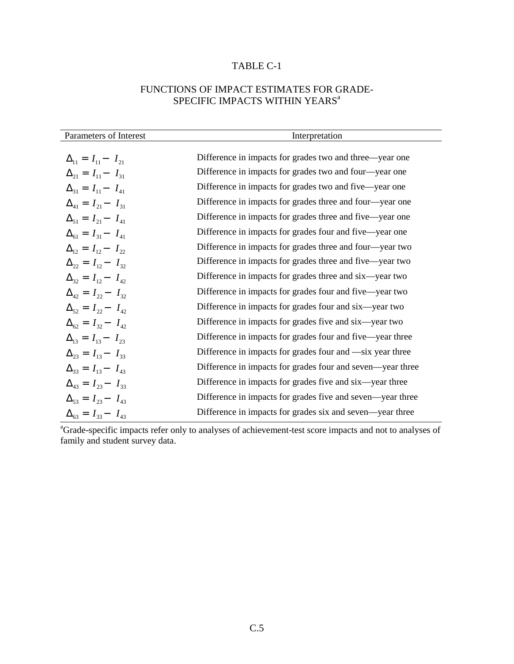## TABLE C-1

## FUNCTIONS OF IMPACT ESTIMATES FOR GRADE-SPECIFIC IMPACTS WITHIN YEARS<sup>a</sup>

| Parameters of Interest          | Interpretation                                             |
|---------------------------------|------------------------------------------------------------|
|                                 |                                                            |
| $\Delta_{11} = I_{11} - I_{21}$ | Difference in impacts for grades two and three—year one    |
| $\Delta_{21} = I_{11} - I_{31}$ | Difference in impacts for grades two and four—year one     |
| $\Delta_{31} = I_{11} - I_{41}$ | Difference in impacts for grades two and five—year one     |
| $\Delta_{41} = I_{21} - I_{31}$ | Difference in impacts for grades three and four—year one   |
| $\Delta_{51} = I_{21} - I_{41}$ | Difference in impacts for grades three and five—year one   |
| $\Delta_{61} = I_{31} - I_{41}$ | Difference in impacts for grades four and five—year one    |
| $\Delta_{12} = I_{12} - I_{22}$ | Difference in impacts for grades three and four—year two   |
| $\Delta_{22} = I_{12} - I_{32}$ | Difference in impacts for grades three and five—year two   |
| $\Delta_{32} = I_{12} - I_{42}$ | Difference in impacts for grades three and six—year two    |
| $\Delta_{42} = I_{22} - I_{32}$ | Difference in impacts for grades four and five-year two    |
| $\Delta_{52} = I_{22} - I_{42}$ | Difference in impacts for grades four and six—year two     |
| $\Delta_{62} = I_{32} - I_{42}$ | Difference in impacts for grades five and six—year two     |
| $\Delta_{13} = I_{13} - I_{23}$ | Difference in impacts for grades four and five—year three  |
| $\Delta_{23} = I_{13} - I_{33}$ | Difference in impacts for grades four and —six year three  |
| $\Delta_{33} = I_{13} - I_{43}$ | Difference in impacts for grades four and seven—year three |
| $\Delta_{43} = I_{23} - I_{33}$ | Difference in impacts for grades five and six—year three   |
| $\Delta_{53} = I_{23} - I_{43}$ | Difference in impacts for grades five and seven—year three |
| $\Delta_{63} = I_{33} - I_{43}$ | Difference in impacts for grades six and seven—year three  |

<sup>a</sup>Grade-specific impacts refer only to analyses of achievement-test score impacts and not to analyses of family and student survey data.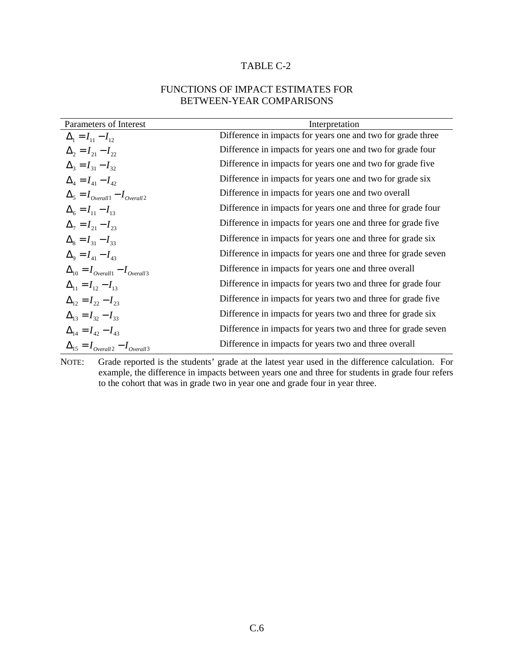## TABLE C-2

## FUNCTIONS OF IMPACT ESTIMATES FOR BETWEEN-YEAR COMPARISONS

| Parameters of Interest                      | Interpretation                                                |
|---------------------------------------------|---------------------------------------------------------------|
| $\Delta_1 = I_{11} - I_{12}$                | Difference in impacts for years one and two for grade three   |
| $\Delta_2 = I_{21} - I_{22}$                | Difference in impacts for years one and two for grade four    |
| $\Delta_3 = I_{31} - I_{32}$                | Difference in impacts for years one and two for grade five    |
| $\Delta_4 = I_{41} - I_{42}$                | Difference in impacts for years one and two for grade six     |
| $\Delta_5 = I_{Overall1} - I_{Overall2}$    | Difference in impacts for years one and two overall           |
| $\Delta_6 = I_{11} - I_{13}$                | Difference in impacts for years one and three for grade four  |
| $\Delta_7 = I_{21} - I_{23}$                | Difference in impacts for years one and three for grade five  |
| $\Delta_8 = I_{31} - I_{33}$                | Difference in impacts for years one and three for grade six   |
| $\Delta_{9} = I_{41} - I_{43}$              | Difference in impacts for years one and three for grade seven |
| $\Delta_{10} = I_{Overall1} - I_{Overall3}$ | Difference in impacts for years one and three overall         |
| $\Delta_{11} = I_{12} - I_{13}$             | Difference in impacts for years two and three for grade four  |
| $\Delta_{12} = I_{22} - I_{23}$             | Difference in impacts for years two and three for grade five  |
| $\Delta_{13} = I_{32} - I_{33}$             | Difference in impacts for years two and three for grade six   |
| $\Delta_{14} = I_{42} - I_{43}$             | Difference in impacts for years two and three for grade seven |
| $\Delta_{15} = I_{Overall2} - I_{Overall3}$ | Difference in impacts for years two and three overall         |

NOTE: Grade reported is the students' grade at the latest year used in the difference calculation. For example, the difference in impacts between years one and three for students in grade four refers to the cohort that was in grade two in year one and grade four in year three.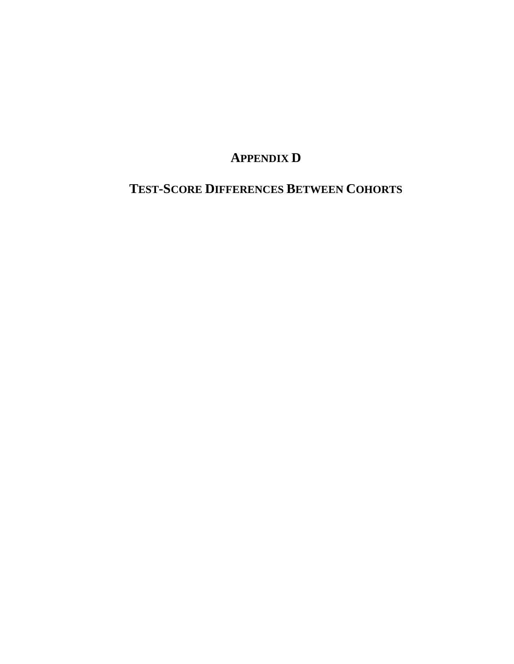# **APPENDIX D**

# **TEST-SCORE DIFFERENCES BETWEEN COHORTS**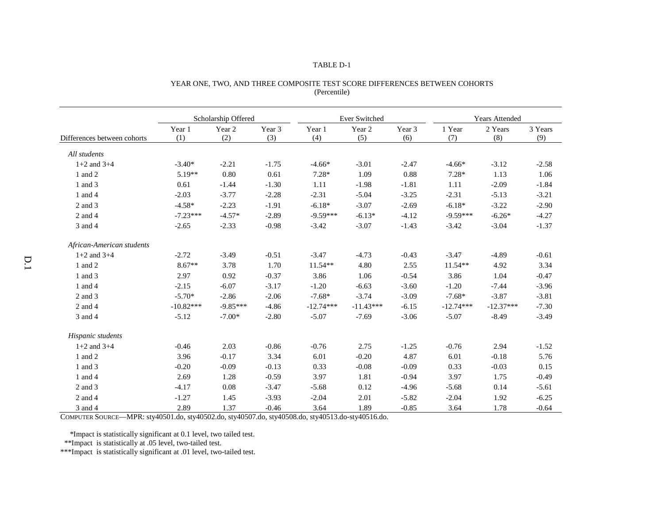#### TABLE D-1

|                             |               | Scholarship Offered |               | Ever Switched |               |               | <b>Years Attended</b> |                |                |
|-----------------------------|---------------|---------------------|---------------|---------------|---------------|---------------|-----------------------|----------------|----------------|
| Differences between cohorts | Year 1<br>(1) | Year 2<br>(2)       | Year 3<br>(3) | Year 1<br>(4) | Year 2<br>(5) | Year 3<br>(6) | 1 Year<br>(7)         | 2 Years<br>(8) | 3 Years<br>(9) |
| All students                |               |                     |               |               |               |               |                       |                |                |
| $1+2$ and $3+4$             | $-3.40*$      | $-2.21$             | $-1.75$       | $-4.66*$      | $-3.01$       | $-2.47$       | $-4.66*$              | $-3.12$        | $-2.58$        |
| 1 and 2                     | $5.19**$      | 0.80                | 0.61          | $7.28*$       | 1.09          | 0.88          | $7.28*$               | 1.13           | 1.06           |
| 1 and 3                     | 0.61          | $-1.44$             | $-1.30$       | 1.11          | $-1.98$       | $-1.81$       | 1.11                  | $-2.09$        | $-1.84$        |
| 1 and 4                     | $-2.03$       | $-3.77$             | $-2.28$       | $-2.31$       | $-5.04$       | $-3.25$       | $-2.31$               | $-5.13$        | $-3.21$        |
| 2 and 3                     | $-4.58*$      | $-2.23$             | $-1.91$       | $-6.18*$      | $-3.07$       | $-2.69$       | $-6.18*$              | $-3.22$        | $-2.90$        |
| 2 and 4                     | $-7.23***$    | $-4.57*$            | $-2.89$       | $-9.59***$    | $-6.13*$      | $-4.12$       | $-9.59***$            | $-6.26*$       | $-4.27$        |
| 3 and 4                     | $-2.65$       | $-2.33$             | $-0.98$       | $-3.42$       | $-3.07$       | $-1.43$       | $-3.42$               | $-3.04$        | $-1.37$        |
| African-American students   |               |                     |               |               |               |               |                       |                |                |
| $1+2$ and $3+4$             | $-2.72$       | $-3.49$             | $-0.51$       | $-3.47$       | $-4.73$       | $-0.43$       | $-3.47$               | $-4.89$        | $-0.61$        |
| 1 and 2                     | $8.67**$      | 3.78                | 1.70          | $11.54**$     | 4.80          | 2.55          | 11.54**               | 4.92           | 3.34           |
| 1 and 3                     | 2.97          | 0.92                | $-0.37$       | 3.86          | 1.06          | $-0.54$       | 3.86                  | 1.04           | $-0.47$        |
| 1 and 4                     | $-2.15$       | $-6.07$             | $-3.17$       | $-1.20$       | $-6.63$       | $-3.60$       | $-1.20$               | $-7.44$        | $-3.96$        |
| 2 and 3                     | $-5.70*$      | $-2.86$             | $-2.06$       | $-7.68*$      | $-3.74$       | $-3.09$       | $-7.68*$              | $-3.87$        | $-3.81$        |
| 2 and 4                     | $-10.82***$   | $-9.85***$          | $-4.86$       | $-12.74***$   | $-11.43***$   | $-6.15$       | $-12.74***$           | $-12.37***$    | $-7.30$        |
| 3 and 4                     | $-5.12$       | $-7.00*$            | $-2.80$       | $-5.07$       | $-7.69$       | $-3.06$       | $-5.07$               | $-8.49$        | $-3.49$        |
| Hispanic students           |               |                     |               |               |               |               |                       |                |                |
| $1+2$ and $3+4$             | $-0.46$       | 2.03                | $-0.86$       | $-0.76$       | 2.75          | $-1.25$       | $-0.76$               | 2.94           | $-1.52$        |
| 1 and 2                     | 3.96          | $-0.17$             | 3.34          | 6.01          | $-0.20$       | 4.87          | 6.01                  | $-0.18$        | 5.76           |
| 1 and 3                     | $-0.20$       | $-0.09$             | $-0.13$       | 0.33          | $-0.08$       | $-0.09$       | 0.33                  | $-0.03$        | 0.15           |
| 1 and 4                     | 2.69          | 1.28                | $-0.59$       | 3.97          | 1.81          | $-0.94$       | 3.97                  | 1.75           | $-0.49$        |
| 2 and 3                     | $-4.17$       | 0.08                | $-3.47$       | $-5.68$       | 0.12          | $-4.96$       | $-5.68$               | 0.14           | $-5.61$        |
| 2 and 4                     | $-1.27$       | 1.45                | $-3.93$       | $-2.04$       | 2.01          | $-5.82$       | $-2.04$               | 1.92           | $-6.25$        |
| 3 and 4                     | 2.89          | 1.37                | $-0.46$       | 3.64          | 1.89          | $-0.85$       | 3.64                  | 1.78           | $-0.64$        |

### YEAR ONE, TWO, AND THREE COMPOSITE TEST SCORE DIFFERENCES BETWEEN COHORTS (Percentile)

COMPUTER SOURCE—MPR: sty40501.do, sty40502.do, sty40507.do, sty40508.do, sty40513.do-sty40516.do.

\*Impact is statistically significant at 0.1 level, two tailed test.

\*\*Impact is statistically at .05 level, two-tailed test.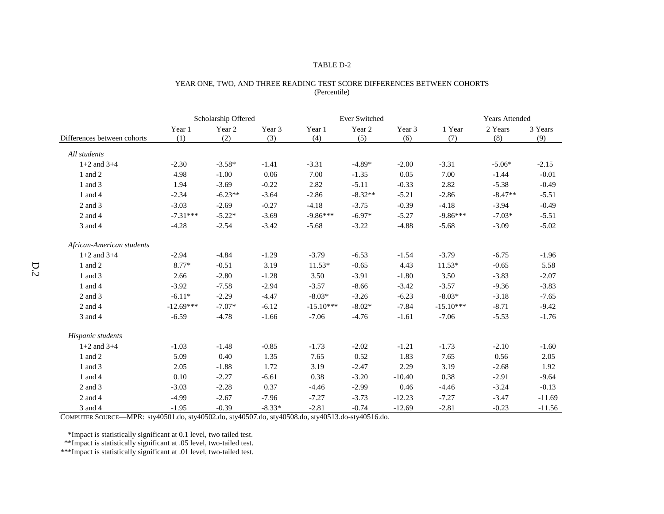#### TABLE D-2

|                             | Scholarship Offered |               |               | Ever Switched |               |               | <b>Years Attended</b> |                |                |
|-----------------------------|---------------------|---------------|---------------|---------------|---------------|---------------|-----------------------|----------------|----------------|
| Differences between cohorts | Year 1<br>(1)       | Year 2<br>(2) | Year 3<br>(3) | Year 1<br>(4) | Year 2<br>(5) | Year 3<br>(6) | 1 Year<br>(7)         | 2 Years<br>(8) | 3 Years<br>(9) |
| All students                |                     |               |               |               |               |               |                       |                |                |
| $1+2$ and $3+4$             | $-2.30$             | $-3.58*$      | $-1.41$       | $-3.31$       | $-4.89*$      | $-2.00$       | $-3.31$               | $-5.06*$       | $-2.15$        |
| 1 and 2                     | 4.98                | $-1.00$       | 0.06          | 7.00          | $-1.35$       | 0.05          | 7.00                  | $-1.44$        | $-0.01$        |
| 1 and 3                     | 1.94                | $-3.69$       | $-0.22$       | 2.82          | $-5.11$       | $-0.33$       | 2.82                  | $-5.38$        | $-0.49$        |
| 1 and 4                     | $-2.34$             | $-6.23**$     | $-3.64$       | $-2.86$       | $-8.32**$     | $-5.21$       | $-2.86$               | $-8.47**$      | $-5.51$        |
| 2 and 3                     | $-3.03$             | $-2.69$       | $-0.27$       | $-4.18$       | $-3.75$       | $-0.39$       | $-4.18$               | $-3.94$        | $-0.49$        |
| 2 and 4                     | $-7.31***$          | $-5.22*$      | $-3.69$       | $-9.86***$    | $-6.97*$      | $-5.27$       | $-9.86***$            | $-7.03*$       | $-5.51$        |
| 3 and 4                     | $-4.28$             | $-2.54$       | $-3.42$       | $-5.68$       | $-3.22$       | $-4.88$       | $-5.68$               | $-3.09$        | $-5.02$        |
| African-American students   |                     |               |               |               |               |               |                       |                |                |
| $1+2$ and $3+4$             | $-2.94$             | $-4.84$       | $-1.29$       | $-3.79$       | $-6.53$       | $-1.54$       | $-3.79$               | $-6.75$        | $-1.96$        |
| 1 and 2                     | 8.77*               | $-0.51$       | 3.19          | $11.53*$      | $-0.65$       | 4.43          | $11.53*$              | $-0.65$        | 5.58           |
| 1 and 3                     | 2.66                | $-2.80$       | $-1.28$       | 3.50          | $-3.91$       | $-1.80$       | 3.50                  | $-3.83$        | $-2.07$        |
| 1 and 4                     | $-3.92$             | $-7.58$       | $-2.94$       | $-3.57$       | $-8.66$       | $-3.42$       | $-3.57$               | $-9.36$        | $-3.83$        |
| 2 and 3                     | $-6.11*$            | $-2.29$       | $-4.47$       | $-8.03*$      | $-3.26$       | $-6.23$       | $-8.03*$              | $-3.18$        | $-7.65$        |
| 2 and 4                     | $-12.69***$         | $-7.07*$      | $-6.12$       | $-15.10***$   | $-8.02*$      | $-7.84$       | $-15.10***$           | $-8.71$        | $-9.42$        |
| 3 and 4                     | $-6.59$             | $-4.78$       | $-1.66$       | $-7.06$       | $-4.76$       | $-1.61$       | $-7.06$               | $-5.53$        | $-1.76$        |
| Hispanic students           |                     |               |               |               |               |               |                       |                |                |
| $1+2$ and $3+4$             | $-1.03$             | $-1.48$       | $-0.85$       | $-1.73$       | $-2.02$       | $-1.21$       | $-1.73$               | $-2.10$        | $-1.60$        |
| 1 and 2                     | 5.09                | 0.40          | 1.35          | 7.65          | 0.52          | 1.83          | 7.65                  | 0.56           | 2.05           |
| 1 and 3                     | 2.05                | $-1.88$       | 1.72          | 3.19          | $-2.47$       | 2.29          | 3.19                  | $-2.68$        | 1.92           |
| 1 and 4                     | 0.10                | $-2.27$       | $-6.61$       | 0.38          | $-3.20$       | $-10.40$      | 0.38                  | $-2.91$        | $-9.64$        |
| 2 and 3                     | $-3.03$             | $-2.28$       | 0.37          | $-4.46$       | $-2.99$       | 0.46          | $-4.46$               | $-3.24$        | $-0.13$        |
| 2 and 4                     | $-4.99$             | $-2.67$       | $-7.96$       | $-7.27$       | $-3.73$       | $-12.23$      | $-7.27$               | $-3.47$        | $-11.69$       |
| 3 and 4                     | $-1.95$             | $-0.39$       | $-8.33*$      | $-2.81$       | $-0.74$       | $-12.69$      | $-2.81$               | $-0.23$        | $-11.56$       |

### YEAR ONE, TWO, AND THREE READING TEST SCORE DIFFERENCES BETWEEN COHORTS (Percentile)

COMPUTER SOURCE—MPR: sty40501.do, sty40502.do, sty40507.do, sty40508.do, sty40513.do-sty40516.do.

\*Impact is statistically significant at 0.1 level, two tailed test.

\*\*Impact is statistically significant at .05 level, two-tailed test.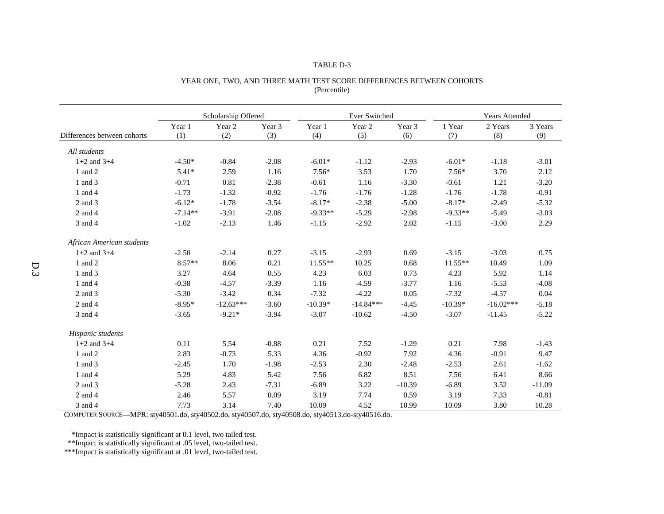#### TABLE D-3

|                             |               | Scholarship Offered |               |               | Ever Switched |               |               | <b>Years Attended</b> |                |  |
|-----------------------------|---------------|---------------------|---------------|---------------|---------------|---------------|---------------|-----------------------|----------------|--|
| Differences between cohorts | Year 1<br>(1) | Year 2<br>(2)       | Year 3<br>(3) | Year 1<br>(4) | Year 2<br>(5) | Year 3<br>(6) | 1 Year<br>(7) | 2 Years<br>(8)        | 3 Years<br>(9) |  |
| All students                |               |                     |               |               |               |               |               |                       |                |  |
| $1+2$ and $3+4$             | $-4.50*$      | $-0.84$             | $-2.08$       | $-6.01*$      | $-1.12$       | $-2.93$       | $-6.01*$      | $-1.18$               | $-3.01$        |  |
| 1 and 2                     | $5.41*$       | 2.59                | 1.16          | $7.56*$       | 3.53          | 1.70          | $7.56*$       | 3.70                  | 2.12           |  |
| 1 and 3                     | $-0.71$       | 0.81                | $-2.38$       | $-0.61$       | 1.16          | $-3.30$       | $-0.61$       | 1.21                  | $-3.20$        |  |
| 1 and 4                     | $-1.73$       | $-1.32$             | $-0.92$       | $-1.76$       | $-1.76$       | $-1.28$       | $-1.76$       | $-1.78$               | $-0.91$        |  |
| 2 and 3                     | $-6.12*$      | $-1.78$             | $-3.54$       | $-8.17*$      | $-2.38$       | $-5.00$       | $-8.17*$      | $-2.49$               | $-5.32$        |  |
| 2 and 4                     | $-7.14**$     | $-3.91$             | $-2.08$       | $-9.33**$     | $-5.29$       | $-2.98$       | $-9.33**$     | $-5.49$               | $-3.03$        |  |
| 3 and 4                     | $-1.02$       | $-2.13$             | 1.46          | $-1.15$       | $-2.92$       | 2.02          | $-1.15$       | $-3.00$               | 2.29           |  |
| African American students   |               |                     |               |               |               |               |               |                       |                |  |
| $1+2$ and $3+4$             | $-2.50$       | $-2.14$             | 0.27          | $-3.15$       | $-2.93$       | 0.69          | $-3.15$       | $-3.03$               | 0.75           |  |
| 1 and 2                     | $8.57**$      | 8.06                | 0.21          | $11.55**$     | 10.25         | 0.68          | $11.55**$     | 10.49                 | 1.09           |  |
| 1 and 3                     | 3.27          | 4.64                | 0.55          | 4.23          | 6.03          | 0.73          | 4.23          | 5.92                  | 1.14           |  |
| 1 and 4                     | $-0.38$       | $-4.57$             | $-3.39$       | 1.16          | $-4.59$       | $-3.77$       | 1.16          | $-5.53$               | $-4.08$        |  |
| 2 and 3                     | $-5.30$       | $-3.42$             | 0.34          | $-7.32$       | $-4.22$       | 0.05          | $-7.32$       | $-4.57$               | 0.04           |  |
| 2 and 4                     | $-8.95*$      | $-12.63***$         | $-3.60$       | $-10.39*$     | $-14.84***$   | $-4.45$       | $-10.39*$     | $-16.02***$           | $-5.18$        |  |
| 3 and 4                     | $-3.65$       | $-9.21*$            | $-3.94$       | $-3.07$       | $-10.62$      | $-4.50$       | $-3.07$       | $-11.45$              | $-5.22$        |  |
| Hispanic students           |               |                     |               |               |               |               |               |                       |                |  |
| $1+2$ and $3+4$             | 0.11          | 5.54                | $-0.88$       | 0.21          | 7.52          | $-1.29$       | 0.21          | 7.98                  | $-1.43$        |  |
| 1 and 2                     | 2.83          | $-0.73$             | 5.33          | 4.36          | $-0.92$       | 7.92          | 4.36          | $-0.91$               | 9.47           |  |
| 1 and 3                     | $-2.45$       | 1.70                | $-1.98$       | $-2.53$       | 2.30          | $-2.48$       | $-2.53$       | 2.61                  | $-1.62$        |  |
| 1 and 4                     | 5.29          | 4.83                | 5.42          | 7.56          | 6.82          | 8.51          | 7.56          | 6.41                  | 8.66           |  |
| 2 and 3                     | $-5.28$       | 2.43                | $-7.31$       | $-6.89$       | 3.22          | $-10.39$      | $-6.89$       | 3.52                  | $-11.09$       |  |
| 2 and 4                     | 2.46          | 5.57                | 0.09          | 3.19          | 7.74          | 0.59          | 3.19          | 7.33                  | $-0.81$        |  |
| 3 and 4                     | 7.73          | 3.14                | 7.40          | 10.09         | 4.52          | 10.99         | 10.09         | 3.80                  | 10.28          |  |

#### YEAR ONE, TWO, AND THREE MATH TEST SCORE DIFFERENCES BETWEEN COHORTS (Percentile)

COMPUTER SOURCE—MPR: sty40501.do, sty40502.do, sty40507.do, sty40508.do, sty40513.do-sty40516.do.

\*Impact is statistically significant at 0.1 level, two tailed test.

\*\*Impact is statistically significant at .05 level, two-tailed test.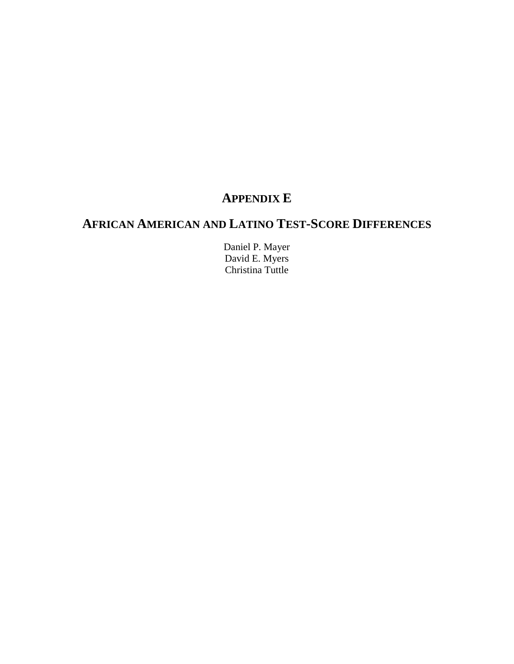# **APPENDIX E**

# **AFRICAN AMERICAN AND LATINO TEST-SCORE DIFFERENCES**

Daniel P. Mayer David E. Myers Christina Tuttle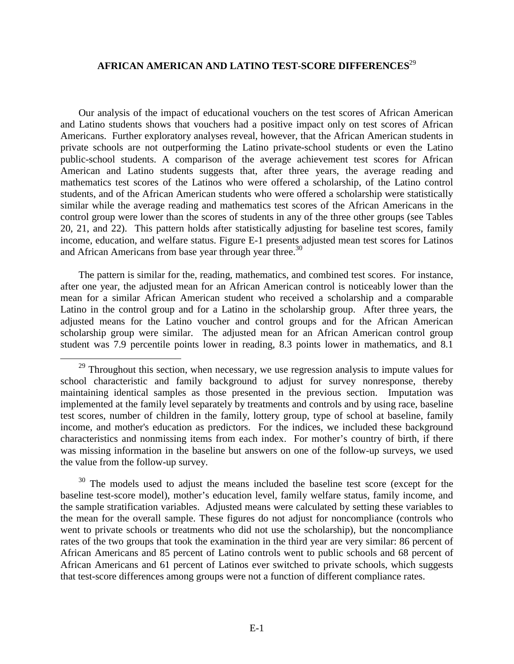## **AFRICAN AMERICAN AND LATINO TEST-SCORE DIFFERENCES**<sup>29</sup>

Our analysis of the impact of educational vouchers on the test scores of African American and Latino students shows that vouchers had a positive impact only on test scores of African Americans. Further exploratory analyses reveal, however, that the African American students in private schools are not outperforming the Latino private-school students or even the Latino public-school students. A comparison of the average achievement test scores for African American and Latino students suggests that, after three years, the average reading and mathematics test scores of the Latinos who were offered a scholarship, of the Latino control students, and of the African American students who were offered a scholarship were statistically similar while the average reading and mathematics test scores of the African Americans in the control group were lower than the scores of students in any of the three other groups (see Tables 20, 21, and 22). This pattern holds after statistically adjusting for baseline test scores, family income, education, and welfare status. Figure E-1 presents adjusted mean test scores for Latinos and African Americans from base year through year three.<sup>30</sup>

The pattern is similar for the, reading, mathematics, and combined test scores. For instance, after one year, the adjusted mean for an African American control is noticeably lower than the mean for a similar African American student who received a scholarship and a comparable Latino in the control group and for a Latino in the scholarship group. After three years, the adjusted means for the Latino voucher and control groups and for the African American scholarship group were similar. The adjusted mean for an African American control group student was 7.9 percentile points lower in reading, 8.3 points lower in mathematics, and 8.1

<sup>&</sup>lt;sup>29</sup> Throughout this section, when necessary, we use regression analysis to impute values for school characteristic and family background to adjust for survey nonresponse, thereby maintaining identical samples as those presented in the previous section. Imputation was implemented at the family level separately by treatments and controls and by using race, baseline test scores, number of children in the family, lottery group, type of school at baseline, family income, and mother's education as predictors. For the indices, we included these background characteristics and nonmissing items from each index. For mother's country of birth, if there was missing information in the baseline but answers on one of the follow-up surveys, we used the value from the follow-up survey.

<sup>&</sup>lt;sup>30</sup> The models used to adjust the means included the baseline test score (except for the baseline test-score model), mother's education level, family welfare status, family income, and the sample stratification variables. Adjusted means were calculated by setting these variables to the mean for the overall sample. These figures do not adjust for noncompliance (controls who went to private schools or treatments who did not use the scholarship), but the noncompliance rates of the two groups that took the examination in the third year are very similar: 86 percent of African Americans and 85 percent of Latino controls went to public schools and 68 percent of African Americans and 61 percent of Latinos ever switched to private schools, which suggests that test-score differences among groups were not a function of different compliance rates.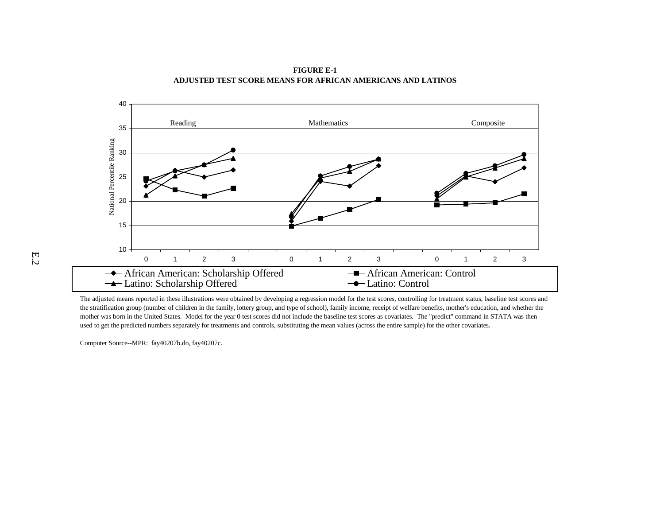

**FIGURE E-1 ADJUSTED TEST SCORE MEANS FOR AFRICAN AMERICANS AND LATINOS**

The adjusted means reported in these illustrations were obtained by developing a regression model for the test scores, controlling for treatment status, baseline test scores and the stratification group (number of children in the family, lottery group, and type of school), family income, receipt of welfare benefits, mother's education, and whether the mother was born in the United States. Model for the year 0 test scores did not include the baseline test scores as covariates. The "predict" command in STATA was then used to get the predicted numbers separately for treatments and controls, substituting the mean values (across the entire sample) for the other covariates.

Computer Source--MPR: fay40207b.do, fay40207c.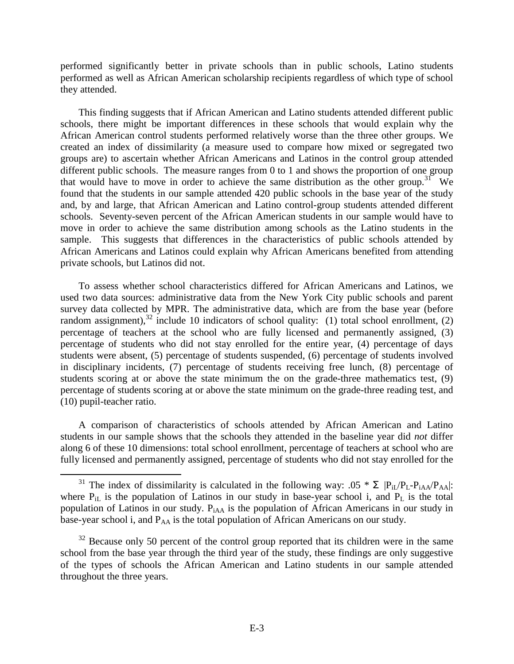performed significantly better in private schools than in public schools, Latino students performed as well as African American scholarship recipients regardless of which type of school they attended.

This finding suggests that if African American and Latino students attended different public schools, there might be important differences in these schools that would explain why the African American control students performed relatively worse than the three other groups. We created an index of dissimilarity (a measure used to compare how mixed or segregated two groups are) to ascertain whether African Americans and Latinos in the control group attended different public schools. The measure ranges from 0 to 1 and shows the proportion of one group that would have to move in order to achieve the same distribution as the other group.<sup>31</sup> We found that the students in our sample attended 420 public schools in the base year of the study and, by and large, that African American and Latino control-group students attended different schools. Seventy-seven percent of the African American students in our sample would have to move in order to achieve the same distribution among schools as the Latino students in the sample. This suggests that differences in the characteristics of public schools attended by African Americans and Latinos could explain why African Americans benefited from attending private schools, but Latinos did not.

To assess whether school characteristics differed for African Americans and Latinos, we used two data sources: administrative data from the New York City public schools and parent survey data collected by MPR. The administrative data, which are from the base year (before random assignment),  $32$  include 10 indicators of school quality: (1) total school enrollment, (2) percentage of teachers at the school who are fully licensed and permanently assigned, (3) percentage of students who did not stay enrolled for the entire year, (4) percentage of days students were absent, (5) percentage of students suspended, (6) percentage of students involved in disciplinary incidents, (7) percentage of students receiving free lunch, (8) percentage of students scoring at or above the state minimum the on the grade-three mathematics test, (9) percentage of students scoring at or above the state minimum on the grade-three reading test, and (10) pupil-teacher ratio.

A comparison of characteristics of schools attended by African American and Latino students in our sample shows that the schools they attended in the baseline year did *not* differ along 6 of these 10 dimensions: total school enrollment, percentage of teachers at school who are fully licensed and permanently assigned, percentage of students who did not stay enrolled for the

<sup>&</sup>lt;sup>31</sup> The index of dissimilarity is calculated in the following way: .05  $*$   $\sum$   $|P_{iL}/P_{L-}P_{iAA}/P_{AA}|$ : where  $P_{i}$  is the population of Latinos in our study in base-year school i, and  $P_L$  is the total population of Latinos in our study.  $P<sub>iAA</sub>$  is the population of African Americans in our study in base-year school i, and  $P_{AA}$  is the total population of African Americans on our study.

 $32$  Because only 50 percent of the control group reported that its children were in the same school from the base year through the third year of the study, these findings are only suggestive of the types of schools the African American and Latino students in our sample attended throughout the three years.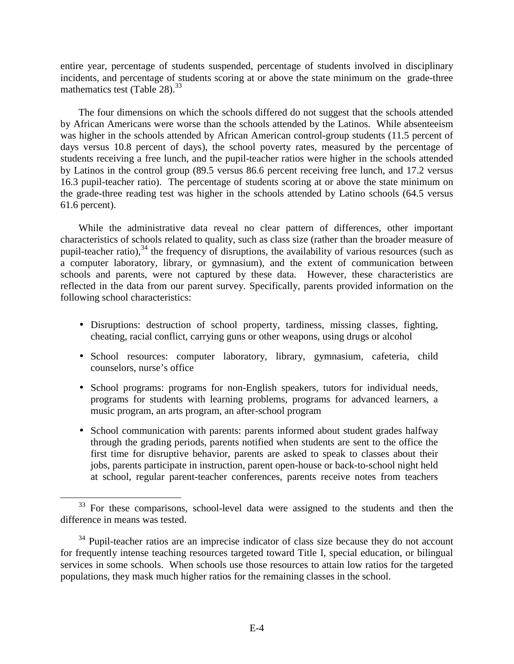entire year, percentage of students suspended, percentage of students involved in disciplinary incidents, and percentage of students scoring at or above the state minimum on the grade-three mathematics test (Table 28).<sup>33</sup>

The four dimensions on which the schools differed do not suggest that the schools attended by African Americans were worse than the schools attended by the Latinos. While absenteeism was higher in the schools attended by African American control-group students (11.5 percent of days versus 10.8 percent of days), the school poverty rates, measured by the percentage of students receiving a free lunch, and the pupil-teacher ratios were higher in the schools attended by Latinos in the control group (89.5 versus 86.6 percent receiving free lunch, and 17.2 versus 16.3 pupil-teacher ratio). The percentage of students scoring at or above the state minimum on the grade-three reading test was higher in the schools attended by Latino schools (64.5 versus 61.6 percent).

While the administrative data reveal no clear pattern of differences, other important characteristics of schools related to quality, such as class size (rather than the broader measure of pupil-teacher ratio), $34$  the frequency of disruptions, the availability of various resources (such as a computer laboratory, library, or gymnasium), and the extent of communication between schools and parents, were not captured by these data. However, these characteristics are reflected in the data from our parent survey. Specifically, parents provided information on the following school characteristics:

- Disruptions: destruction of school property, tardiness, missing classes, fighting, cheating, racial conflict, carrying guns or other weapons, using drugs or alcohol
- School resources: computer laboratory, library, gymnasium, cafeteria, child counselors, nurse's office
- School programs: programs for non-English speakers, tutors for individual needs, programs for students with learning problems, programs for advanced learners, a music program, an arts program, an after-school program
- School communication with parents: parents informed about student grades halfway through the grading periods, parents notified when students are sent to the office the first time for disruptive behavior, parents are asked to speak to classes about their jobs, parents participate in instruction, parent open-house or back-to-school night held at school, regular parent-teacher conferences, parents receive notes from teachers

<sup>&</sup>lt;sup>33</sup> For these comparisons, school-level data were assigned to the students and then the difference in means was tested.

 $34$  Pupil-teacher ratios are an imprecise indicator of class size because they do not account for frequently intense teaching resources targeted toward Title I, special education, or bilingual services in some schools. When schools use those resources to attain low ratios for the targeted populations, they mask much higher ratios for the remaining classes in the school.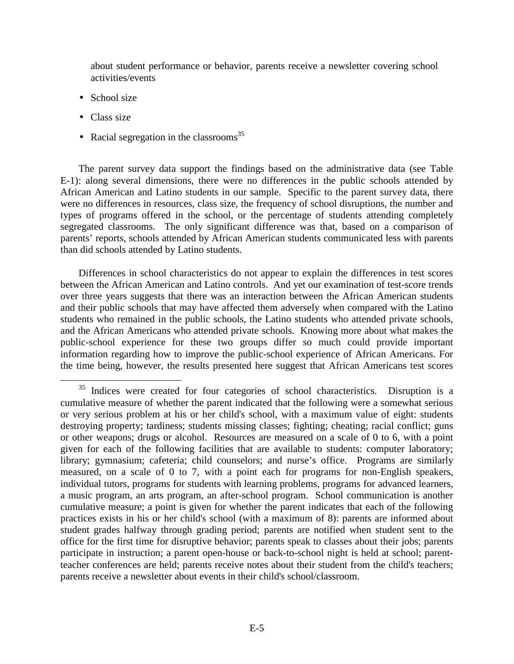about student performance or behavior, parents receive a newsletter covering school activities/events

- School size
- Class size
- Racial segregation in the classrooms<sup>35</sup>

The parent survey data support the findings based on the administrative data (see Table E-1): along several dimensions, there were no differences in the public schools attended by African American and Latino students in our sample. Specific to the parent survey data, there were no differences in resources, class size, the frequency of school disruptions, the number and types of programs offered in the school, or the percentage of students attending completely segregated classrooms. The only significant difference was that, based on a comparison of parents' reports, schools attended by African American students communicated less with parents than did schools attended by Latino students.

Differences in school characteristics do not appear to explain the differences in test scores between the African American and Latino controls. And yet our examination of test-score trends over three years suggests that there was an interaction between the African American students and their public schools that may have affected them adversely when compared with the Latino students who remained in the public schools, the Latino students who attended private schools, and the African Americans who attended private schools. Knowing more about what makes the public-school experience for these two groups differ so much could provide important information regarding how to improve the public-school experience of African Americans. For the time being, however, the results presented here suggest that African Americans test scores

<sup>&</sup>lt;sup>35</sup> Indices were created for four categories of school characteristics. Disruption is a cumulative measure of whether the parent indicated that the following were a somewhat serious or very serious problem at his or her child's school, with a maximum value of eight: students destroying property; tardiness; students missing classes; fighting; cheating; racial conflict; guns or other weapons; drugs or alcohol. Resources are measured on a scale of 0 to 6, with a point given for each of the following facilities that are available to students: computer laboratory; library; gymnasium; cafeteria; child counselors; and nurse's office. Programs are similarly measured, on a scale of 0 to 7, with a point each for programs for non-English speakers, individual tutors, programs for students with learning problems, programs for advanced learners, a music program, an arts program, an after-school program. School communication is another cumulative measure; a point is given for whether the parent indicates that each of the following practices exists in his or her child's school (with a maximum of 8): parents are informed about student grades halfway through grading period; parents are notified when student sent to the office for the first time for disruptive behavior; parents speak to classes about their jobs; parents participate in instruction; a parent open-house or back-to-school night is held at school; parentteacher conferences are held; parents receive notes about their student from the child's teachers; parents receive a newsletter about events in their child's school/classroom.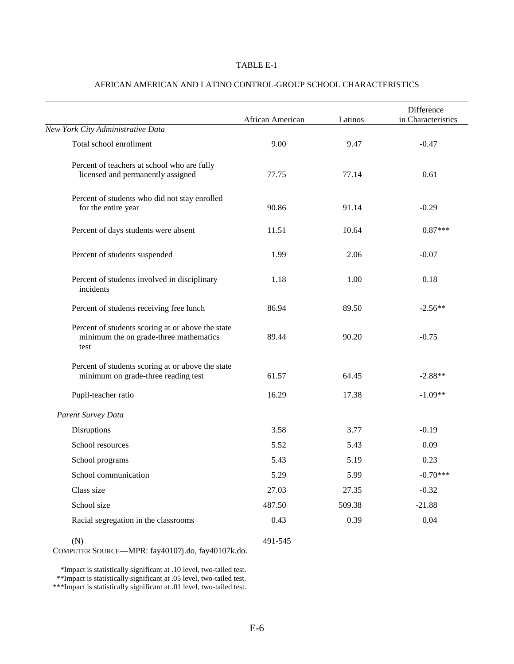#### TABLE E-1

|                                                                                                     | African American | Latinos | Difference<br>in Characteristics |
|-----------------------------------------------------------------------------------------------------|------------------|---------|----------------------------------|
| New York City Administrative Data                                                                   |                  |         |                                  |
| Total school enrollment                                                                             | 9.00             | 9.47    | $-0.47$                          |
| Percent of teachers at school who are fully<br>licensed and permanently assigned                    | 77.75            | 77.14   | 0.61                             |
| Percent of students who did not stay enrolled<br>for the entire year                                | 90.86            | 91.14   | $-0.29$                          |
| Percent of days students were absent                                                                | 11.51            | 10.64   | $0.87***$                        |
| Percent of students suspended                                                                       | 1.99             | 2.06    | $-0.07$                          |
| Percent of students involved in disciplinary<br>incidents                                           | 1.18             | 1.00    | 0.18                             |
| Percent of students receiving free lunch                                                            | 86.94            | 89.50   | $-2.56**$                        |
| Percent of students scoring at or above the state<br>minimum the on grade-three mathematics<br>test | 89.44            | 90.20   | $-0.75$                          |
| Percent of students scoring at or above the state<br>minimum on grade-three reading test            | 61.57            | 64.45   | $-2.88**$                        |
| Pupil-teacher ratio                                                                                 | 16.29            | 17.38   | $-1.09**$                        |
| Parent Survey Data                                                                                  |                  |         |                                  |
| Disruptions                                                                                         | 3.58             | 3.77    | $-0.19$                          |
| School resources                                                                                    | 5.52             | 5.43    | 0.09                             |
| School programs                                                                                     | 5.43             | 5.19    | 0.23                             |
| School communication                                                                                | 5.29             | 5.99    | $-0.70***$                       |
| Class size                                                                                          | 27.03            | 27.35   | $-0.32$                          |
| School size                                                                                         | 487.50           | 509.38  | $-21.88$                         |
| Racial segregation in the classrooms                                                                | 0.43             | 0.39    | 0.04                             |
| (N)                                                                                                 | 491-545          |         |                                  |

### AFRICAN AMERICAN AND LATINO CONTROL-GROUP SCHOOL CHARACTERISTICS

COMPUTER SOURCE—MPR: fay40107j.do, fay40107k.do.

\*Impact is statistically significant at .10 level, two-tailed test. \*\*Impact is statistically significant at .05 level, two-tailed test. \*\*\*Impact is statistically significant at .01 level, two-tailed test.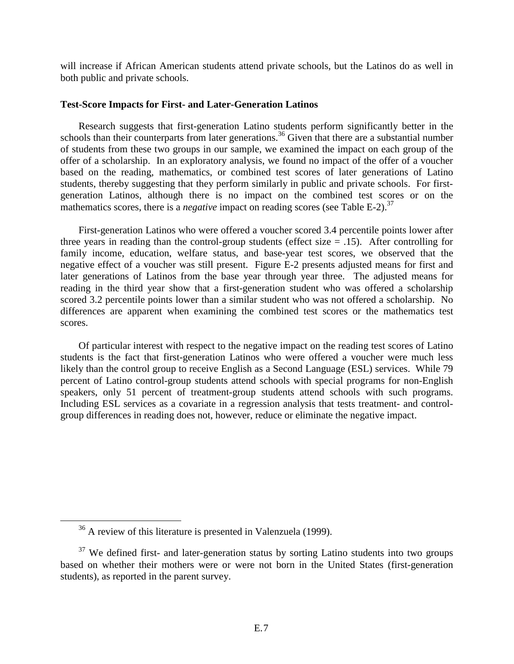will increase if African American students attend private schools, but the Latinos do as well in both public and private schools.

# **Test-Score Impacts for First- and Later-Generation Latinos**

Research suggests that first-generation Latino students perform significantly better in the schools than their counterparts from later generations.<sup>36</sup> Given that there are a substantial number of students from these two groups in our sample, we examined the impact on each group of the offer of a scholarship. In an exploratory analysis, we found no impact of the offer of a voucher based on the reading, mathematics, or combined test scores of later generations of Latino students, thereby suggesting that they perform similarly in public and private schools. For firstgeneration Latinos, although there is no impact on the combined test scores or on the mathematics scores, there is a *negative* impact on reading scores (see Table E-2).<sup>37</sup>

First-generation Latinos who were offered a voucher scored 3.4 percentile points lower after three years in reading than the control-group students (effect size  $= .15$ ). After controlling for family income, education, welfare status, and base-year test scores, we observed that the negative effect of a voucher was still present. Figure E-2 presents adjusted means for first and later generations of Latinos from the base year through year three. The adjusted means for reading in the third year show that a first-generation student who was offered a scholarship scored 3.2 percentile points lower than a similar student who was not offered a scholarship. No differences are apparent when examining the combined test scores or the mathematics test scores.

Of particular interest with respect to the negative impact on the reading test scores of Latino students is the fact that first-generation Latinos who were offered a voucher were much less likely than the control group to receive English as a Second Language (ESL) services. While 79 percent of Latino control-group students attend schools with special programs for non-English speakers, only 51 percent of treatment-group students attend schools with such programs. Including ESL services as a covariate in a regression analysis that tests treatment- and controlgroup differences in reading does not, however, reduce or eliminate the negative impact.

<sup>&</sup>lt;sup>36</sup> A review of this literature is presented in Valenzuela (1999).

 $37$  We defined first- and later-generation status by sorting Latino students into two groups based on whether their mothers were or were not born in the United States (first-generation students), as reported in the parent survey.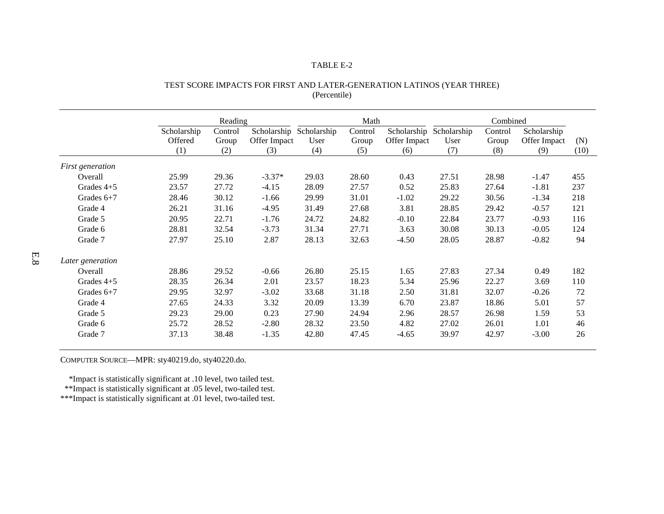#### TABLE E-2

|                         | Reading     |         |              | Math        |         |              | Combined                |         |              |      |
|-------------------------|-------------|---------|--------------|-------------|---------|--------------|-------------------------|---------|--------------|------|
|                         | Scholarship | Control | Scholarship  | Scholarship | Control |              | Scholarship Scholarship | Control | Scholarship  |      |
|                         | Offered     | Group   | Offer Impact | User        | Group   | Offer Impact | User                    | Group   | Offer Impact | (N)  |
|                         | (1)         | (2)     | (3)          | (4)         | (5)     | (6)          | (7)                     | (8)     | (9)          | (10) |
| <i>First generation</i> |             |         |              |             |         |              |                         |         |              |      |
| Overall                 | 25.99       | 29.36   | $-3.37*$     | 29.03       | 28.60   | 0.43         | 27.51                   | 28.98   | $-1.47$      | 455  |
| Grades $4+5$            | 23.57       | 27.72   | $-4.15$      | 28.09       | 27.57   | 0.52         | 25.83                   | 27.64   | $-1.81$      | 237  |
| Grades $6+7$            | 28.46       | 30.12   | $-1.66$      | 29.99       | 31.01   | $-1.02$      | 29.22                   | 30.56   | $-1.34$      | 218  |
| Grade 4                 | 26.21       | 31.16   | $-4.95$      | 31.49       | 27.68   | 3.81         | 28.85                   | 29.42   | $-0.57$      | 121  |
| Grade 5                 | 20.95       | 22.71   | $-1.76$      | 24.72       | 24.82   | $-0.10$      | 22.84                   | 23.77   | $-0.93$      | 116  |
| Grade 6                 | 28.81       | 32.54   | $-3.73$      | 31.34       | 27.71   | 3.63         | 30.08                   | 30.13   | $-0.05$      | 124  |
| Grade 7                 | 27.97       | 25.10   | 2.87         | 28.13       | 32.63   | $-4.50$      | 28.05                   | 28.87   | $-0.82$      | 94   |
| Later generation        |             |         |              |             |         |              |                         |         |              |      |
| Overall                 | 28.86       | 29.52   | $-0.66$      | 26.80       | 25.15   | 1.65         | 27.83                   | 27.34   | 0.49         | 182  |
| Grades $4+5$            | 28.35       | 26.34   | 2.01         | 23.57       | 18.23   | 5.34         | 25.96                   | 22.27   | 3.69         | 110  |
| Grades $6+7$            | 29.95       | 32.97   | $-3.02$      | 33.68       | 31.18   | 2.50         | 31.81                   | 32.07   | $-0.26$      | 72   |
| Grade 4                 | 27.65       | 24.33   | 3.32         | 20.09       | 13.39   | 6.70         | 23.87                   | 18.86   | 5.01         | 57   |
| Grade 5                 | 29.23       | 29.00   | 0.23         | 27.90       | 24.94   | 2.96         | 28.57                   | 26.98   | 1.59         | 53   |
| Grade 6                 | 25.72       | 28.52   | $-2.80$      | 28.32       | 23.50   | 4.82         | 27.02                   | 26.01   | 1.01         | 46   |
| Grade 7                 | 37.13       | 38.48   | $-1.35$      | 42.80       | 47.45   | $-4.65$      | 39.97                   | 42.97   | $-3.00$      | 26   |

# TEST SCORE IMPACTS FOR FIRST AND LATER-GENERATION LATINOS (YEAR THREE) (Percentile)

COMPUTER SOURCE—MPR: sty40219.do, sty40220.do.

\*Impact is statistically significant at .10 level, two tailed test.

\*\*Impact is statistically significant at .05 level, two-tailed test.

\*\*\*Impact is statistically significant at .01 level, two-tailed test.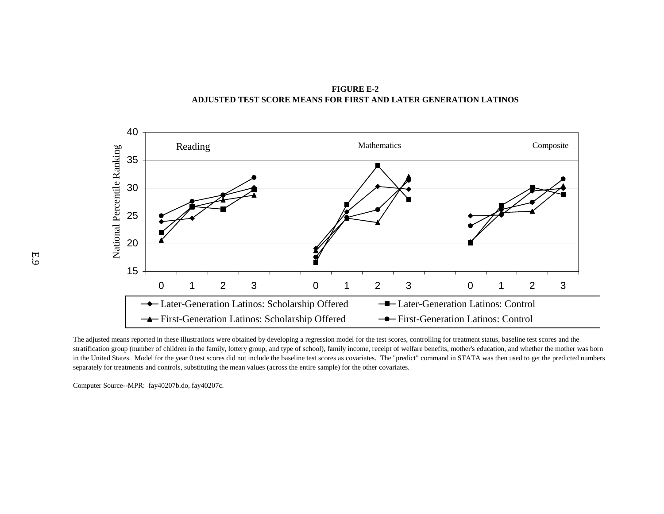**FIGURE E-2 ADJUSTED TEST SCORE MEANS FOR FIRST AND LATER GENERATION LATINOS**



The adjusted means reported in these illustrations were obtained by developing a regression model for the test scores, controlling for treatment status, baseline test scores and the stratification group (number of children in the family, lottery group, and type of school), family income, receipt of welfare benefits, mother's education, and whether the mother was born in the United States. Model for the year 0 test scores did not include the baseline test scores as covariates. The "predict" command in STATA was then used to get the predicted numbers separately for treatments and controls, substituting the mean values (across the entire sample) for the other covariates.

Computer Source--MPR: fay40207b.do, fay40207c.